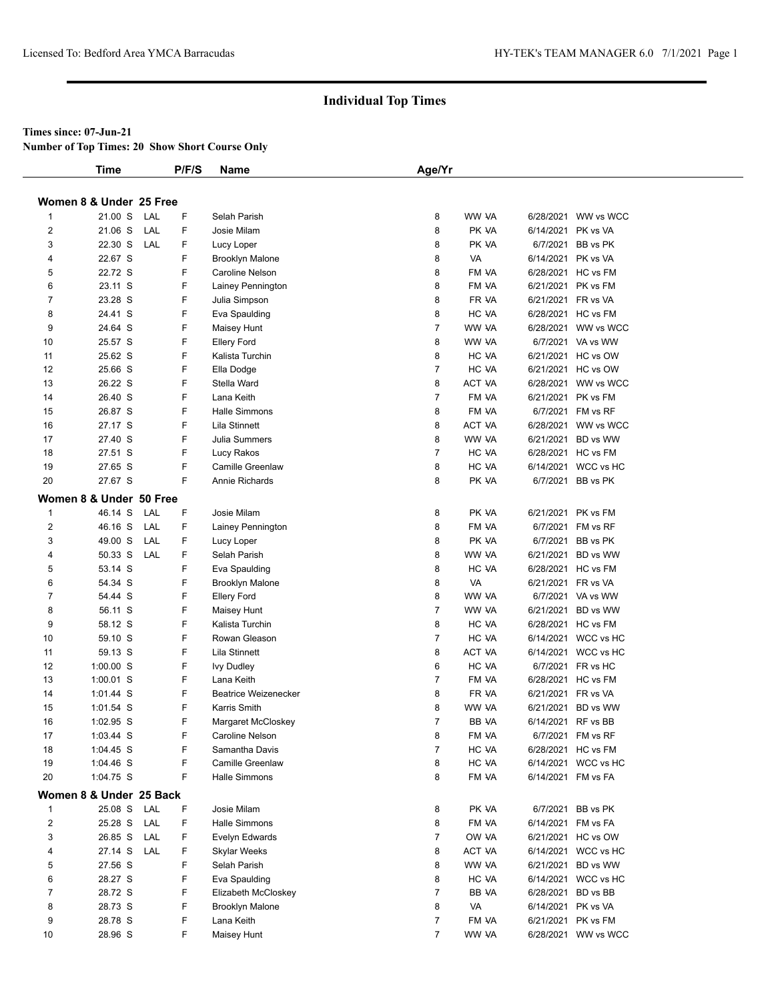#### **Times since: 07-Jun-21**

**Number of Top Times: 20 Show Short Course Only**

|                | <b>Time</b>             |     | P/F/S | Name                        | Age/Yr         |               |                    |                     |
|----------------|-------------------------|-----|-------|-----------------------------|----------------|---------------|--------------------|---------------------|
|                | Women 8 & Under 25 Free |     |       |                             |                |               |                    |                     |
| 1              | 21.00 S                 | LAL | F     | Selah Parish                | 8              | WW VA         |                    | 6/28/2021 WW vs WCC |
| $\overline{2}$ | 21.06 S                 | LAL | F     | Josie Milam                 | 8              | PK VA         | 6/14/2021 PK vs VA |                     |
| 3              | 22.30 S                 | LAL | F     | Lucy Loper                  | 8              | PK VA         |                    | 6/7/2021 BB vs PK   |
| 4              | 22.67 S                 |     | F     | <b>Brooklyn Malone</b>      | 8              | VA            | 6/14/2021 PK vs VA |                     |
| 5              | 22.72 S                 |     | F     | Caroline Nelson             | 8              | FM VA         |                    | 6/28/2021 HC vs FM  |
| 6              | 23.11 S                 |     | F     | Lainey Pennington           | 8              | FM VA         |                    | 6/21/2021 PK vs FM  |
| $\overline{7}$ | 23.28 S                 |     | F     | Julia Simpson               | 8              | FR VA         |                    | 6/21/2021 FR vs VA  |
| 8              | 24.41 S                 |     | F     | Eva Spaulding               | 8              | HC VA         |                    | 6/28/2021 HC vs FM  |
| 9              | 24.64 S                 |     | F     | Maisey Hunt                 | $\overline{7}$ | WW VA         |                    | 6/28/2021 WW vs WCC |
| 10             | 25.57 S                 |     | F     | <b>Ellery Ford</b>          | 8              | WW VA         |                    | 6/7/2021 VA vs WW   |
| 11             | 25.62 S                 |     | F     | Kalista Turchin             | 8              | HC VA         |                    | 6/21/2021 HC vs OW  |
| 12             | 25.66 S                 |     | F     | Ella Dodge                  | $\overline{7}$ | HC VA         |                    | 6/21/2021 HC vs OW  |
| 13             | 26.22 S                 |     | F     | Stella Ward                 | 8              | <b>ACT VA</b> |                    | 6/28/2021 WW vs WCC |
|                |                         |     |       |                             |                |               |                    |                     |
| 14             | 26.40 S                 |     | F     | Lana Keith                  | $\overline{7}$ | FM VA         |                    | 6/21/2021 PK vs FM  |
| 15             | 26.87 S                 |     | F     | Halle Simmons               | 8              | FM VA         |                    | 6/7/2021 FM vs RF   |
| 16             | 27.17 S                 |     | F     | Lila Stinnett               | 8              | <b>ACT VA</b> |                    | 6/28/2021 WW vs WCC |
| 17             | 27.40 S                 |     | F     | Julia Summers               | 8              | WW VA         |                    | 6/21/2021 BD vs WW  |
| 18             | 27.51 S                 |     | F     | Lucy Rakos                  | $\overline{7}$ | HC VA         |                    | 6/28/2021 HC vs FM  |
| 19             | 27.65 S                 |     | F     | <b>Camille Greenlaw</b>     | 8              | HC VA         |                    | 6/14/2021 WCC vs HC |
| 20             | 27.67 S                 |     | F     | Annie Richards              | 8              | PK VA         |                    | 6/7/2021 BB vs PK   |
|                | Women 8 & Under 50 Free |     |       |                             |                |               |                    |                     |
| $\mathbf{1}$   | 46.14 S                 | LAL | F     | Josie Milam                 | 8              | PK VA         |                    | 6/21/2021 PK vs FM  |
| 2              | 46.16 S                 | LAL | F     | Lainey Pennington           | 8              | FM VA         |                    | 6/7/2021 FM vs RF   |
| 3              | 49.00 S                 | LAL | F     | Lucy Loper                  | 8              | PK VA         |                    | 6/7/2021 BB vs PK   |
| 4              | 50.33 S                 | LAL | F     | Selah Parish                | 8              | WW VA         |                    | 6/21/2021 BD vs WW  |
| 5              | 53.14 S                 |     | F     | Eva Spaulding               | 8              | HC VA         |                    | 6/28/2021 HC vs FM  |
| 6              | 54.34 S                 |     | F     | <b>Brooklyn Malone</b>      | 8              | VA            |                    | 6/21/2021 FR vs VA  |
| 7              | 54.44 S                 |     | F     | <b>Ellery Ford</b>          | 8              | WW VA         |                    | 6/7/2021 VA vs WW   |
| 8              | 56.11 S                 |     | F     | Maisey Hunt                 | $\overline{7}$ | WW VA         |                    | 6/21/2021 BD vs WW  |
| 9              | 58.12 S                 |     | F     | Kalista Turchin             | 8              | HC VA         |                    | 6/28/2021 HC vs FM  |
| 10             | 59.10 S                 |     | F     | Rowan Gleason               | $\overline{7}$ | HC VA         |                    | 6/14/2021 WCC vs HC |
| 11             | 59.13 S                 |     | F     | Lila Stinnett               | 8              | ACT VA        |                    | 6/14/2021 WCC vs HC |
| 12             | $1:00.00$ S             |     | F     | <b>Ivy Dudley</b>           | 6              | HC VA         |                    | 6/7/2021 FR vs HC   |
| 13             | $1:00.01$ S             |     | F     | Lana Keith                  | $\overline{7}$ | FM VA         |                    | 6/28/2021 HC vs FM  |
| 14             | $1:01.44$ S             |     | F     | <b>Beatrice Weizenecker</b> | 8              | FR VA         |                    | 6/21/2021 FR vs VA  |
| 15             | $1:01.54$ S             |     | F     | Karris Smith                | 8              | WW VA         |                    | 6/21/2021 BD vs WW  |
| 16             | $1:02.95$ S             |     | F     | Margaret McCloskey          | $\overline{7}$ | BB VA         |                    | 6/14/2021 RF vs BB  |
| 17             | 1:03.44 S               |     | F     | Caroline Nelson             | 8              | FM VA         |                    | 6/7/2021 FM vs RF   |
| 18             | $1:04.45$ S             |     | F     | Samantha Davis              | $\overline{7}$ | HC VA         |                    | 6/28/2021 HC vs FM  |
| 19             | 1:04.46 S               |     | F     | Camille Greenlaw            | 8              | HC VA         |                    | 6/14/2021 WCC vs HC |
| 20             | 1:04.75 S               |     | F     | <b>Halle Simmons</b>        | 8              | FM VA         |                    | 6/14/2021 FM vs FA  |
|                | Women 8 & Under 25 Back |     |       |                             |                |               |                    |                     |
| $\mathbf{1}$   | 25.08 S                 | LAL | F     | Josie Milam                 | 8              | PK VA         |                    | 6/7/2021 BB vs PK   |
| $\overline{2}$ | 25.28 S                 | LAL | F     | Halle Simmons               | 8              | FM VA         |                    | 6/14/2021 FM vs FA  |
| 3              | 26.85 S                 | LAL | F     | Evelyn Edwards              | $\overline{7}$ | OW VA         |                    | 6/21/2021 HC vs OW  |
| 4              | 27.14 S                 | LAL | F     | <b>Skylar Weeks</b>         | 8              | ACT VA        |                    | 6/14/2021 WCC vs HC |
| 5              | 27.56 S                 |     | F     | Selah Parish                | 8              | WW VA         |                    | 6/21/2021 BD vs WW  |
| 6              | 28.27 S                 |     | F     | Eva Spaulding               | 8              | HC VA         |                    | 6/14/2021 WCC vs HC |
| 7              | 28.72 S                 |     | F     | Elizabeth McCloskey         | $\overline{7}$ | BB VA         |                    | 6/28/2021 BD vs BB  |
| 8              | 28.73 S                 |     | F     | <b>Brooklyn Malone</b>      | 8              | VA            |                    | 6/14/2021 PK vs VA  |
| 9              | 28.78 S                 |     | F     | Lana Keith                  | $\overline{7}$ | FM VA         |                    | 6/21/2021 PK vs FM  |
| 10             | 28.96 S                 |     | F.    | Maisey Hunt                 | $\overline{7}$ | WW VA         |                    | 6/28/2021 WW vs WCC |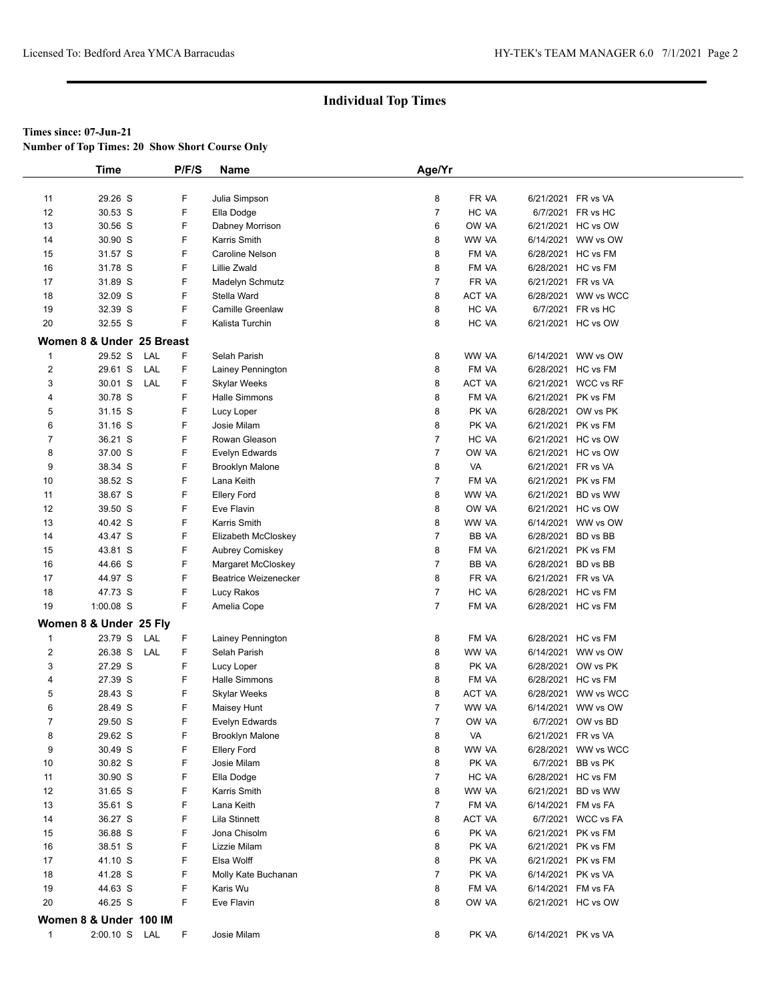**Number of Top Times: 20 Show Short Course Only**

|                     | <b>Time</b>               |            | P/F/S  | Name                        | Age/Yr         |        |                    |                     |  |
|---------------------|---------------------------|------------|--------|-----------------------------|----------------|--------|--------------------|---------------------|--|
|                     |                           |            |        |                             |                |        |                    |                     |  |
| 11                  | 29.26 S                   |            | F      | Julia Simpson               | 8              | FR VA  | 6/21/2021 FR vs VA |                     |  |
| 12                  | 30.53 S                   |            | F      | Ella Dodge                  | 7              | HC VA  |                    | 6/7/2021 FR vs HC   |  |
| 13                  | 30.56 S                   |            | F      | Dabney Morrison             | 6              | OW VA  |                    | 6/21/2021 HC vs OW  |  |
| 14                  | 30.90 S                   |            | F      | Karris Smith                | 8              | WW VA  | 6/14/2021          | WW vs OW            |  |
| 15                  | 31.57 S                   |            | F      | Caroline Nelson             | 8              | FM VA  |                    | 6/28/2021 HC vs FM  |  |
| 16                  | 31.78 S                   |            | F      | <b>Lillie Zwald</b>         | 8              | FM VA  |                    | 6/28/2021 HC vs FM  |  |
| 17                  | 31.89 S                   |            | F      | Madelyn Schmutz             | $\overline{7}$ | FR VA  | 6/21/2021 FR vs VA |                     |  |
| 18                  | 32.09 S                   |            | F      | Stella Ward                 | 8              | ACT VA |                    | 6/28/2021 WW vs WCC |  |
| 19                  | 32.39 S                   |            | F      | <b>Camille Greenlaw</b>     | 8              | HC VA  |                    | 6/7/2021 FR vs HC   |  |
| 20                  | 32.55 S                   |            | F      | Kalista Turchin             | 8              | HC VA  |                    | 6/21/2021 HC vs OW  |  |
|                     | Women 8 & Under 25 Breast |            |        |                             |                |        |                    |                     |  |
|                     | 29.52 S                   | LAL        |        |                             |                |        |                    |                     |  |
| $\mathbf{1}$        |                           |            | F      | Selah Parish                | 8              | WW VA  |                    | 6/14/2021 WW vs OW  |  |
| $\overline{2}$<br>3 | 29.61 S<br>30.01 S        | LAL<br>LAL | F<br>F | Lainey Pennington           | 8              | FM VA  |                    | 6/28/2021 HC vs FM  |  |
|                     |                           |            |        | Skylar Weeks                | 8              | ACT VA |                    | 6/21/2021 WCC vs RF |  |
| 4                   | 30.78 S                   |            | F      | Halle Simmons               | 8              | FM VA  |                    | 6/21/2021 PK vs FM  |  |
| 5                   | 31.15 S                   |            | F      | Lucy Loper                  | 8              | PK VA  | 6/28/2021          | OW vs PK            |  |
| 6                   | 31.16 S                   |            | F      | Josie Milam                 | 8              | PK VA  |                    | 6/21/2021 PK vs FM  |  |
| $\overline{7}$      | 36.21 S                   |            | F      | Rowan Gleason               | 7              | HC VA  |                    | 6/21/2021 HC vs OW  |  |
| 8                   | 37.00 S                   |            | F      | Evelyn Edwards              | $\overline{7}$ | OW VA  |                    | 6/21/2021 HC vs OW  |  |
| 9                   | 38.34 S                   |            | F      | <b>Brooklyn Malone</b>      | 8              | VA     | 6/21/2021 FR vs VA |                     |  |
| 10                  | 38.52 S                   |            | F      | Lana Keith                  | $\overline{7}$ | FM VA  |                    | 6/21/2021 PK vs FM  |  |
| 11                  | 38.67 S                   |            | F      | <b>Ellery Ford</b>          | 8              | WW VA  | 6/21/2021          | BD vs WW            |  |
| 12                  | 39.50 S                   |            | F      | Eve Flavin                  | 8              | OW VA  |                    | 6/21/2021 HC vs OW  |  |
| 13                  | 40.42 S                   |            | F      | Karris Smith                | 8              | WW VA  |                    | 6/14/2021 WW vs OW  |  |
| 14                  | 43.47 S                   |            | F      | Elizabeth McCloskey         | $\overline{7}$ | BB VA  | 6/28/2021          | BD vs BB            |  |
| 15                  | 43.81 S                   |            | F      | <b>Aubrey Comiskey</b>      | 8              | FM VA  | 6/21/2021 PK vs FM |                     |  |
| 16                  | 44.66 S                   |            | F      | Margaret McCloskey          | $\overline{7}$ | BB VA  | 6/28/2021 BD vs BB |                     |  |
| 17                  | 44.97 S                   |            | F      | <b>Beatrice Weizenecker</b> | 8              | FR VA  | 6/21/2021 FR vs VA |                     |  |
| 18                  | 47.73 S                   |            | F      | Lucy Rakos                  | $\overline{7}$ | HC VA  |                    | 6/28/2021 HC vs FM  |  |
| 19                  | $1:00.08$ S               |            | F      | Amelia Cope                 | $\overline{7}$ | FM VA  |                    | 6/28/2021 HC vs FM  |  |
|                     | Women 8 & Under 25 Fly    |            |        |                             |                |        |                    |                     |  |
| $\mathbf{1}$        | 23.79 S                   | LAL        | F      | Lainey Pennington           | 8              | FM VA  |                    | 6/28/2021 HC vs FM  |  |
| $\boldsymbol{2}$    | 26.38 S                   | LAL        | F      | Selah Parish                | 8              | WW VA  |                    | 6/14/2021 WW vs OW  |  |
| 3                   | 27.29 S                   |            | F      | Lucy Loper                  | 8              | PK VA  |                    | 6/28/2021 OW vs PK  |  |
| 4                   | 27.39 S                   |            | F      | <b>Halle Simmons</b>        | 8              | FM VA  |                    | 6/28/2021 HC vs FM  |  |
| 5                   | 28.43 S                   |            | F      | Skylar Weeks                | 8              | ACT VA |                    | 6/28/2021 WW vs WCC |  |
| 6                   | 28.49 S                   |            | F      | Maisey Hunt                 | $\overline{7}$ | WW VA  | 6/14/2021          | WW vs OW            |  |
| $\overline{7}$      | 29.50 S                   |            | F      | Evelyn Edwards              | $\overline{7}$ | OW VA  |                    | 6/7/2021 OW vs BD   |  |
| 8                   | 29.62 S                   |            | F      | <b>Brooklyn Malone</b>      | 8              | VA     | 6/21/2021 FR vs VA |                     |  |
| 9                   | 30.49 S                   |            | F      | <b>Ellery Ford</b>          | 8              | WW VA  |                    | 6/28/2021 WW vs WCC |  |
| 10                  | 30.82 S                   |            | F      | Josie Milam                 | 8              | PK VA  | 6/7/2021           | BB vs PK            |  |
| 11                  | 30.90 S                   |            | F      | Ella Dodge                  | 7              | HC VA  |                    | 6/28/2021 HC vs FM  |  |
| 12                  | 31.65 S                   |            | F      | Karris Smith                | 8              | WW VA  |                    | 6/21/2021 BD vs WW  |  |
| 13                  | 35.61 S                   |            | F      | Lana Keith                  | 7              | FM VA  | 6/14/2021 FM vs FA |                     |  |
| 14                  | 36.27 S                   |            | F      | Lila Stinnett               | 8              | ACT VA |                    | 6/7/2021 WCC vs FA  |  |
| 15                  | 36.88 S                   |            | F      | Jona Chisolm                | 6              | PK VA  |                    | 6/21/2021 PK vs FM  |  |
| 16                  | 38.51 S                   |            | F      | Lizzie Milam                | 8              | PK VA  |                    | 6/21/2021 PK vs FM  |  |
| 17                  | 41.10 S                   |            | F      | Elsa Wolff                  | 8              | PK VA  |                    | 6/21/2021 PK vs FM  |  |
| 18                  | 41.28 S                   |            | F      | Molly Kate Buchanan         | $\overline{7}$ | PK VA  | 6/14/2021 PK vs VA |                     |  |
| 19                  | 44.63 S                   |            | F      | Karis Wu                    | 8              | FM VA  | 6/14/2021 FM vs FA |                     |  |
| 20                  | 46.25 S                   |            | F      | Eve Flavin                  | 8              | OW VA  |                    | 6/21/2021 HC vs OW  |  |
|                     | Women 8 & Under 100 IM    |            |        |                             |                |        |                    |                     |  |
| $\mathbf{1}$        | 2:00.10 S LAL             |            | F      | Josie Milam                 | 8              | PK VA  | 6/14/2021 PK vs VA |                     |  |
|                     |                           |            |        |                             |                |        |                    |                     |  |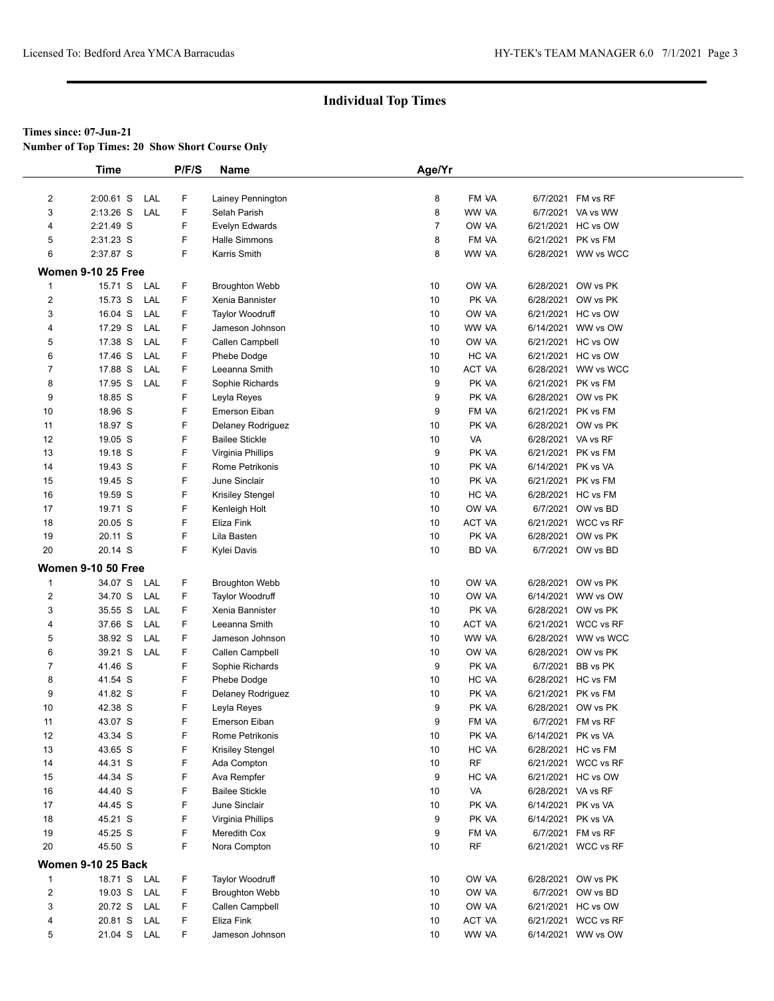**Number of Top Times: 20 Show Short Course Only**

|                  | <b>Time</b>               | P/F/S | Name                    | Age/Yr         |           |                    |                     |  |
|------------------|---------------------------|-------|-------------------------|----------------|-----------|--------------------|---------------------|--|
|                  |                           |       |                         |                |           |                    |                     |  |
| $\overline{2}$   | $2:00.61$ S<br>LAL        | F     | Lainey Pennington       | 8              | FM VA     | 6/7/2021           | FM vs RF            |  |
| 3                | 2:13.26 S<br>LAL          | F     | Selah Parish            | 8              | WW VA     |                    | 6/7/2021 VA vs WW   |  |
| 4                | 2:21.49 S                 | F     | Evelyn Edwards          | $\overline{7}$ | OW VA     |                    | 6/21/2021 HC vs OW  |  |
| 5                | 2:31.23 S                 | F     | Halle Simmons           | 8              | FM VA     | 6/21/2021          | PK vs FM            |  |
| 6                | 2:37.87 S                 | F     | Karris Smith            | 8              | WW VA     |                    | 6/28/2021 WW vs WCC |  |
|                  | <b>Women 9-10 25 Free</b> |       |                         |                |           |                    |                     |  |
| $\mathbf{1}$     | 15.71 S<br>LAL            | F     | <b>Broughton Webb</b>   | 10             | OW VA     | 6/28/2021          | OW vs PK            |  |
| $\boldsymbol{2}$ | 15.73 S<br>LAL            | F     | Xenia Bannister         | 10             | PK VA     | 6/28/2021          | OW vs PK            |  |
| 3                | 16.04 S<br>LAL            | F     | <b>Taylor Woodruff</b>  | 10             | OW VA     | 6/21/2021          | HC vs OW            |  |
| 4                | LAL<br>17.29 S            | F     | Jameson Johnson         | 10             | WW VA     | 6/14/2021          | WW vs OW            |  |
| 5                | 17.38 S<br>LAL            | F     | Callen Campbell         | 10             | OW VA     | 6/21/2021          | HC vs OW            |  |
| 6                | 17.46 S<br>LAL            | F     | Phebe Dodge             | 10             | HC VA     | 6/21/2021          | HC vs OW            |  |
| $\overline{7}$   | 17.88 S<br>LAL            | F     | Leeanna Smith           | 10             | ACT VA    | 6/28/2021          | WW vs WCC           |  |
| 8                | 17.95 S<br>LAL            | F     | Sophie Richards         | 9              | PK VA     | 6/21/2021          | PK vs FM            |  |
| 9                | 18.85 S                   | F     | Leyla Reyes             | 9              | PK VA     | 6/28/2021          | OW vs PK            |  |
| 10               | 18.96 S                   | F     | Emerson Eiban           | 9              | FM VA     | 6/21/2021          | PK vs FM            |  |
| 11               | 18.97 S                   | F     | Delaney Rodriguez       | 10             | PK VA     | 6/28/2021          | OW vs PK            |  |
| 12               | 19.05 S                   | F     | <b>Bailee Stickle</b>   | 10             | VA        | 6/28/2021 VA vs RF |                     |  |
| 13               | 19.18 S                   | F     | Virginia Phillips       | 9              | PK VA     | 6/21/2021          | PK vs FM            |  |
| 14               | 19.43 S                   | F     | Rome Petrikonis         | 10             | PK VA     | 6/14/2021 PK vs VA |                     |  |
| 15               | 19.45 S                   | F     | June Sinclair           | 10             | PK VA     |                    | 6/21/2021 PK vs FM  |  |
| 16               | 19.59 S                   | F     | <b>Krisiley Stengel</b> | 10             | HC VA     |                    | 6/28/2021 HC vs FM  |  |
| 17               | 19.71 S                   | F     | Kenleigh Holt           | 10             | OW VA     | 6/7/2021           | OW vs BD            |  |
| 18               | 20.05 S                   | F     | Eliza Fink              | 10             | ACT VA    | 6/21/2021          | <b>WCC vs RF</b>    |  |
| 19               | 20.11 S                   | F     | Lila Basten             | 10             | PK VA     | 6/28/2021          | OW vs PK            |  |
| 20               | 20.14 S                   | F     | Kylei Davis             | 10             | BD VA     |                    | 6/7/2021 OW vs BD   |  |
|                  | <b>Women 9-10 50 Free</b> |       |                         |                |           |                    |                     |  |
| $\mathbf{1}$     | 34.07 S<br>LAL            | F     | <b>Broughton Webb</b>   | 10             | OW VA     |                    | 6/28/2021 OW vs PK  |  |
| $\boldsymbol{2}$ | 34.70 S<br>LAL            | F     | <b>Taylor Woodruff</b>  | 10             | OW VA     | 6/14/2021          | WW vs OW            |  |
| 3                | LAL<br>35.55 S            | F     | Xenia Bannister         | 10             | PK VA     | 6/28/2021          | OW vs PK            |  |
| 4                | LAL<br>37.66 S            | F     | Leeanna Smith           | 10             | ACT VA    |                    | 6/21/2021 WCC vs RF |  |
| 5                | 38.92 S<br>LAL            | F     | Jameson Johnson         | 10             | WW VA     |                    | 6/28/2021 WW vs WCC |  |
| 6                | 39.21 S<br>LAL            | F     | Callen Campbell         | 10             | OW VA     | 6/28/2021          | OW vs PK            |  |
| 7                | 41.46 S                   | F     | Sophie Richards         | 9              | PK VA     | 6/7/2021           | BB vs PK            |  |
| 8                | 41.54 S                   | F     | Phebe Dodge             | 10             | HC VA     |                    | 6/28/2021 HC vs FM  |  |
| 9                | 41.82 S                   | F     | Delaney Rodriguez       | 10             | PK VA     |                    | 6/21/2021 PK vs FM  |  |
| 10               | 42.38 S                   | F     | Leyla Reyes             | 9              | PK VA     | 6/28/2021          | OW vs PK            |  |
| 11               | 43.07 S                   | F     | <b>Emerson Eiban</b>    | 9              | FM VA     |                    | 6/7/2021 FM vs RF   |  |
| 12               | 43.34 S                   | F     | Rome Petrikonis         | 10             | PK VA     | 6/14/2021 PK vs VA |                     |  |
| 13               | 43.65 S                   | F     | Krisiley Stengel        | 10             | HC VA     |                    | 6/28/2021 HC vs FM  |  |
| 14               | 44.31 S                   | F     | Ada Compton             | 10             | <b>RF</b> |                    | 6/21/2021 WCC vs RF |  |
| 15               | 44.34 S                   | F     | Ava Rempfer             | 9              | HC VA     |                    | 6/21/2021 HC vs OW  |  |
| 16               | 44.40 S                   | F     | <b>Bailee Stickle</b>   | 10             | VA        | 6/28/2021 VA vs RF |                     |  |
| 17               | 44.45 S                   | F     | June Sinclair           | 10             | PK VA     | 6/14/2021          | PK vs VA            |  |
| 18               | 45.21 S                   | F     | Virginia Phillips       | 9              | PK VA     | 6/14/2021 PK vs VA |                     |  |
| 19               | 45.25 S                   | F     | Meredith Cox            | 9              | FM VA     |                    | 6/7/2021 FM vs RF   |  |
| 20               | 45.50 S                   | F     | Nora Compton            | 10             | RF        |                    | 6/21/2021 WCC vs RF |  |
|                  | <b>Women 9-10 25 Back</b> |       |                         |                |           |                    |                     |  |
| $\mathbf{1}$     | 18.71 S LAL               | F     | <b>Taylor Woodruff</b>  | 10             | OW VA     |                    | 6/28/2021 OW vs PK  |  |
| $\overline{2}$   | 19.03 S<br>LAL            | F     | <b>Broughton Webb</b>   | 10             | OW VA     | 6/7/2021           | OW vs BD            |  |
| 3                | 20.72 S<br>LAL            | F     | Callen Campbell         | 10             | OW VA     |                    | 6/21/2021 HC vs OW  |  |
| 4                | 20.81 S<br>LAL            | F     | Eliza Fink              | 10             | ACT VA    |                    | 6/21/2021 WCC vs RF |  |
| 5                | 21.04 S LAL               | F.    | Jameson Johnson         | 10             | WW VA     |                    | 6/14/2021 WW vs OW  |  |
|                  |                           |       |                         |                |           |                    |                     |  |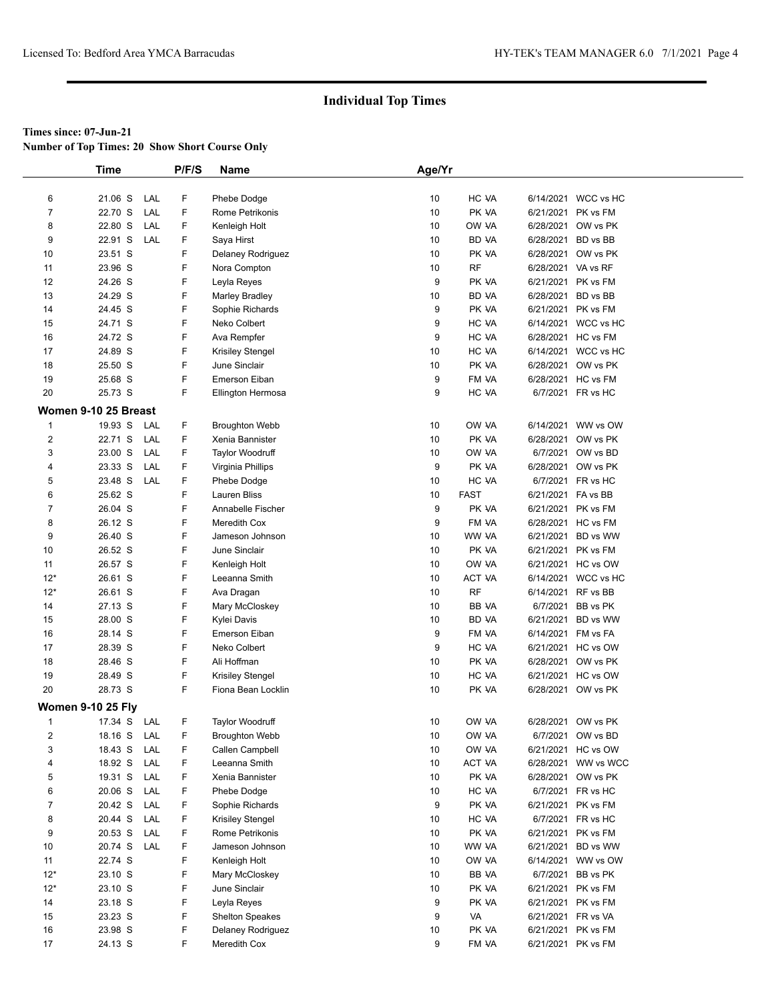**Number of Top Times: 20 Show Short Course Only**

|                          | <b>Time</b>          |     | P/F/S | Name                   | Age/Yr |             |                    |                     |
|--------------------------|----------------------|-----|-------|------------------------|--------|-------------|--------------------|---------------------|
|                          |                      |     |       |                        |        |             |                    |                     |
| 6                        | 21.06 S              | LAL | F     | Phebe Dodge            | 10     | HC VA       |                    | 6/14/2021 WCC vs HC |
| 7                        | 22.70 S              | LAL | F     | Rome Petrikonis        | 10     | PK VA       | 6/21/2021 PK vs FM |                     |
| 8                        | 22.80 S              | LAL | F     | Kenleigh Holt          | 10     | OW VA       |                    | 6/28/2021 OW vs PK  |
| 9                        | 22.91 S              | LAL | F     | Saya Hirst             | 10     | BD VA       | 6/28/2021          | BD vs BB            |
| 10                       | 23.51 S              |     | F     | Delaney Rodriguez      | 10     | PK VA       |                    | 6/28/2021 OW vs PK  |
| 11                       | 23.96 S              |     | F     | Nora Compton           | 10     | RF          | 6/28/2021 VA vs RF |                     |
| 12                       | 24.26 S              |     | F     | Leyla Reyes            | 9      | PK VA       | 6/21/2021 PK vs FM |                     |
| 13                       | 24.29 S              |     | F     | <b>Marley Bradley</b>  | 10     | BD VA       | 6/28/2021 BD vs BB |                     |
| 14                       | 24.45 S              |     | F     | Sophie Richards        | 9      | PK VA       | 6/21/2021 PK vs FM |                     |
| 15                       | 24.71 S              |     | F     | Neko Colbert           | 9      | HC VA       |                    | 6/14/2021 WCC vs HC |
| 16                       | 24.72 S              |     | F     | Ava Rempfer            | 9      | HC VA       | 6/28/2021 HC vs FM |                     |
| 17                       | 24.89 S              |     | F     | Krisiley Stengel       | 10     | HC VA       |                    | 6/14/2021 WCC vs HC |
| 18                       | 25.50 S              |     | F     | June Sinclair          | 10     | PK VA       |                    | 6/28/2021 OW vs PK  |
| 19                       | 25.68 S              |     | F     | Emerson Eiban          | 9      | FM VA       |                    | 6/28/2021 HC vs FM  |
| 20                       | 25.73 S              |     | F     | Ellington Hermosa      | 9      | HC VA       |                    | 6/7/2021 FR vs HC   |
|                          |                      |     |       |                        |        |             |                    |                     |
|                          | Women 9-10 25 Breast |     |       |                        |        |             |                    |                     |
| 1                        | 19.93 S              | LAL | F     | <b>Broughton Webb</b>  | 10     | OW VA       |                    | 6/14/2021 WW vs OW  |
| $\overline{2}$           | 22.71 S              | LAL | F     | Xenia Bannister        | 10     | PK VA       |                    | 6/28/2021 OW vs PK  |
| 3                        | 23.00 S              | LAL | F     | <b>Taylor Woodruff</b> | 10     | OW VA       |                    | 6/7/2021 OW vs BD   |
| 4                        | 23.33 S              | LAL | F     | Virginia Phillips      | 9      | PK VA       |                    | 6/28/2021 OW vs PK  |
| 5                        | 23.48 S              | LAL | F     | Phebe Dodge            | 10     | HC VA       |                    | 6/7/2021 FR vs HC   |
| 6                        | 25.62 S              |     | F     | Lauren Bliss           | 10     | <b>FAST</b> | 6/21/2021 FA vs BB |                     |
| 7                        | 26.04 S              |     | F     | Annabelle Fischer      | 9      | PK VA       | 6/21/2021 PK vs FM |                     |
| 8                        | 26.12 S              |     | F     | Meredith Cox           | 9      | FM VA       |                    | 6/28/2021 HC vs FM  |
| 9                        | 26.40 S              |     | F     | Jameson Johnson        | 10     | WW VA       |                    | 6/21/2021 BD vs WW  |
| 10                       | 26.52 S              |     | F     | June Sinclair          | 10     | PK VA       | 6/21/2021 PK vs FM |                     |
| 11                       | 26.57 S              |     | F     | Kenleigh Holt          | 10     | OW VA       |                    | 6/21/2021 HC vs OW  |
| $12*$                    | 26.61 S              |     | F     | Leeanna Smith          | 10     | ACT VA      |                    | 6/14/2021 WCC vs HC |
| $12*$                    | 26.61 S              |     | F     | Ava Dragan             | 10     | <b>RF</b>   | 6/14/2021 RF vs BB |                     |
| 14                       | 27.13 S              |     | F     | Mary McCloskey         | 10     | BB VA       |                    | 6/7/2021 BB vs PK   |
| 15                       | 28.00 S              |     | F     | Kylei Davis            | 10     | BD VA       |                    | 6/21/2021 BD vs WW  |
| 16                       | 28.14 S              |     | F     | Emerson Eiban          | 9      | FM VA       | 6/14/2021 FM vs FA |                     |
| 17                       | 28.39 S              |     | F     | Neko Colbert           | 9      | HC VA       |                    | 6/21/2021 HC vs OW  |
| 18                       | 28.46 S              |     | F     | Ali Hoffman            | 10     | PK VA       |                    | 6/28/2021 OW vs PK  |
| 19                       | 28.49 S              |     | F     | Krisiley Stengel       | 10     | HC VA       |                    | 6/21/2021 HC vs OW  |
| 20                       | 28.73 S              |     | F     | Fiona Bean Locklin     | 10     | PK VA       |                    | 6/28/2021 OW vs PK  |
| <b>Women 9-10 25 Fly</b> |                      |     |       |                        |        |             |                    |                     |
| 1                        | 17.34 S              | LAL | F     | <b>Taylor Woodruff</b> | 10     | OW VA       |                    | 6/28/2021 OW vs PK  |
| 2                        | 18.16 S              | LAL | F     | <b>Broughton Webb</b>  | 10     | OW VA       |                    | 6/7/2021 OW vs BD   |
| 3                        | 18.43 S              | LAL | F     | Callen Campbell        | 10     | OW VA       |                    | 6/21/2021 HC vs OW  |
| 4                        | 18.92 S              | LAL | F     | Leeanna Smith          | 10     | ACT VA      |                    | 6/28/2021 WW vs WCC |
| 5                        | 19.31 S              | LAL | F     | Xenia Bannister        | 10     | PK VA       |                    | 6/28/2021 OW vs PK  |
| 6                        | 20.06 S              | LAL | F     | Phebe Dodge            | 10     | HC VA       |                    | 6/7/2021 FR vs HC   |
| 7                        | 20.42 S              | LAL | F     | Sophie Richards        | 9      | PK VA       | 6/21/2021 PK vs FM |                     |
| 8                        | 20.44 S              | LAL | F     | Krisiley Stengel       | 10     | HC VA       |                    | 6/7/2021 FR vs HC   |
| 9                        | 20.53 S              | LAL | F     | Rome Petrikonis        | 10     | PK VA       |                    | 6/21/2021 PK vs FM  |
| 10                       | 20.74 S              | LAL | F     | Jameson Johnson        | 10     | WW VA       |                    | 6/21/2021 BD vs WW  |
| 11                       | 22.74 S              |     | F     | Kenleigh Holt          | 10     | OW VA       |                    | 6/14/2021 WW vs OW  |
| $12*$                    | 23.10 S              |     | F     | Mary McCloskey         | 10     | BB VA       |                    | 6/7/2021 BB vs PK   |
| $12*$                    | 23.10 S              |     | F     | June Sinclair          | 10     | PK VA       | 6/21/2021 PK vs FM |                     |
| 14                       | 23.18 S              |     | F     | Leyla Reyes            | 9      | PK VA       | 6/21/2021 PK vs FM |                     |
| 15                       | 23.23 S              |     | F     | <b>Shelton Speakes</b> | 9      | VA          | 6/21/2021 FR vs VA |                     |
| 16                       | 23.98 S              |     | F     | Delaney Rodriguez      | 10     | PK VA       | 6/21/2021 PK vs FM |                     |
| 17                       | 24.13 S              |     | F     | Meredith Cox           | 9      | FM VA       | 6/21/2021 PK vs FM |                     |
|                          |                      |     |       |                        |        |             |                    |                     |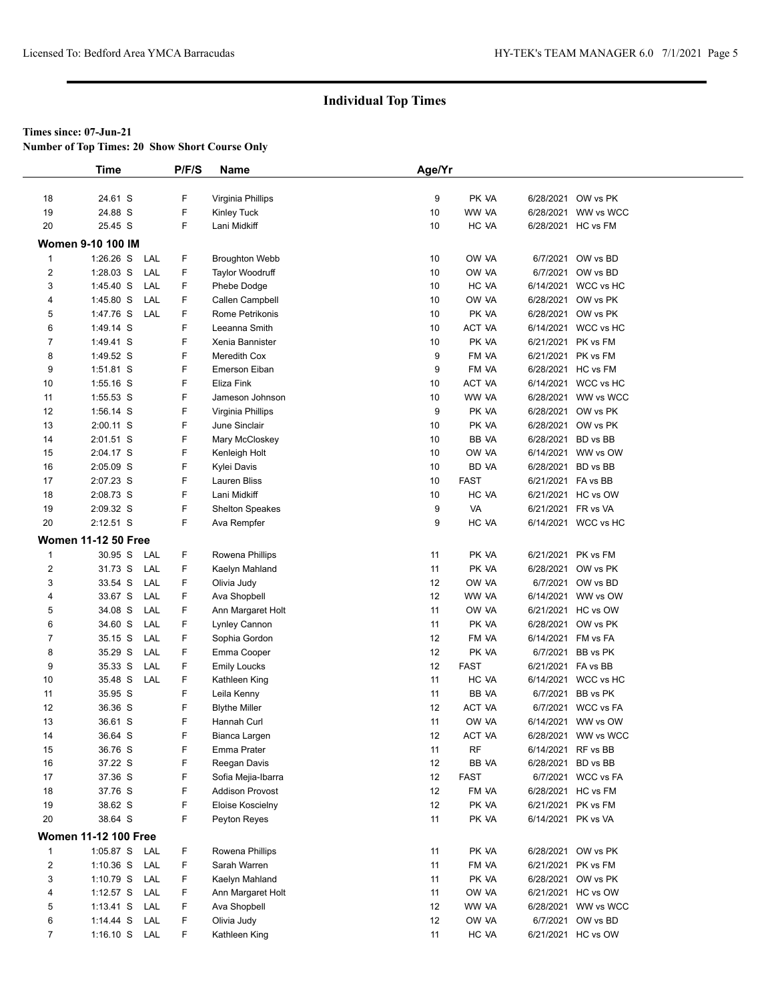**Number of Top Times: 20 Show Short Course Only**

|                  | <b>Time</b>                 | P/F/S | Name                   | Age/Yr |             |                    |                     |  |
|------------------|-----------------------------|-------|------------------------|--------|-------------|--------------------|---------------------|--|
|                  |                             |       |                        |        |             |                    |                     |  |
| 18               | 24.61 S                     | F     | Virginia Phillips      | 9      | PK VA       |                    | 6/28/2021 OW vs PK  |  |
| 19               | 24.88 S                     | F     | Kinley Tuck            | 10     | WW VA       | 6/28/2021          | WW vs WCC           |  |
| 20               | 25.45 S                     | F     | Lani Midkiff           | 10     | HC VA       |                    | 6/28/2021 HC vs FM  |  |
|                  | <b>Women 9-10 100 IM</b>    |       |                        |        |             |                    |                     |  |
| $\mathbf{1}$     | $1:26.26$ S<br>LAL          | F     | <b>Broughton Webb</b>  | 10     | OW VA       | 6/7/2021           | OW vs BD            |  |
| $\overline{2}$   | $1:28.03$ S<br>LAL          | F     | Taylor Woodruff        | 10     | OW VA       | 6/7/2021           | OW vs BD            |  |
| 3                | LAL<br>1:45.40 S            | F     | Phebe Dodge            | 10     | HC VA       |                    | 6/14/2021 WCC vs HC |  |
| 4                | LAL<br>1:45.80 S            | F     | Callen Campbell        | 10     | OW VA       | 6/28/2021          | OW vs PK            |  |
| 5                | 1:47.76 S<br>LAL            | F     | Rome Petrikonis        | 10     | PK VA       | 6/28/2021          | OW vs PK            |  |
| 6                | 1:49.14 S                   | F     | Leeanna Smith          | 10     | ACT VA      |                    | 6/14/2021 WCC vs HC |  |
| $\overline{7}$   | 1:49.41 S                   | F     | Xenia Bannister        | 10     | PK VA       | 6/21/2021          | PK vs FM            |  |
| 8                | 1:49.52 S                   | F     | Meredith Cox           | 9      | FM VA       | 6/21/2021          | PK vs FM            |  |
| 9                | 1:51.81 S                   | F     | Emerson Eiban          | 9      | FM VA       |                    | 6/28/2021 HC vs FM  |  |
| 10               | 1:55.16 S                   | F     | Eliza Fink             | 10     | ACT VA      |                    | 6/14/2021 WCC vs HC |  |
| 11               | 1:55.53 S                   | F     | Jameson Johnson        | 10     | WW VA       |                    | 6/28/2021 WW vs WCC |  |
| 12               | 1:56.14 S                   | F     | Virginia Phillips      | 9      | PK VA       | 6/28/2021          | OW vs PK            |  |
| 13               | 2:00.11 S                   | F     | June Sinclair          | 10     | PK VA       | 6/28/2021          | OW vs PK            |  |
| 14               | 2:01.51 S                   | F     | Mary McCloskey         | 10     | BB VA       | 6/28/2021          | BD vs BB            |  |
| 15               | 2:04.17 S                   | F     | Kenleigh Holt          | 10     | OW VA       | 6/14/2021          | WW vs OW            |  |
| 16               | 2:05.09 S                   | F     | Kylei Davis            | 10     | BD VA       | 6/28/2021          | BD vs BB            |  |
| 17               | 2:07.23 S                   | F     | <b>Lauren Bliss</b>    | 10     | <b>FAST</b> | 6/21/2021 FA vs BB |                     |  |
| 18               | 2:08.73 S                   | F     | Lani Midkiff           | 10     | HC VA       |                    | 6/21/2021 HC vs OW  |  |
| 19               | 2:09.32 S                   | F     | <b>Shelton Speakes</b> | 9      | VA          | 6/21/2021          | FR vs VA            |  |
| 20               | 2:12.51 S                   | F     | Ava Rempfer            | 9      | HC VA       |                    | 6/14/2021 WCC vs HC |  |
|                  | <b>Women 11-12 50 Free</b>  |       |                        |        |             |                    |                     |  |
| $\mathbf{1}$     | 30.95 S<br>LAL              | F.    | Rowena Phillips        | 11     | PK VA       | 6/21/2021          | PK vs FM            |  |
| $\boldsymbol{2}$ | 31.73 S<br>LAL              | F     | Kaelyn Mahland         | 11     | PK VA       | 6/28/2021          | OW vs PK            |  |
| 3                | 33.54 S<br>LAL              | F     | Olivia Judy            | 12     | OW VA       | 6/7/2021           | OW vs BD            |  |
| 4                | 33.67 S<br>LAL              | F     | Ava Shopbell           | 12     | WW VA       | 6/14/2021          | WW vs OW            |  |
| 5                | 34.08 S<br>LAL              | F     | Ann Margaret Holt      | 11     | OW VA       |                    | 6/21/2021 HC vs OW  |  |
| 6                | 34.60 S<br>LAL              | F     | Lynley Cannon          | 11     | PK VA       | 6/28/2021          | OW vs PK            |  |
| $\overline{7}$   | 35.15 S<br>LAL              | F     | Sophia Gordon          | 12     | FM VA       | 6/14/2021          | FM vs FA            |  |
| 8                | 35.29 S<br>LAL              | F     | Emma Cooper            | 12     | PK VA       | 6/7/2021           | BB vs PK            |  |
| 9                | 35.33 S<br>LAL              | F     | <b>Emily Loucks</b>    | 12     | <b>FAST</b> | 6/21/2021 FA vs BB |                     |  |
| 10               | 35.48 S<br>LAL              | F     | Kathleen King          | 11     | HC VA       |                    | 6/14/2021 WCC vs HC |  |
| 11               | 35.95 S                     | F     | Leila Kenny            | 11     | BB VA       | 6/7/2021           | BB vs PK            |  |
| 12               | 36.36 S                     | F     | <b>Blythe Miller</b>   | 12     | ACT VA      |                    | 6/7/2021 WCC vs FA  |  |
| 13               | 36.61 S                     | F     | Hannah Curl            | 11     | OW VA       |                    | 6/14/2021 WW vs OW  |  |
| 14               | 36.64 S                     | F     | Bianca Largen          | 12     | ACT VA      |                    | 6/28/2021 WW vs WCC |  |
| 15               | 36.76 S                     | F     | Emma Prater            | 11     | <b>RF</b>   | 6/14/2021 RF vs BB |                     |  |
| 16               | 37.22 S                     | F     | Reegan Davis           | 12     | BB VA       | 6/28/2021          | BD vs BB            |  |
| 17               | 37.36 S                     | F     | Sofia Mejia-Ibarra     | 12     | <b>FAST</b> |                    | 6/7/2021 WCC vs FA  |  |
| 18               | 37.76 S                     | F     | <b>Addison Provost</b> | 12     | FM VA       |                    | 6/28/2021 HC vs FM  |  |
| 19               | 38.62 S                     | F     | Eloise Koscielny       | 12     | PK VA       |                    | 6/21/2021 PK vs FM  |  |
| 20               | 38.64 S                     | F     | Peyton Reyes           | 11     | PK VA       | 6/14/2021 PK vs VA |                     |  |
|                  | <b>Women 11-12 100 Free</b> |       |                        |        |             |                    |                     |  |
| $\mathbf{1}$     | 1:05.87 S<br>LAL            | F     | Rowena Phillips        | 11     | PK VA       |                    | 6/28/2021 OW vs PK  |  |
| $\overline{2}$   | $1:10.36$ S<br>LAL          | F     | Sarah Warren           | 11     | FM VA       | 6/21/2021          | PK vs FM            |  |
| 3                | 1:10.79 S<br>LAL            | F     | Kaelyn Mahland         | 11     | PK VA       | 6/28/2021          | OW vs PK            |  |
| 4                | $1:12.57$ S<br>LAL          | F     | Ann Margaret Holt      | 11     | OW VA       |                    | 6/21/2021 HC vs OW  |  |
| 5                | $1:13.41$ S<br>LAL          | F     | Ava Shopbell           | 12     | WW VA       |                    | 6/28/2021 WW vs WCC |  |
| 6                | $1:14.44$ S<br>LAL          | F     | Olivia Judy            | 12     | OW VA       | 6/7/2021           | OW vs BD            |  |
| $\overline{7}$   | 1:16.10 S LAL               | F     | Kathleen King          | 11     | HC VA       |                    | 6/21/2021 HC vs OW  |  |
|                  |                             |       |                        |        |             |                    |                     |  |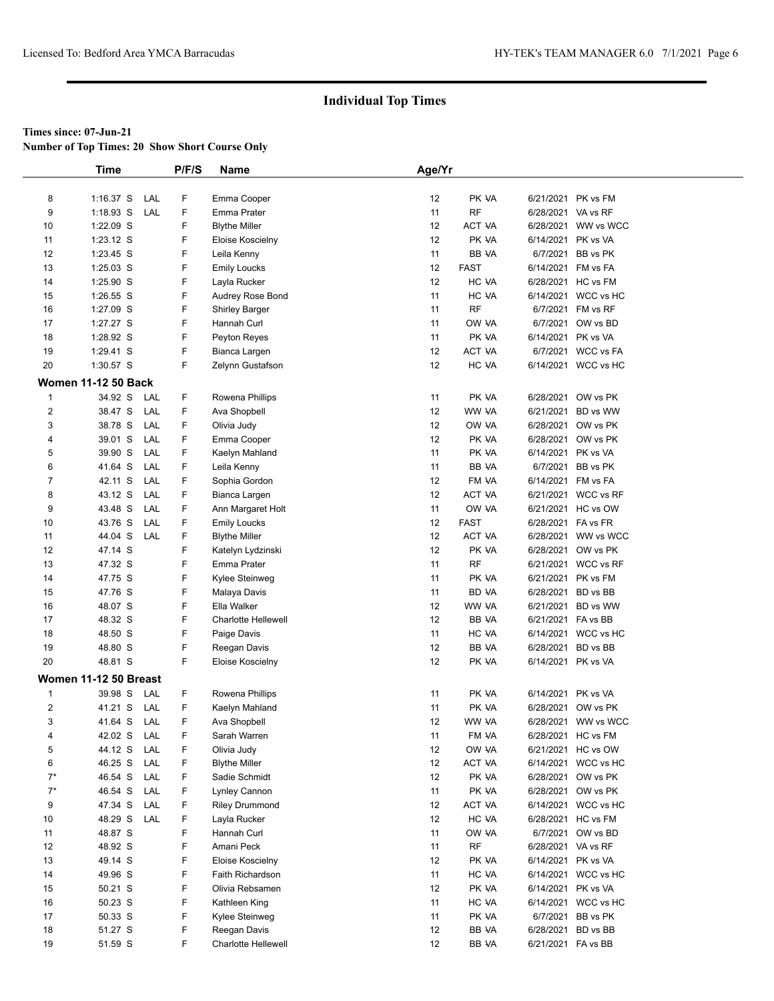**Number of Top Times: 20 Show Short Course Only**

|                  | <b>Time</b>                |     | P/F/S | Name                       | Age/Yr   |               |                    |                     |
|------------------|----------------------------|-----|-------|----------------------------|----------|---------------|--------------------|---------------------|
|                  |                            |     |       |                            |          |               |                    |                     |
| 8                | $1:16.37$ S                | LAL | F     | Emma Cooper                | 12       | PK VA         | 6/21/2021 PK vs FM |                     |
| 9                | $1:18.93$ S                | LAL | F     | Emma Prater                | 11       | <b>RF</b>     | 6/28/2021 VA vs RF |                     |
| 10               | 1:22.09 S                  |     | F     | <b>Blythe Miller</b>       | 12       | ACT VA        |                    | 6/28/2021 WW vs WCC |
| 11               | 1:23.12 S                  |     | F     | Eloise Koscielny           | 12       | PK VA         | 6/14/2021          | PK vs VA            |
| 12               | 1:23.45 S                  |     | F     | Leila Kenny                | 11       | BB VA         |                    | 6/7/2021 BB vs PK   |
| 13               | 1:25.03 S                  |     | F     | <b>Emily Loucks</b>        | 12       | <b>FAST</b>   | 6/14/2021 FM vs FA |                     |
| 14               | 1:25.90 S                  |     | F     | Layla Rucker               | 12       | HC VA         | 6/28/2021          | HC vs FM            |
| 15               | 1:26.55 S                  |     | F     | Audrey Rose Bond           | 11       | HC VA         |                    | 6/14/2021 WCC vs HC |
| 16               | 1:27.09 S                  |     | F     | Shirley Barger             | 11       | <b>RF</b>     |                    | 6/7/2021 FM vs RF   |
| 17               | 1:27.27 S                  |     | F     | Hannah Curl                | 11       | OW VA         |                    | 6/7/2021 OW vs BD   |
| 18               | 1:28.92 S                  |     | F     | Peyton Reyes               | 11       | PK VA         | 6/14/2021          | PK vs VA            |
| 19               | 1:29.41 S                  |     | F     | Bianca Largen              | 12       | ACT VA        |                    | 6/7/2021 WCC vs FA  |
| 20               | 1:30.57 S                  |     | F     | Zelynn Gustafson           | 12       | HC VA         |                    | 6/14/2021 WCC vs HC |
|                  | <b>Women 11-12 50 Back</b> |     |       |                            |          |               |                    |                     |
| $\mathbf{1}$     | 34.92 S                    | LAL | F     | Rowena Phillips            | 11       | PK VA         |                    | 6/28/2021 OW vs PK  |
| $\boldsymbol{2}$ | 38.47 S                    | LAL | F     | Ava Shopbell               | 12       | WW VA         |                    | 6/21/2021 BD vs WW  |
| 3                | 38.78 S                    | LAL | F     | Olivia Judy                | 12       | OW VA         |                    | 6/28/2021 OW vs PK  |
|                  | 39.01 S                    | LAL | F     |                            | 12       | PK VA         |                    | 6/28/2021 OW vs PK  |
| 4                | 39.90 S                    | LAL | F     | Emma Cooper                |          |               |                    |                     |
| 5<br>6           |                            | LAL | F     | Kaelyn Mahland             | 11<br>11 | PK VA         | 6/14/2021 PK vs VA |                     |
|                  | 41.64 S                    |     |       | Leila Kenny                |          | BB VA         |                    | 6/7/2021 BB vs PK   |
| $\overline{7}$   | 42.11 S                    | LAL | F     | Sophia Gordon              | 12       | FM VA         | 6/14/2021 FM vs FA |                     |
| 8                | 43.12 S                    | LAL | F     | Bianca Largen              | 12       | ACT VA        |                    | 6/21/2021 WCC vs RF |
| 9                | 43.48 S                    | LAL | F     | Ann Margaret Holt          | 11       | OW VA         |                    | 6/21/2021 HC vs OW  |
| 10               | 43.76 S                    | LAL | F     | <b>Emily Loucks</b>        | 12       | <b>FAST</b>   | 6/28/2021 FA vs FR |                     |
| 11               | 44.04 S                    | LAL | F     | <b>Blythe Miller</b>       | 12       | <b>ACT VA</b> |                    | 6/28/2021 WW vs WCC |
| 12               | 47.14 S                    |     | F     | Katelyn Lydzinski          | 12       | PK VA         |                    | 6/28/2021 OW vs PK  |
| 13               | 47.32 S                    |     | F     | Emma Prater                | 11       | RF            |                    | 6/21/2021 WCC vs RF |
| 14               | 47.75 S                    |     | F     | Kylee Steinweg             | 11       | PK VA         |                    | 6/21/2021 PK vs FM  |
| 15               | 47.76 S                    |     | F     | Malaya Davis               | 11       | <b>BD VA</b>  | 6/28/2021 BD vs BB |                     |
| 16               | 48.07 S                    |     | F     | Ella Walker                | 12       | WW VA         |                    | 6/21/2021 BD vs WW  |
| 17               | 48.32 S                    |     | F     | <b>Charlotte Hellewell</b> | 12       | BB VA         | 6/21/2021 FA vs BB |                     |
| 18               | 48.50 S                    |     | F     | Paige Davis                | 11       | HC VA         |                    | 6/14/2021 WCC vs HC |
| 19               | 48.80 S                    |     | F     | Reegan Davis               | 12       | BB VA         | 6/28/2021          | BD vs BB            |
| 20               | 48.81 S                    |     | F     | Eloise Koscielny           | 12       | PK VA         | 6/14/2021 PK vs VA |                     |
|                  | Women 11-12 50 Breast      |     |       |                            |          |               |                    |                     |
| $\mathbf{1}$     | 39.98 S                    | LAL | F     | Rowena Phillips            | 11       | PK VA         | 6/14/2021          | PK vs VA            |
| $\overline{c}$   | 41.21 S                    | LAL | F     | Kaelyn Mahland             | 11       | PK VA         |                    | 6/28/2021 OW vs PK  |
| 3                | 41.64 S                    | LAL | F.    | Ava Shopbell               | 12       | WW VA         |                    | 6/28/2021 WW vs WCC |
| 4                | 42.02 S                    | LAL | F     | Sarah Warren               | 11       | FM VA         |                    | 6/28/2021 HC vs FM  |
| 5                | 44.12 S                    | LAL | F     | Olivia Judy                | 12       | OW VA         |                    | 6/21/2021 HC vs OW  |
| 6                | 46.25 S                    | LAL | F     | <b>Blythe Miller</b>       | 12       | ACT VA        |                    | 6/14/2021 WCC vs HC |
| $7^*$            | 46.54 S                    | LAL | F     | Sadie Schmidt              | 12       | PK VA         |                    | 6/28/2021 OW vs PK  |
| $7^*$            | 46.54 S                    | LAL | F     | Lynley Cannon              | 11       | PK VA         |                    | 6/28/2021 OW vs PK  |
| 9                | 47.34 S                    | LAL | F     | <b>Riley Drummond</b>      | 12       | <b>ACT VA</b> |                    | 6/14/2021 WCC vs HC |
| 10               | 48.29 S                    | LAL | F     | Layla Rucker               | 12       | HC VA         |                    | 6/28/2021 HC vs FM  |
| 11               | 48.87 S                    |     | F     | Hannah Curl                | 11       | OW VA         |                    | 6/7/2021 OW vs BD   |
| 12               | 48.92 S                    |     | F     | Amani Peck                 | 11       | RF            | 6/28/2021 VA vs RF |                     |
| 13               | 49.14 S                    |     | F     | Eloise Koscielny           | 12       | PK VA         | 6/14/2021 PK vs VA |                     |
| 14               | 49.96 S                    |     | F     | Faith Richardson           | 11       | HC VA         |                    | 6/14/2021 WCC vs HC |
| 15               | 50.21 S                    |     | F     | Olivia Rebsamen            | 12       | PK VA         | 6/14/2021 PK vs VA |                     |
| 16               | 50.23 S                    |     | F     | Kathleen King              | 11       | HC VA         |                    | 6/14/2021 WCC vs HC |
| 17               | 50.33 S                    |     | F     | Kylee Steinweg             | 11       | PK VA         |                    | 6/7/2021 BB vs PK   |
| 18               | 51.27 S                    |     | F     | Reegan Davis               | 12       | BB VA         | 6/28/2021 BD vs BB |                     |
| 19               | 51.59 S                    |     | F     | <b>Charlotte Hellewell</b> | 12       | BB VA         | 6/21/2021 FA vs BB |                     |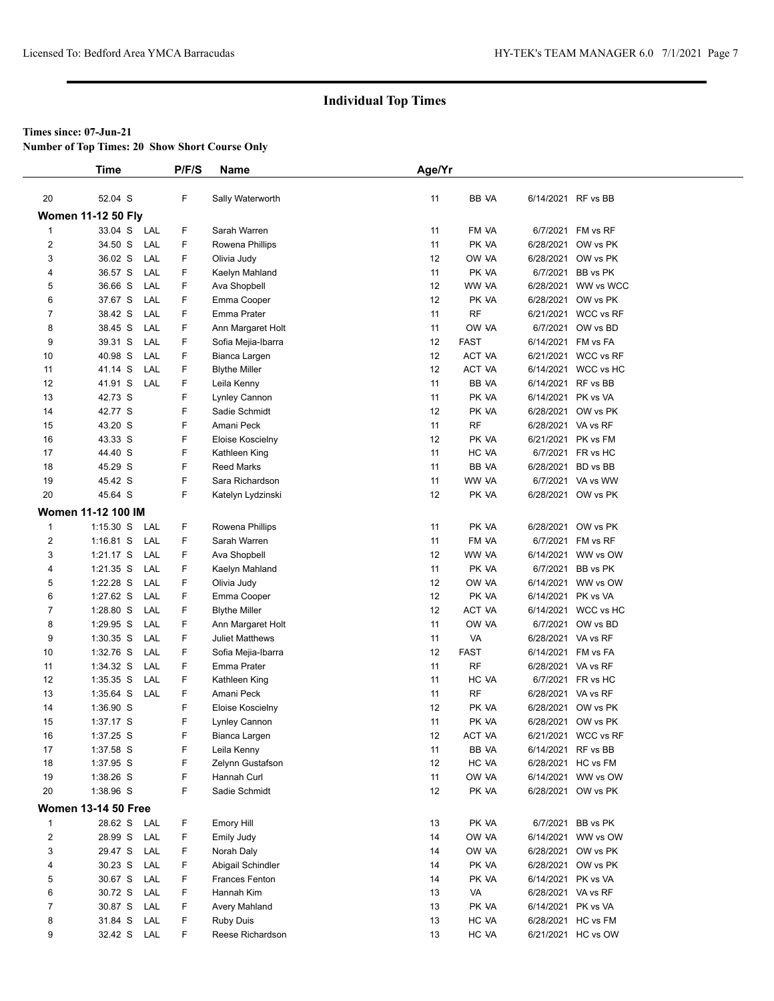**Number of Top Times: 20 Show Short Course Only**

|                | <b>Time</b>                |     | P/F/S | Name                  | Age/Yr |             |           |                     |
|----------------|----------------------------|-----|-------|-----------------------|--------|-------------|-----------|---------------------|
|                |                            |     |       |                       |        |             |           |                     |
| 20             | 52.04 S                    |     | F     | Sally Waterworth      | 11     | BB VA       |           | 6/14/2021 RF vs BB  |
|                | <b>Women 11-12 50 Fly</b>  |     |       |                       |        |             |           |                     |
| $\mathbf{1}$   | 33.04 S                    | LAL | F     | Sarah Warren          | 11     | FM VA       | 6/7/2021  | FM vs RF            |
| 2              | 34.50 S                    | LAL | F     | Rowena Phillips       | 11     | PK VA       |           | 6/28/2021 OW vs PK  |
| 3              | 36.02 S                    | LAL | F     | Olivia Judy           | 12     | OW VA       |           | 6/28/2021 OW vs PK  |
| 4              | 36.57 S                    | LAL | F     | Kaelyn Mahland        | 11     | PK VA       | 6/7/2021  | BB vs PK            |
| 5              | 36.66 S                    | LAL | F     | Ava Shopbell          | 12     | WW VA       | 6/28/2021 | WW vs WCC           |
| 6              | 37.67 S                    | LAL | F     | Emma Cooper           | 12     | PK VA       |           | 6/28/2021 OW vs PK  |
| 7              | 38.42 S                    | LAL | F     | Emma Prater           | 11     | <b>RF</b>   |           | 6/21/2021 WCC vs RF |
| 8              | 38.45 S                    | LAL | F     | Ann Margaret Holt     | 11     | OW VA       | 6/7/2021  | OW vs BD            |
| 9              | 39.31 S                    | LAL | F     | Sofia Mejia-Ibarra    | 12     | <b>FAST</b> | 6/14/2021 | FM vs FA            |
| 10             | 40.98 S                    | LAL | F     | Bianca Largen         | 12     | ACT VA      |           | 6/21/2021 WCC vs RF |
| 11             | 41.14 S                    | LAL | F.    | <b>Blythe Miller</b>  | 12     | ACT VA      |           | 6/14/2021 WCC vs HC |
| 12             | 41.91 S                    | LAL | F     | Leila Kenny           | 11     | BB VA       | 6/14/2021 | RF vs BB            |
| 13             | 42.73 S                    |     | F     | Lynley Cannon         | 11     | PK VA       |           | 6/14/2021 PK vs VA  |
| 14             | 42.77 S                    |     | F     | Sadie Schmidt         | 12     | PK VA       |           | 6/28/2021 OW vs PK  |
| 15             | 43.20 S                    |     | F     | Amani Peck            | 11     | <b>RF</b>   |           | 6/28/2021 VA vs RF  |
| 16             | 43.33 S                    |     | F     | Eloise Koscielny      | 12     | PK VA       |           | 6/21/2021 PK vs FM  |
| 17             | 44.40 S                    |     | F     | Kathleen King         | 11     | HC VA       |           | 6/7/2021 FR vs HC   |
| 18             | 45.29 S                    |     | F     | <b>Reed Marks</b>     | 11     | BB VA       | 6/28/2021 | BD vs BB            |
| 19             | 45.42 S                    |     | F     | Sara Richardson       | 11     | WW VA       |           | 6/7/2021 VA vs WW   |
| 20             | 45.64 S                    |     | F     | Katelyn Lydzinski     | 12     | PK VA       |           | 6/28/2021 OW vs PK  |
|                | <b>Women 11-12 100 IM</b>  |     |       |                       |        |             |           |                     |
| $\mathbf{1}$   | $1:15.30$ S                | LAL | F     | Rowena Phillips       | 11     | PK VA       |           | 6/28/2021 OW vs PK  |
| $\overline{2}$ | $1:16.81$ S                | LAL | F     | Sarah Warren          | 11     | FM VA       |           | 6/7/2021 FM vs RF   |
| 3              | $1:21.17$ S                | LAL | F     | Ava Shopbell          | 12     | WW VA       | 6/14/2021 | WW vs OW            |
| 4              | 1:21.35 S                  | LAL | F     | Kaelyn Mahland        | 11     | PK VA       | 6/7/2021  | BB vs PK            |
| 5              | 1:22.28 S                  | LAL | F     | Olivia Judy           | 12     | OW VA       |           | 6/14/2021 WW vs OW  |
| 6              | 1:27.62 S                  | LAL | F     | Emma Cooper           | 12     | PK VA       | 6/14/2021 | PK vs VA            |
| $\overline{7}$ | 1:28.80 S                  | LAL | F     | <b>Blythe Miller</b>  | 12     | ACT VA      |           | 6/14/2021 WCC vs HC |
| 8              | 1:29.95 S                  | LAL | F     | Ann Margaret Holt     | 11     | OW VA       |           | 6/7/2021 OW vs BD   |
| 9              | $1:30.35$ S                | LAL | F     | Juliet Matthews       | 11     | VA          |           | 6/28/2021 VA vs RF  |
| 10             | 1:32.76 S                  | LAL | F.    | Sofia Mejia-Ibarra    | 12     | <b>FAST</b> |           | 6/14/2021 FM vs FA  |
| 11             | 1:34.32 S                  | LAL | F     | Emma Prater           | 11     | <b>RF</b>   |           | 6/28/2021 VA vs RF  |
| 12             | 1:35.35 S                  | LAL | F     | Kathleen King         | 11     | HC VA       |           | 6/7/2021 FR vs HC   |
| 13             | 1:35.64 S                  | LAL | F     | Amani Peck            | 11     | <b>RF</b>   |           | 6/28/2021 VA vs RF  |
| 14             | 1:36.90 S                  |     | F     | Eloise Koscielny      | 12     | PK VA       |           | 6/28/2021 OW vs PK  |
| 15             | 1:37.17 S                  |     | F     | Lynley Cannon         | 11     | PK VA       |           | 6/28/2021 OW vs PK  |
| 16             | 1:37.25 S                  |     | F     | Bianca Largen         | 12     | ACT VA      |           | 6/21/2021 WCC vs RF |
| 17             | 1:37.58 S                  |     | F     | Leila Kenny           | 11     | BB VA       |           | 6/14/2021 RF vs BB  |
| 18             | 1:37.95 S                  |     | F     | Zelynn Gustafson      | 12     | HC VA       |           | 6/28/2021 HC vs FM  |
| 19             | 1:38.26 S                  |     | F     | Hannah Curl           | 11     | OW VA       |           | 6/14/2021 WW vs OW  |
| 20             | 1:38.96 S                  |     | F     | Sadie Schmidt         | 12     | PK VA       |           | 6/28/2021 OW vs PK  |
|                | <b>Women 13-14 50 Free</b> |     |       |                       |        |             |           |                     |
| $\mathbf{1}$   | 28.62 S                    | LAL | F.    | Emory Hill            | 13     | PK VA       |           | 6/7/2021 BB vs PK   |
| $\overline{2}$ | 28.99 S                    | LAL | F     | Emily Judy            | 14     | OW VA       |           | 6/14/2021 WW vs OW  |
| 3              | 29.47 S                    | LAL | F     | Norah Daly            | 14     | OW VA       |           | 6/28/2021 OW vs PK  |
| 4              | 30.23 S                    | LAL | F     | Abigail Schindler     | 14     | PK VA       |           | 6/28/2021 OW vs PK  |
| 5              | 30.67 S                    | LAL | F     | <b>Frances Fenton</b> | 14     | PK VA       |           | 6/14/2021 PK vs VA  |
| 6              | 30.72 S                    | LAL | F     | Hannah Kim            | 13     | VA          |           | 6/28/2021 VA vs RF  |
| 7              | 30.87 S                    | LAL | F     | Avery Mahland         | 13     | PK VA       |           | 6/14/2021 PK vs VA  |
| 8              | 31.84 S                    | LAL | F     | <b>Ruby Duis</b>      | 13     | HC VA       |           | 6/28/2021 HC vs FM  |
| 9              | 32.42 S                    | LAL | F.    | Reese Richardson      | 13     | HC VA       |           | 6/21/2021 HC vs OW  |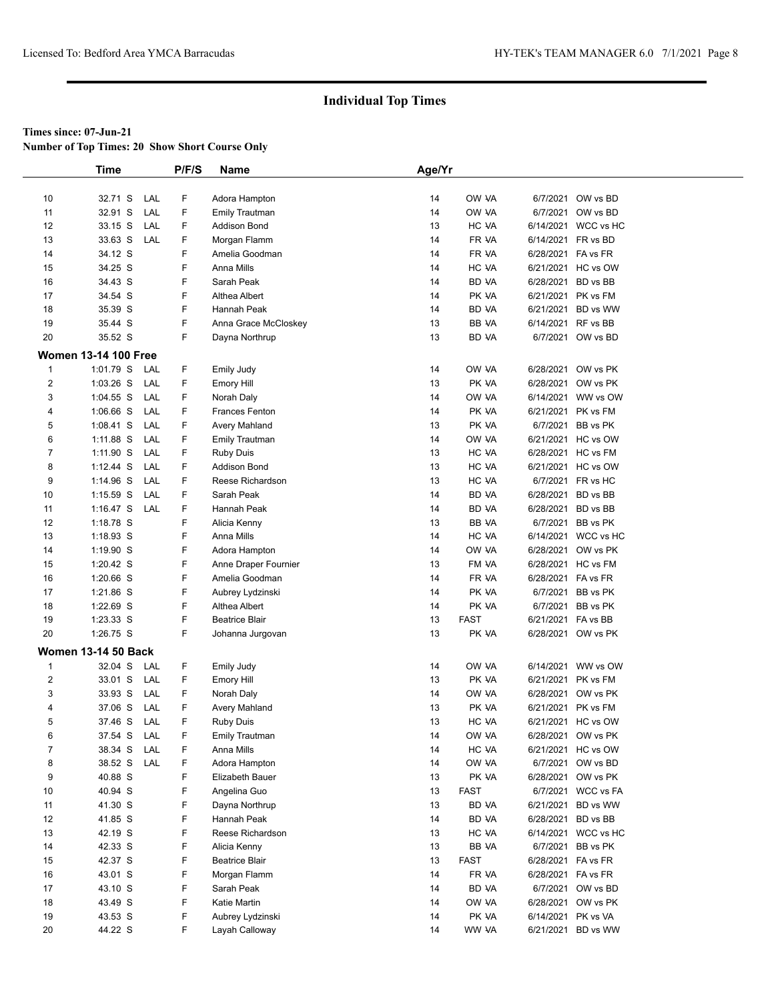**Number of Top Times: 20 Show Short Course Only**

|                         | <b>Time</b>                 |     | P/F/S | Name                  | Age/Yr |             |                    |                     |
|-------------------------|-----------------------------|-----|-------|-----------------------|--------|-------------|--------------------|---------------------|
|                         |                             |     |       |                       |        |             |                    |                     |
| 10                      | 32.71 S                     | LAL | F.    | Adora Hampton         | 14     | OW VA       |                    | 6/7/2021 OW vs BD   |
| 11                      | 32.91 S                     | LAL | F     | <b>Emily Trautman</b> | 14     | OW VA       |                    | 6/7/2021 OW vs BD   |
| 12                      | 33.15 S                     | LAL | F     | <b>Addison Bond</b>   | 13     | HC VA       |                    | 6/14/2021 WCC vs HC |
| 13                      | 33.63 S                     | LAL | F     | Morgan Flamm          | 14     | FR VA       | 6/14/2021 FR vs BD |                     |
| 14                      | 34.12 S                     |     | F     | Amelia Goodman        | 14     | FR VA       | 6/28/2021 FA vs FR |                     |
| 15                      | 34.25 S                     |     | F     | Anna Mills            | 14     | HC VA       |                    | 6/21/2021 HC vs OW  |
| 16                      | 34.43 S                     |     | F     | Sarah Peak            | 14     | BD VA       | 6/28/2021 BD vs BB |                     |
| 17                      | 34.54 S                     |     | F     | Althea Albert         | 14     | PK VA       |                    | 6/21/2021 PK vs FM  |
| 18                      | 35.39 S                     |     | F     | Hannah Peak           | 14     | BD VA       |                    | 6/21/2021 BD vs WW  |
| 19                      | 35.44 S                     |     | F     | Anna Grace McCloskey  | 13     | BB VA       | 6/14/2021 RF vs BB |                     |
| 20                      | 35.52 S                     |     | F.    | Dayna Northrup        | 13     | BD VA       |                    | 6/7/2021 OW vs BD   |
|                         | <b>Women 13-14 100 Free</b> |     |       |                       |        |             |                    |                     |
| 1                       | 1:01.79 S                   | LAL | F.    | Emily Judy            | 14     | OW VA       |                    | 6/28/2021 OW vs PK  |
| $\overline{\mathbf{c}}$ | 1:03.26 S                   | LAL | F.    | <b>Emory Hill</b>     | 13     | PK VA       |                    | 6/28/2021 OW vs PK  |
| 3                       | $1:04.55$ S                 | LAL | F     | Norah Daly            | 14     | OW VA       |                    | 6/14/2021 WW vs OW  |
| 4                       | 1:06.66 S                   | LAL | F     | Frances Fenton        | 14     | PK VA       |                    | 6/21/2021 PK vs FM  |
| 5                       | 1:08.41 S                   | LAL | F     | Avery Mahland         | 13     | PK VA       |                    | 6/7/2021 BB vs PK   |
| 6                       | 1:11.88 S                   | LAL | F     | <b>Emily Trautman</b> | 14     | OW VA       |                    | 6/21/2021 HC vs OW  |
| 7                       | 1:11.90 S                   | LAL | F.    | <b>Ruby Duis</b>      | 13     | HC VA       |                    | 6/28/2021 HC vs FM  |
| 8                       | $1:12.44$ S                 | LAL | F     | Addison Bond          | 13     | HC VA       |                    | 6/21/2021 HC vs OW  |
| 9                       | $1:14.96$ S                 | LAL | F     | Reese Richardson      | 13     | HC VA       |                    | 6/7/2021 FR vs HC   |
| 10                      | $1:15.59$ S                 | LAL | F     | Sarah Peak            | 14     | BD VA       | 6/28/2021 BD vs BB |                     |
| 11                      | $1:16.47$ S                 | LAL | F     | Hannah Peak           | 14     | BD VA       | 6/28/2021 BD vs BB |                     |
| 12                      | 1:18.78 S                   |     | F     | Alicia Kenny          | 13     | BB VA       |                    | 6/7/2021 BB vs PK   |
| 13                      | 1:18.93 S                   |     | F     | Anna Mills            | 14     | HC VA       |                    | 6/14/2021 WCC vs HC |
| 14                      | 1:19.90 S                   |     | F     | Adora Hampton         | 14     | OW VA       |                    | 6/28/2021 OW vs PK  |
| 15                      | 1:20.42 S                   |     | F     |                       | 13     | FM VA       |                    | 6/28/2021 HC vs FM  |
| 16                      | $1:20.66$ S                 |     | F     | Anne Draper Fournier  | 14     | FR VA       | 6/28/2021 FA vs FR |                     |
| 17                      | 1:21.86 S                   |     | F     | Amelia Goodman        | 14     | PK VA       |                    | 6/7/2021 BB vs PK   |
|                         |                             |     | F     | Aubrey Lydzinski      |        |             |                    |                     |
| 18                      | 1:22.69 S                   |     | F.    | Althea Albert         | 14     | PK VA       |                    | 6/7/2021 BB vs PK   |
| 19                      | 1:23.33 S                   |     | F.    | <b>Beatrice Blair</b> | 13     | <b>FAST</b> | 6/21/2021 FA vs BB |                     |
| 20                      | 1:26.75 S                   |     |       | Johanna Jurgovan      | 13     | PK VA       |                    | 6/28/2021 OW vs PK  |
|                         | <b>Women 13-14 50 Back</b>  |     |       |                       |        |             |                    |                     |
| 1                       | 32.04 S                     | LAL | F.    | Emily Judy            | 14     | OW VA       |                    | 6/14/2021 WW vs OW  |
| $\overline{\mathbf{c}}$ | 33.01 S                     | LAL | F     | Emory Hill            | 13     | PK VA       |                    | 6/21/2021 PK vs FM  |
| 3                       | 33.93 S                     | LAL | F     | Norah Daly            | 14     | OW VA       |                    | 6/28/2021 OW vs PK  |
| 4                       | 37.06 S                     | LAL | F     | Avery Mahland         | 13     | PK VA       |                    | 6/21/2021 PK vs FM  |
| 5                       | 37.46 S                     | LAL | F.    | <b>Ruby Duis</b>      | 13     | HC VA       |                    | 6/21/2021 HC vs OW  |
| 6                       | 37.54 S                     | LAL | F     | <b>Emily Trautman</b> | 14     | OW VA       |                    | 6/28/2021 OW vs PK  |
| 7                       | 38.34 S                     | LAL | F     | Anna Mills            | 14     | HC VA       |                    | 6/21/2021 HC vs OW  |
| 8                       | 38.52 S                     | LAL | F     | Adora Hampton         | 14     | OW VA       |                    | 6/7/2021 OW vs BD   |
| 9                       | 40.88 S                     |     | F     | Elizabeth Bauer       | 13     | PK VA       |                    | 6/28/2021 OW vs PK  |
| 10                      | 40.94 S                     |     | F     | Angelina Guo          | 13     | <b>FAST</b> |                    | 6/7/2021 WCC vs FA  |
| 11                      | 41.30 S                     |     | F     | Dayna Northrup        | 13     | BD VA       | 6/21/2021          | BD vs WW            |
| 12                      | 41.85 S                     |     | F     | Hannah Peak           | 14     | BD VA       |                    | 6/28/2021 BD vs BB  |
| 13                      | 42.19 S                     |     | F     | Reese Richardson      | 13     | HC VA       |                    | 6/14/2021 WCC vs HC |
| 14                      | 42.33 S                     |     | F     | Alicia Kenny          | 13     | BB VA       |                    | 6/7/2021 BB vs PK   |
| 15                      | 42.37 S                     |     | F     | <b>Beatrice Blair</b> | 13     | <b>FAST</b> | 6/28/2021 FA vs FR |                     |
| 16                      | 43.01 S                     |     | F     | Morgan Flamm          | 14     | FR VA       | 6/28/2021 FA vs FR |                     |
| 17                      | 43.10 S                     |     | F     | Sarah Peak            | 14     | BD VA       |                    | 6/7/2021 OW vs BD   |
| 18                      | 43.49 S                     |     | F     | Katie Martin          | 14     | OW VA       |                    | 6/28/2021 OW vs PK  |
| 19                      | 43.53 S                     |     | F     | Aubrey Lydzinski      | 14     | PK VA       | 6/14/2021 PK vs VA |                     |
| 20                      | 44.22 S                     |     | F     | Layah Calloway        | 14     | WW VA       |                    | 6/21/2021 BD vs WW  |
|                         |                             |     |       |                       |        |             |                    |                     |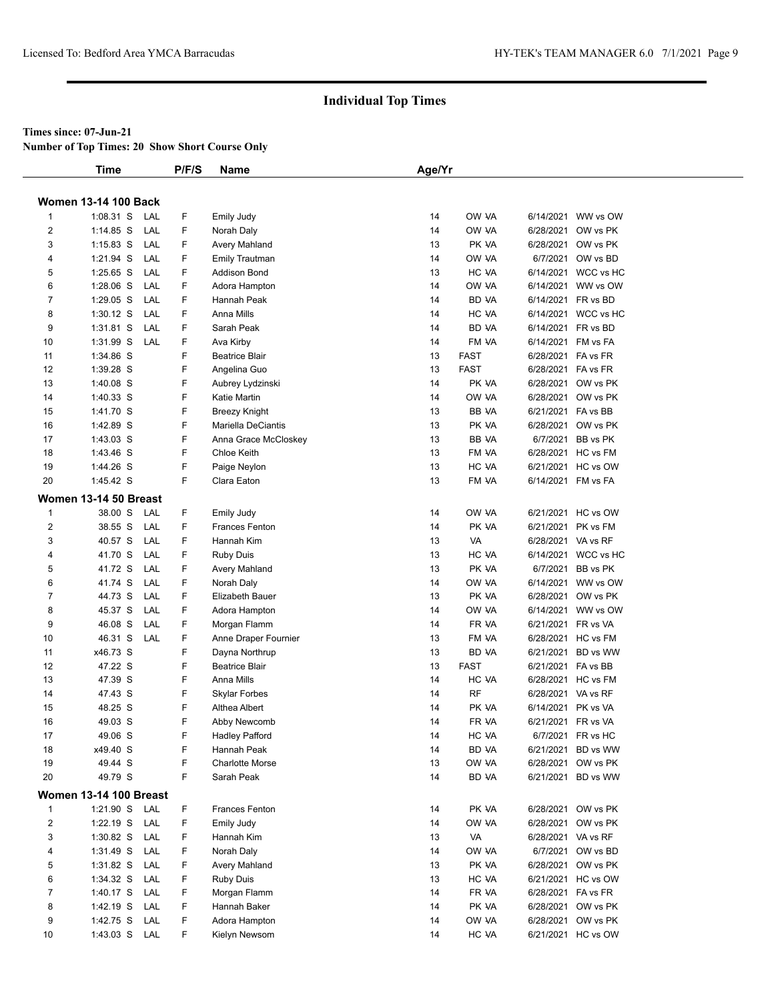**Number of Top Times: 20 Show Short Course Only**

|                | <b>Time</b>                   |     | P/F/S | <b>Name</b>            | Age/Yr |              |                    |                     |
|----------------|-------------------------------|-----|-------|------------------------|--------|--------------|--------------------|---------------------|
|                |                               |     |       |                        |        |              |                    |                     |
|                | <b>Women 13-14 100 Back</b>   |     |       |                        |        |              |                    |                     |
| 1              | $1:08.31$ S                   | LAL | F     | <b>Emily Judy</b>      | 14     | OW VA        |                    | 6/14/2021 WW vs OW  |
| 2              | 1:14.85 S                     | LAL | F     | Norah Daly             | 14     | OW VA        |                    | 6/28/2021 OW vs PK  |
| 3              | $1:15.83$ S                   | LAL | F     | Avery Mahland          | 13     | PK VA        |                    | 6/28/2021 OW vs PK  |
| 4              | 1:21.94 S                     | LAL | F     | <b>Emily Trautman</b>  | 14     | OW VA        |                    | 6/7/2021 OW vs BD   |
| 5              | 1:25.65 S                     | LAL | F     | Addison Bond           | 13     | HC VA        |                    | 6/14/2021 WCC vs HC |
| 6              | 1:28.06 S                     | LAL | F     | Adora Hampton          | 14     | OW VA        |                    | 6/14/2021 WW vs OW  |
| 7              | 1:29.05 S                     | LAL | F     | Hannah Peak            | 14     | BD VA        |                    | 6/14/2021 FR vs BD  |
| 8              | $1:30.12$ S                   | LAL | F     | Anna Mills             | 14     | HC VA        |                    | 6/14/2021 WCC vs HC |
| 9              | 1:31.81 S                     | LAL | F     | Sarah Peak             | 14     | BD VA        |                    | 6/14/2021 FR vs BD  |
| 10             | 1:31.99 S                     | LAL | F     | Ava Kirby              | 14     | FM VA        |                    | 6/14/2021 FM vs FA  |
| 11             | 1:34.86 S                     |     | F     | <b>Beatrice Blair</b>  | 13     | <b>FAST</b>  |                    | 6/28/2021 FA vs FR  |
| 12             | 1:39.28 S                     |     | F     | Angelina Guo           | 13     | <b>FAST</b>  |                    | 6/28/2021 FA vs FR  |
| 13             | 1:40.08 S                     |     | F     | Aubrey Lydzinski       | 14     | PK VA        |                    | 6/28/2021 OW vs PK  |
| 14             | 1:40.33 S                     |     | F     | Katie Martin           | 14     | OW VA        |                    | 6/28/2021 OW vs PK  |
| 15             | 1:41.70 S                     |     | F     | <b>Breezy Knight</b>   | 13     | BB VA        | 6/21/2021 FA vs BB |                     |
| 16             | 1:42.89 S                     |     | F     | Mariella DeCiantis     | 13     | PK VA        |                    | 6/28/2021 OW vs PK  |
| 17             | $1:43.03$ S                   |     | F     | Anna Grace McCloskey   | 13     | BB VA        |                    | 6/7/2021 BB vs PK   |
| 18             | 1:43.46 S                     |     | F     | Chloe Keith            | 13     | FM VA        |                    | 6/28/2021 HC vs FM  |
| 19             | 1:44.26 S                     |     | F     | Paige Neylon           | 13     | HC VA        |                    | 6/21/2021 HC vs OW  |
| 20             | 1:45.42 S                     |     | F     | Clara Eaton            | 13     | FM VA        |                    | 6/14/2021 FM vs FA  |
|                | Women 13-14 50 Breast         |     |       |                        |        |              |                    |                     |
| $\mathbf{1}$   | 38.00 S                       | LAL | F     | Emily Judy             | 14     | OW VA        |                    | 6/21/2021 HC vs OW  |
| $\overline{2}$ | 38.55 S                       | LAL | F     | <b>Frances Fenton</b>  | 14     | PK VA        |                    | 6/21/2021 PK vs FM  |
| 3              | 40.57 S                       | LAL | F     | Hannah Kim             | 13     | VA           | 6/28/2021 VA vs RF |                     |
| 4              | 41.70 S                       | LAL | F     | <b>Ruby Duis</b>       | 13     | HC VA        |                    | 6/14/2021 WCC vs HC |
| 5              | 41.72 S                       | LAL | F     | Avery Mahland          | 13     | PK VA        |                    | 6/7/2021 BB vs PK   |
| 6              | 41.74 S                       | LAL | F     | Norah Daly             | 14     | OW VA        |                    | 6/14/2021 WW vs OW  |
| 7              | 44.73 S                       | LAL | F     | Elizabeth Bauer        | 13     | PK VA        |                    | 6/28/2021 OW vs PK  |
| 8              | 45.37 S                       | LAL | F     | Adora Hampton          | 14     | OW VA        |                    | 6/14/2021 WW vs OW  |
| 9              | 46.08 S                       | LAL | F     | Morgan Flamm           | 14     | FR VA        |                    | 6/21/2021 FR vs VA  |
| 10             | 46.31 S                       | LAL | F     | Anne Draper Fournier   | 13     | FM VA        |                    | 6/28/2021 HC vs FM  |
| 11             | x46.73 S                      |     | F     | Dayna Northrup         | 13     | BD VA        |                    | 6/21/2021 BD vs WW  |
| 12             | 47.22 S                       |     | F     | <b>Beatrice Blair</b>  | 13     | <b>FAST</b>  | 6/21/2021 FA vs BB |                     |
| 13             | 47.39 S                       |     | F     | Anna Mills             | 14     | HC VA        |                    | 6/28/2021 HC vs FM  |
| 14             | 47.43 S                       |     | F     | <b>Skylar Forbes</b>   | 14     | <b>RF</b>    |                    | 6/28/2021 VA vs RF  |
| 15             | 48.25 S                       |     | F     | Althea Albert          | 14     | PK VA        |                    | 6/14/2021 PK vs VA  |
| 16             | 49.03 S                       |     | F     | Abby Newcomb           | 14     | FR VA        | 6/21/2021 FR vs VA |                     |
| 17             | 49.06 S                       |     | F     | <b>Hadley Pafford</b>  | 14     | HC VA        |                    | 6/7/2021 FR vs HC   |
| 18             | x49.40 S                      |     | F     | Hannah Peak            | 14     | <b>BD VA</b> |                    | 6/21/2021 BD vs WW  |
| 19             | 49.44 S                       |     | F     | <b>Charlotte Morse</b> | 13     | OW VA        |                    | 6/28/2021 OW vs PK  |
| 20             | 49.79 S                       |     | F     | Sarah Peak             | 14     | BD VA        |                    | 6/21/2021 BD vs WW  |
|                | <b>Women 13-14 100 Breast</b> |     |       |                        |        |              |                    |                     |
| $\mathbf{1}$   | 1:21.90 S LAL                 |     | F.    | Frances Fenton         | 14     | PK VA        |                    | 6/28/2021 OW vs PK  |
| $\overline{2}$ | $1:22.19$ S                   | LAL | F     | Emily Judy             | 14     | OW VA        |                    | 6/28/2021 OW vs PK  |
| 3              | $1:30.82$ S                   | LAL | F     | Hannah Kim             | 13     | VA           |                    | 6/28/2021 VA vs RF  |
| 4              | 1:31.49 S                     | LAL | F     | Norah Daly             | 14     | OW VA        |                    | 6/7/2021 OW vs BD   |
| 5              | 1:31.82 S                     | LAL | F     | Avery Mahland          | 13     | PK VA        |                    | 6/28/2021 OW vs PK  |
| 6              | 1:34.32 S                     | LAL | F     | <b>Ruby Duis</b>       | 13     | HC VA        |                    | 6/21/2021 HC vs OW  |
| $\overline{7}$ | $1:40.17$ S                   | LAL | F     | Morgan Flamm           | 14     | FR VA        |                    | 6/28/2021 FA vs FR  |
| 8              | 1:42.19 S                     | LAL | F     | Hannah Baker           | 14     | PK VA        |                    | 6/28/2021 OW vs PK  |
| 9              | 1:42.75 S                     | LAL | F     | Adora Hampton          | 14     | OW VA        |                    | 6/28/2021 OW vs PK  |
| 10             | 1:43.03 S LAL                 |     | F.    | Kielyn Newsom          | 14     | HC VA        |                    | 6/21/2021 HC vs OW  |
|                |                               |     |       |                        |        |              |                    |                     |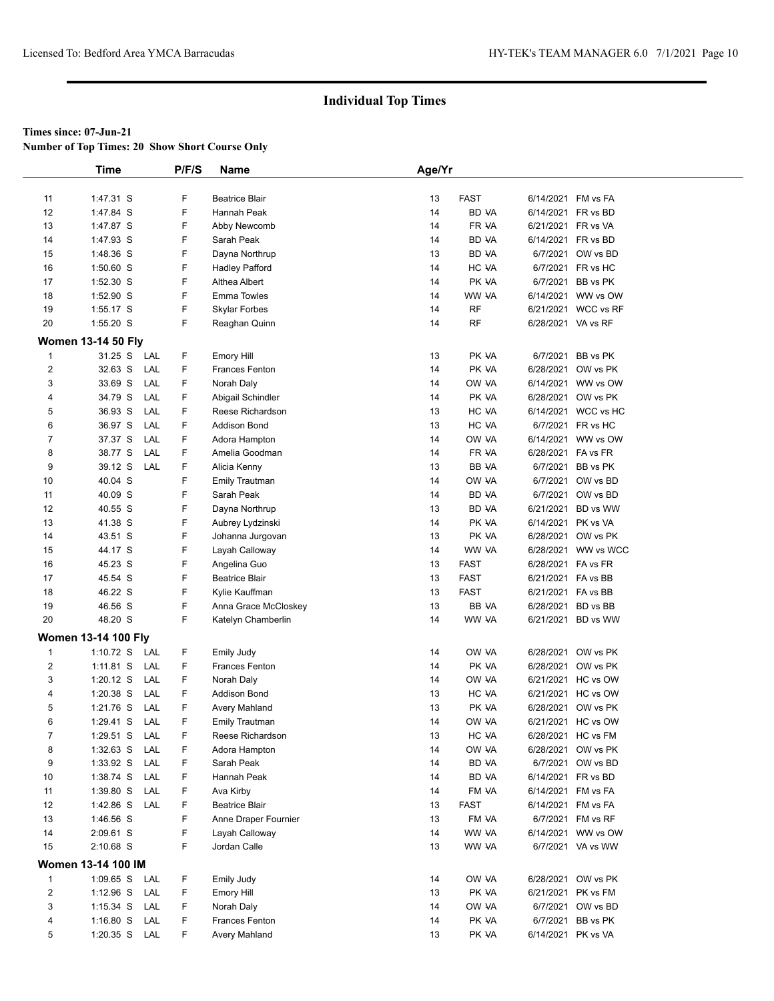**Number of Top Times: 20 Show Short Course Only**

|                         | <b>Time</b>                | P/F/S | <b>Name</b>           | Age/Yr |              |                    |                     |
|-------------------------|----------------------------|-------|-----------------------|--------|--------------|--------------------|---------------------|
|                         |                            |       |                       |        |              |                    |                     |
| 11                      | 1:47.31 S                  | F     | <b>Beatrice Blair</b> | 13     | <b>FAST</b>  |                    | 6/14/2021 FM vs FA  |
| 12                      | 1:47.84 S                  | F     | Hannah Peak           | 14     | <b>BD VA</b> |                    | 6/14/2021 FR vs BD  |
| 13                      | 1:47.87 S                  | F     | Abby Newcomb          | 14     | FR VA        | 6/21/2021 FR vs VA |                     |
| 14                      | 1:47.93 S                  | F     | Sarah Peak            | 14     | BD VA        |                    | 6/14/2021 FR vs BD  |
| 15                      | 1:48.36 S                  | F     | Dayna Northrup        | 13     | BD VA        |                    | 6/7/2021 OW vs BD   |
| 16                      | $1:50.60$ S                | F     | <b>Hadley Pafford</b> | 14     | HC VA        |                    | 6/7/2021 FR vs HC   |
| 17                      | 1:52.30 S                  | F     | Althea Albert         | 14     | PK VA        |                    | 6/7/2021 BB vs PK   |
| 18                      | 1:52.90 S                  | F     | <b>Emma Towles</b>    | 14     | WW VA        |                    | 6/14/2021 WW vs OW  |
| 19                      | 1:55.17 S                  | F     | Skylar Forbes         | 14     | <b>RF</b>    |                    | 6/21/2021 WCC vs RF |
| 20                      | $1:55.20$ S                | F.    | Reaghan Quinn         | 14     | <b>RF</b>    | 6/28/2021 VA vs RF |                     |
|                         | <b>Women 13-14 50 Fly</b>  |       |                       |        |              |                    |                     |
| $\mathbf{1}$            | 31.25 S LAL                | F     | <b>Emory Hill</b>     | 13     | PK VA        |                    | 6/7/2021 BB vs PK   |
| $\overline{c}$          | 32.63 S<br>LAL             | F     | <b>Frances Fenton</b> | 14     | PK VA        |                    | 6/28/2021 OW vs PK  |
| 3                       | 33.69 S<br>LAL             | F     | Norah Daly            | 14     | ow ya        |                    | 6/14/2021 WW vs OW  |
| 4                       | 34.79 S<br>LAL             | F     | Abigail Schindler     | 14     | PK VA        |                    | 6/28/2021 OW vs PK  |
| 5                       | 36.93 S<br>LAL             | F     | Reese Richardson      | 13     | HC VA        |                    | 6/14/2021 WCC vs HC |
| 6                       | 36.97 S<br>LAL             | F     | <b>Addison Bond</b>   | 13     | HC VA        |                    | 6/7/2021 FR vs HC   |
| 7                       | 37.37 S<br>LAL             | F     | Adora Hampton         | 14     | OW VA        |                    | 6/14/2021 WW vs OW  |
| 8                       | 38.77 S<br>LAL             | F     | Amelia Goodman        | 14     | FR VA        | 6/28/2021 FA vs FR |                     |
| 9                       | 39.12 S<br>LAL             | F     | Alicia Kenny          | 13     | BB VA        |                    | 6/7/2021 BB vs PK   |
| 10                      | 40.04 S                    | F     | <b>Emily Trautman</b> | 14     | OW VA        |                    | 6/7/2021 OW vs BD   |
| 11                      | 40.09 S                    | F     | Sarah Peak            | 14     | BD VA        |                    | 6/7/2021 OW vs BD   |
| 12                      | 40.55 S                    | F     | Dayna Northrup        | 13     | BD VA        |                    | 6/21/2021 BD vs WW  |
| 13                      | 41.38 S                    | F     | Aubrey Lydzinski      | 14     | PK VA        | 6/14/2021 PK vs VA |                     |
| 14                      | 43.51 S                    | F     | Johanna Jurgovan      | 13     | PK VA        |                    | 6/28/2021 OW vs PK  |
| 15                      | 44.17 S                    | F     | Layah Calloway        | 14     | WW VA        |                    | 6/28/2021 WW vs WCC |
| 16                      | 45.23 S                    | F     | Angelina Guo          | 13     | <b>FAST</b>  | 6/28/2021 FA vs FR |                     |
| 17                      | 45.54 S                    | F     | Beatrice Blair        | 13     | <b>FAST</b>  | 6/21/2021 FA vs BB |                     |
| 18                      | 46.22 S                    | F     | Kylie Kauffman        | 13     | <b>FAST</b>  | 6/21/2021 FA vs BB |                     |
| 19                      | 46.56 S                    | F     | Anna Grace McCloskey  | 13     | BB VA        |                    | 6/28/2021 BD vs BB  |
| 20                      | 48.20 S                    | F     | Katelyn Chamberlin    | 14     | WW VA        |                    | 6/21/2021 BD vs WW  |
|                         |                            |       |                       |        |              |                    |                     |
|                         | <b>Women 13-14 100 Fly</b> |       |                       |        |              |                    |                     |
| $\mathbf{1}$            | 1:10.72 S<br>LAL           | F     | Emily Judy            | 14     | OW VA        |                    | 6/28/2021 OW vs PK  |
| $\overline{\mathbf{c}}$ | $1:11.81$ S<br>LAL         | F.    | Frances Fenton        | 14     | PK VA        |                    | 6/28/2021 OW vs PK  |
| 3                       | LAL<br>$1:20.12$ S         | F     | Norah Daly            | 14     | OW VA        |                    | 6/21/2021 HC vs OW  |
| 4                       | LAL<br>$1:20.38$ S         | F     | Addison Bond          | 13     | HC VA        |                    | 6/21/2021 HC vs OW  |
| 5                       | 1:21.76 S<br>LAL           | F     | Avery Mahland         | 13     | PK VA        |                    | 6/28/2021 OW vs PK  |
| 6                       | $1:29.41$ S<br>LAL         | F     | <b>Emily Trautman</b> | 14     | OW VA        |                    | 6/21/2021 HC vs OW  |
| $\overline{7}$          | LAL<br>1:29.51 S           | F     | Reese Richardson      | 13     | HC VA        |                    | 6/28/2021 HC vs FM  |
| 8                       | $1:32.63$ S<br>LAL         | F     | Adora Hampton         | 14     | OW VA        |                    | 6/28/2021 OW vs PK  |
| 9                       | $1:33.92$ S<br>LAL         | F     | Sarah Peak            | 14     | BD VA        |                    | 6/7/2021 OW vs BD   |
| 10                      | 1:38.74 S<br>LAL           | F     | Hannah Peak           | 14     | BD VA        |                    | 6/14/2021 FR vs BD  |
| 11                      | $1:39.80$ S<br>LAL         | F     | Ava Kirby             | 14     | FM VA        |                    | 6/14/2021 FM vs FA  |
| 12                      | 1:42.86 S LAL              | F     | <b>Beatrice Blair</b> | 13     | <b>FAST</b>  |                    | 6/14/2021 FM vs FA  |
| 13                      | 1:46.56 S                  | F     | Anne Draper Fournier  | 13     | FM VA        |                    | 6/7/2021 FM vs RF   |
| 14                      | 2:09.61 S                  | F     | Layah Calloway        | 14     | WW VA        |                    | 6/14/2021 WW vs OW  |
| 15                      | 2:10.68 S                  | F     | Jordan Calle          | 13     | WW VA        |                    | 6/7/2021 VA vs WW   |
|                         | Women 13-14 100 IM         |       |                       |        |              |                    |                     |
| 1                       | 1:09.65 S LAL              | F     | Emily Judy            | 14     | OW VA        |                    | 6/28/2021 OW vs PK  |
| $\overline{c}$          | $1:12.96$ S<br>LAL         | F     | <b>Emory Hill</b>     | 13     | PK VA        |                    | 6/21/2021 PK vs FM  |
| 3                       | 1:15.34 S LAL              | F     | Norah Daly            | 14     | OW VA        |                    | 6/7/2021 OW vs BD   |
| 4                       | $1:16.80$ S<br>LAL         | F     | Frances Fenton        | 14     | PK VA        |                    | 6/7/2021 BB vs PK   |
| 5                       | 1:20.35 S LAL              | F     | Avery Mahland         | 13     | PK VA        | 6/14/2021 PK vs VA |                     |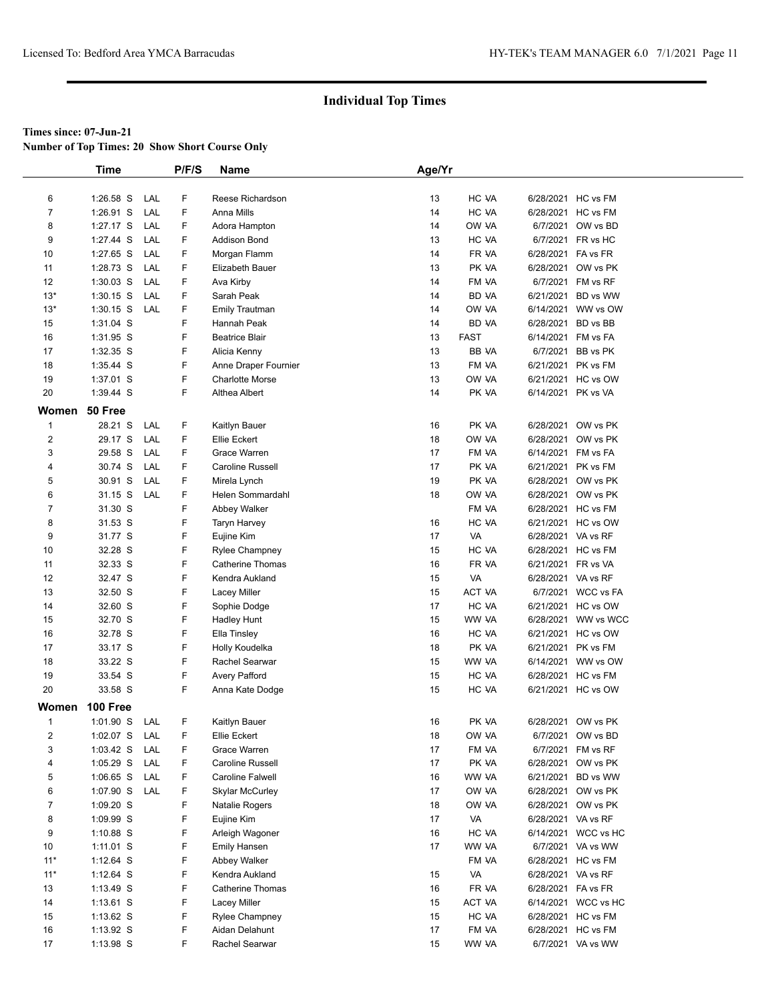**Number of Top Times: 20 Show Short Course Only**

|                | Time        |     | P/F/S | Name                    | Age/Yr |               |                    |                     |
|----------------|-------------|-----|-------|-------------------------|--------|---------------|--------------------|---------------------|
|                |             |     |       |                         |        |               |                    |                     |
| 6              | 1:26.58 S   | LAL | F     | Reese Richardson        | 13     | HC VA         | 6/28/2021 HC vs FM |                     |
| $\overline{7}$ | $1:26.91$ S | LAL | F     | Anna Mills              | 14     | HC VA         | 6/28/2021 HC vs FM |                     |
| 8              | 1:27.17 S   | LAL | F     | Adora Hampton           | 14     | OW VA         |                    | 6/7/2021 OW vs BD   |
| 9              | 1:27.44 S   | LAL | F     | <b>Addison Bond</b>     | 13     | HC VA         |                    | 6/7/2021 FR vs HC   |
| 10             | 1:27.65 S   | LAL | F     | Morgan Flamm            | 14     | FR VA         | 6/28/2021 FA vs FR |                     |
| 11             | 1:28.73 S   | LAL | F     | Elizabeth Bauer         | 13     | PK VA         | 6/28/2021          | OW vs PK            |
| 12             | $1:30.03$ S | LAL | F     | Ava Kirby               | 14     | FM VA         | 6/7/2021           | FM vs RF            |
| $13*$          | $1:30.15$ S | LAL | F     | Sarah Peak              | 14     | BD VA         | 6/21/2021          | BD vs WW            |
| $13*$          | $1:30.15$ S | LAL | F     | Emily Trautman          | 14     | OW VA         |                    | 6/14/2021 WW vs OW  |
| 15             | 1:31.04 S   |     | F     | Hannah Peak             | 14     | BD VA         | 6/28/2021 BD vs BB |                     |
| 16             | 1:31.95 S   |     | F     | <b>Beatrice Blair</b>   | 13     | <b>FAST</b>   | 6/14/2021 FM vs FA |                     |
| 17             | 1:32.35 S   |     | F     | Alicia Kenny            | 13     | <b>BB VA</b>  |                    | 6/7/2021 BB vs PK   |
| 18             | 1:35.44 S   |     | F     | Anne Draper Fournier    | 13     | FM VA         | 6/21/2021 PK vs FM |                     |
| 19             | 1:37.01 S   |     | F     | <b>Charlotte Morse</b>  | 13     | OW VA         | 6/21/2021          | HC vs OW            |
| 20             | 1:39.44 S   |     | F     | Althea Albert           | 14     | PK VA         | 6/14/2021 PK vs VA |                     |
|                |             |     |       |                         |        |               |                    |                     |
| Women          | 50 Free     |     |       |                         |        |               |                    |                     |
| 1              | 28.21 S     | LAL | F     | Kaitlyn Bauer           | 16     | PK VA         |                    | 6/28/2021 OW vs PK  |
| 2              | 29.17 S     | LAL | F     | Ellie Eckert            | 18     | OW VA         | 6/28/2021          | OW vs PK            |
| 3              | 29.58 S     | LAL | F     | Grace Warren            | 17     | FM VA         | 6/14/2021 FM vs FA |                     |
| 4              | 30.74 S     | LAL | F     | <b>Caroline Russell</b> | 17     | PK VA         | 6/21/2021 PK vs FM |                     |
| 5              | 30.91 S     | LAL | F     | Mirela Lynch            | 19     | PK VA         | 6/28/2021          | OW vs PK            |
| 6              | 31.15 S     | LAL | F     | Helen Sommardahl        | 18     | OW VA         | 6/28/2021          | OW vs PK            |
| 7              | 31.30 S     |     | F     | Abbey Walker            |        | FM VA         | 6/28/2021 HC vs FM |                     |
| 8              | 31.53 S     |     | F     | <b>Taryn Harvey</b>     | 16     | HC VA         |                    | 6/21/2021 HC vs OW  |
| 9              | 31.77 S     |     | F     | Eujine Kim              | 17     | VA            | 6/28/2021 VA vs RF |                     |
| 10             | 32.28 S     |     | F     | <b>Rylee Champney</b>   | 15     | HC VA         | 6/28/2021 HC vs FM |                     |
| 11             | 32.33 S     |     | F     | <b>Catherine Thomas</b> | 16     | FR VA         | 6/21/2021 FR vs VA |                     |
| 12             | 32.47 S     |     | F     | Kendra Aukland          | 15     | VA            | 6/28/2021 VA vs RF |                     |
| 13             | 32.50 S     |     | F     | Lacey Miller            | 15     | <b>ACT VA</b> |                    | 6/7/2021 WCC vs FA  |
| 14             | 32.60 S     |     | F     | Sophie Dodge            | 17     | HC VA         |                    | 6/21/2021 HC vs OW  |
| 15             | 32.70 S     |     | F     | <b>Hadley Hunt</b>      | 15     | WW VA         |                    | 6/28/2021 WW vs WCC |
| 16             | 32.78 S     |     | F     | Ella Tinsley            | 16     | HC VA         |                    | 6/21/2021 HC vs OW  |
| 17             | 33.17 S     |     | F     | Holly Koudelka          | 18     | PK VA         | 6/21/2021 PK vs FM |                     |
| 18             | 33.22 S     |     | F     | Rachel Searwar          | 15     | WW VA         |                    | 6/14/2021 WW vs OW  |
| 19             | 33.54 S     |     | F     | <b>Avery Pafford</b>    | 15     | HC VA         | 6/28/2021 HC vs FM |                     |
| 20             | 33.58 S     |     | F     | Anna Kate Dodge         | 15     | HC VA         |                    | 6/21/2021 HC vs OW  |
| Women          | 100 Free    |     |       |                         |        |               |                    |                     |
| $\mathbf{1}$   | $1:01.90$ S | LAL | F     | Kaitlyn Bauer           | 16     | PK VA         |                    | 6/28/2021 OW vs PK  |
| 2              | 1:02.07 S   | LAL | F     | Ellie Eckert            | 18     | OW VA         |                    | 6/7/2021 OW vs BD   |
| 3              | 1:03.42 S   | LAL | F     | Grace Warren            | 17     | FM VA         |                    | 6/7/2021 FM vs RF   |
| 4              | 1:05.29 S   | LAL | F     | Caroline Russell        | 17     | PK VA         |                    | 6/28/2021 OW vs PK  |
| 5              | $1:06.65$ S | LAL | F     | <b>Caroline Falwell</b> | 16     | WW VA         |                    | 6/21/2021 BD vs WW  |
| 6              | 1:07.90 S   | LAL | F     | <b>Skylar McCurley</b>  | 17     | OW VA         |                    | 6/28/2021 OW vs PK  |
| 7              | 1:09.20 S   |     | F     | Natalie Rogers          | 18     | OW VA         |                    | 6/28/2021 OW vs PK  |
| 8              | 1:09.99 S   |     | F     | Eujine Kim              | 17     | VA            | 6/28/2021 VA vs RF |                     |
| 9              | 1:10.88 S   |     | F     | Arleigh Wagoner         | 16     | HC VA         |                    | 6/14/2021 WCC vs HC |
| 10             | $1:11.01$ S |     | F     | Emily Hansen            | 17     | WW VA         |                    | 6/7/2021 VA vs WW   |
| $11*$          | 1:12.64 S   |     | F     | Abbey Walker            |        | FM VA         | 6/28/2021 HC vs FM |                     |
| $11*$          | $1:12.64$ S |     | F     | Kendra Aukland          | 15     | VA            | 6/28/2021 VA vs RF |                     |
| 13             | $1:13.49$ S |     | F     | Catherine Thomas        | 16     | FR VA         | 6/28/2021 FA vs FR |                     |
| 14             | 1:13.61 S   |     | F     | Lacey Miller            | 15     | ACT VA        |                    | 6/14/2021 WCC vs HC |
| 15             | 1:13.62 S   |     | F     | Rylee Champney          | 15     | HC VA         | 6/28/2021 HC vs FM |                     |
| 16             | 1:13.92 S   |     | F     | Aidan Delahunt          | 17     | FM VA         |                    | 6/28/2021 HC vs FM  |
| 17             | 1:13.98 S   |     | F.    | Rachel Searwar          | 15     | WW VA         |                    | 6/7/2021 VA vs WW   |
|                |             |     |       |                         |        |               |                    |                     |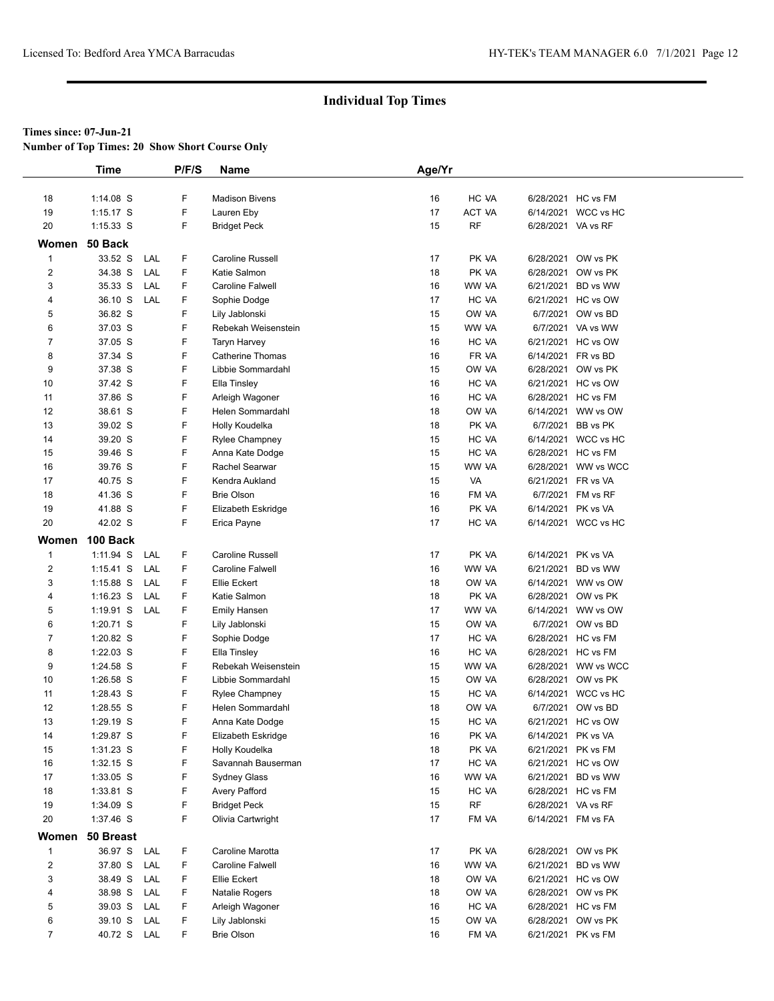**Number of Top Times: 20 Show Short Course Only**

|                | <b>Time</b> |     | P/F/S | Name                    | Age/Yr |           |                    |                     |
|----------------|-------------|-----|-------|-------------------------|--------|-----------|--------------------|---------------------|
|                |             |     |       |                         |        |           |                    |                     |
| 18             | $1:14.08$ S |     | F     | <b>Madison Bivens</b>   | 16     | HC VA     |                    | 6/28/2021 HC vs FM  |
| 19             | $1:15.17$ S |     | F     | Lauren Eby              | 17     | ACT VA    |                    | 6/14/2021 WCC vs HC |
| 20             | $1:15.33$ S |     | F     | <b>Bridget Peck</b>     | 15     | <b>RF</b> | 6/28/2021 VA vs RF |                     |
| Women          | 50 Back     |     |       |                         |        |           |                    |                     |
| 1              | 33.52 S     | LAL | F     | Caroline Russell        | 17     | PK VA     |                    | 6/28/2021 OW vs PK  |
| 2              | 34.38 S     | LAL | F     | Katie Salmon            | 18     | PK VA     |                    | 6/28/2021 OW vs PK  |
| 3              | 35.33 S     | LAL | F     | Caroline Falwell        | 16     | WW VA     |                    | 6/21/2021 BD vs WW  |
| 4              | 36.10 S     | LAL | F     | Sophie Dodge            | 17     | HC VA     |                    | 6/21/2021 HC vs OW  |
| 5              | 36.82 S     |     | F     | Lily Jablonski          | 15     | OW VA     |                    | 6/7/2021 OW vs BD   |
| 6              | 37.03 S     |     | F     | Rebekah Weisenstein     | 15     | WW VA     |                    | 6/7/2021 VA vs WW   |
| 7              | 37.05 S     |     | F     | Taryn Harvey            | 16     | HC VA     |                    | 6/21/2021 HC vs OW  |
| 8              | 37.34 S     |     | F     | <b>Catherine Thomas</b> | 16     | FR VA     |                    | 6/14/2021 FR vs BD  |
| 9              | 37.38 S     |     | F     | Libbie Sommardahl       | 15     | OW VA     |                    | 6/28/2021 OW vs PK  |
| 10             | 37.42 S     |     | F     | Ella Tinsley            | 16     | HC VA     |                    | 6/21/2021 HC vs OW  |
| 11             | 37.86 S     |     | F     | Arleigh Wagoner         | 16     | HC VA     |                    | 6/28/2021 HC vs FM  |
| 12             | 38.61 S     |     | F     | Helen Sommardahl        | 18     | OW VA     |                    | 6/14/2021 WW vs OW  |
| 13             | 39.02 S     |     | F     | Holly Koudelka          | 18     | PK VA     |                    | 6/7/2021 BB vs PK   |
| 14             | 39.20 S     |     | F     | Rylee Champney          | 15     | HC VA     |                    | 6/14/2021 WCC vs HC |
| 15             | 39.46 S     |     | F     | Anna Kate Dodge         | 15     | HC VA     |                    | 6/28/2021 HC vs FM  |
| 16             | 39.76 S     |     | F     | Rachel Searwar          | 15     | WW VA     |                    | 6/28/2021 WW vs WCC |
| 17             | 40.75 S     |     | F     | Kendra Aukland          | 15     | VA        | 6/21/2021 FR vs VA |                     |
| 18             | 41.36 S     |     | F     | <b>Brie Olson</b>       | 16     | FM VA     |                    | 6/7/2021 FM vs RF   |
| 19             | 41.88 S     |     | F     | Elizabeth Eskridge      | 16     | PK VA     | 6/14/2021 PK vs VA |                     |
| 20             | 42.02 S     |     | F     | Erica Payne             | 17     | HC VA     |                    | 6/14/2021 WCC vs HC |
| Women          | 100 Back    |     |       |                         |        |           |                    |                     |
| $\mathbf{1}$   | $1:11.94$ S | LAL | F     | Caroline Russell        | 17     | PK VA     | 6/14/2021 PK vs VA |                     |
| $\overline{2}$ | $1:15.41$ S | LAL | F     | Caroline Falwell        | 16     | WW VA     | 6/21/2021          | BD vs WW            |
| 3              | $1:15.88$ S | LAL | F     | Ellie Eckert            | 18     | OW VA     |                    | 6/14/2021 WW vs OW  |
| 4              | $1:16.23$ S | LAL | F     | Katie Salmon            | 18     | PK VA     |                    | 6/28/2021 OW vs PK  |
| 5              | 1:19.91 $S$ | LAL | F     | <b>Emily Hansen</b>     | 17     | WW VA     |                    | 6/14/2021 WW vs OW  |
| 6              | 1:20.71 S   |     | F     | Lily Jablonski          | 15     | OW VA     |                    | 6/7/2021 OW vs BD   |
| 7              | 1:20.82 S   |     | F     | Sophie Dodge            | 17     | HC VA     |                    | 6/28/2021 HC vs FM  |
| 8              | $1:22.03$ S |     | F     | Ella Tinsley            | 16     | HC VA     |                    | 6/28/2021 HC vs FM  |
| 9              | 1:24.58 S   |     | F     | Rebekah Weisenstein     | 15     | WW VA     |                    | 6/28/2021 WW vs WCC |
| 10             | $1:26.58$ S |     | F     | Libbie Sommardahl       | 15     | OW VA     |                    | 6/28/2021 OW vs PK  |
| 11             | 1:28.43 S   |     | F     | <b>Rylee Champney</b>   | 15     | HC VA     |                    | 6/14/2021 WCC vs HC |
| 12             | 1:28.55 S   |     | F     | Helen Sommardahl        | 18     | OW VA     |                    | 6/7/2021 OW vs BD   |
| 13             | 1:29.19 S   |     | F     | Anna Kate Dodge         | 15     | HC VA     |                    | 6/21/2021 HC vs OW  |
| 14             | 1:29.87 S   |     | F     | Elizabeth Eskridge      | 16     | PK VA     | 6/14/2021 PK vs VA |                     |
| 15             | $1:31.23$ S |     | F     | Holly Koudelka          | 18     | PK VA     |                    | 6/21/2021 PK vs FM  |
| 16             | $1:32.15$ S |     | F     | Savannah Bauserman      | 17     | HC VA     |                    | 6/21/2021 HC vs OW  |
| 17             | 1:33.05 S   |     | F     | Sydney Glass            | 16     | WW VA     |                    | 6/21/2021 BD vs WW  |
| 18             | 1:33.81 S   |     | F     | Avery Pafford           | 15     | HC VA     |                    | 6/28/2021 HC vs FM  |
| 19             | 1:34.09 S   |     | F     | <b>Bridget Peck</b>     | 15     | <b>RF</b> | 6/28/2021 VA vs RF |                     |
| 20             | 1:37.46 S   |     | F     | Olivia Cartwright       | 17     | FM VA     |                    | 6/14/2021 FM vs FA  |
| Women          | 50 Breast   |     |       |                         |        |           |                    |                     |
| $\mathbf{1}$   | 36.97 S     | LAL | F     | Caroline Marotta        | 17     | PK VA     |                    | 6/28/2021 OW vs PK  |
| $\overline{2}$ | 37.80 S     | LAL | F     | Caroline Falwell        | 16     | WW VA     |                    | 6/21/2021 BD vs WW  |
| 3              | 38.49 S     | LAL | F     | Ellie Eckert            | 18     | OW VA     |                    | 6/21/2021 HC vs OW  |
| 4              | 38.98 S     | LAL | F     | Natalie Rogers          | 18     | OW VA     |                    | 6/28/2021 OW vs PK  |
| 5              | 39.03 S     | LAL | F     | Arleigh Wagoner         | 16     | HC VA     |                    | 6/28/2021 HC vs FM  |
| 6              | 39.10 S     | LAL | F     | Lily Jablonski          | 15     | OW VA     |                    | 6/28/2021 OW vs PK  |
| $\overline{7}$ | 40.72 S     | LAL | F     | <b>Brie Olson</b>       | 16     | FM VA     |                    | 6/21/2021 PK vs FM  |
|                |             |     |       |                         |        |           |                    |                     |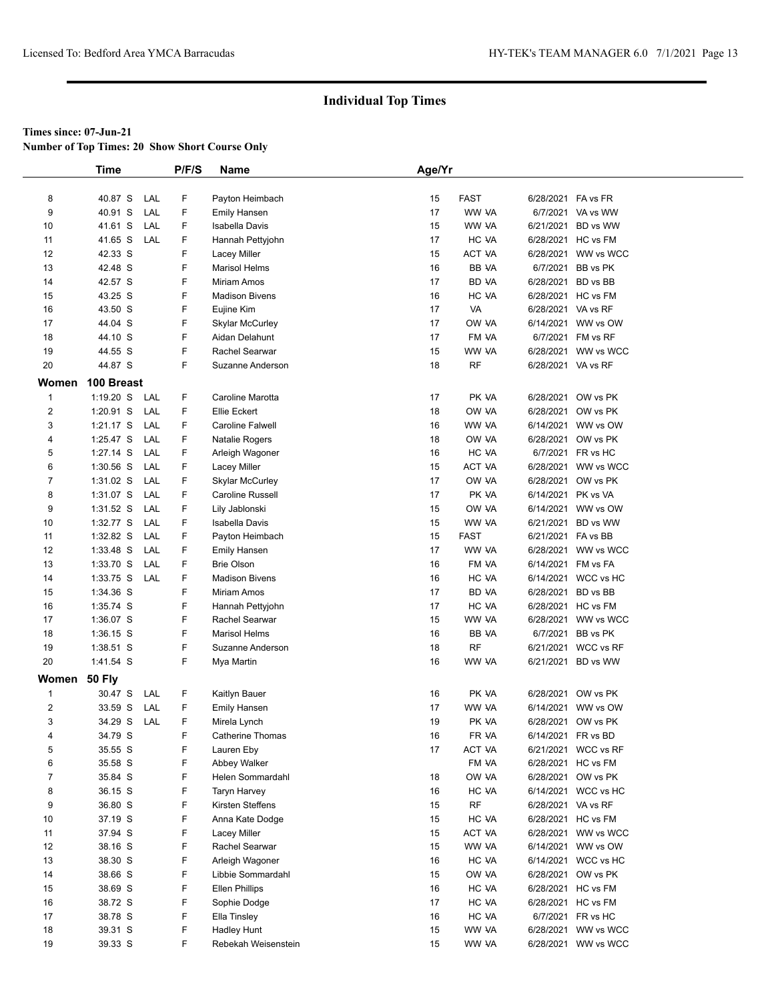**Number of Top Times: 20 Show Short Course Only**

|                     | <b>Time</b>        |            | P/F/S  | Name                   | Age/Yr   |                |                    |                     |
|---------------------|--------------------|------------|--------|------------------------|----------|----------------|--------------------|---------------------|
|                     |                    |            |        |                        |          |                |                    |                     |
| 8                   | 40.87 S            | LAL        | F      | Payton Heimbach        | 15       | <b>FAST</b>    | 6/28/2021 FA vs FR |                     |
| 9                   | 40.91 S            | LAL        | F      | <b>Emily Hansen</b>    | 17       | WW VA          |                    | 6/7/2021 VA vs WW   |
| 10                  | 41.61 S            | LAL        | F      | <b>Isabella Davis</b>  | 15       | WW VA          |                    | 6/21/2021 BD vs WW  |
| 11                  | 41.65 S            | LAL        | F      | Hannah Pettyjohn       | 17       | HC VA          |                    | 6/28/2021 HC vs FM  |
| 12                  | 42.33 S            |            | F      | Lacey Miller           | 15       | ACT VA         |                    | 6/28/2021 WW vs WCC |
| 13                  | 42.48 S            |            | F      | <b>Marisol Helms</b>   | 16       | BB VA          |                    | 6/7/2021 BB vs PK   |
| 14                  | 42.57 S            |            | F      | Miriam Amos            | 17       | BD VA          | 6/28/2021          | BD vs BB            |
| 15                  | 43.25 S            |            | F      | <b>Madison Bivens</b>  | 16       | HC VA          |                    | 6/28/2021 HC vs FM  |
| 16                  | 43.50 S            |            | F      | Eujine Kim             | 17       | VA             | 6/28/2021 VA vs RF |                     |
| 17                  | 44.04 S            |            | F      | Skylar McCurley        | 17       | OW VA          |                    | 6/14/2021 WW vs OW  |
| 18                  | 44.10 S            |            | F      | Aidan Delahunt         | 17       | FM VA          |                    | 6/7/2021 FM vs RF   |
| 19                  | 44.55 S            |            | F      | Rachel Searwar         | 15       | WW VA          |                    | 6/28/2021 WW vs WCC |
| 20                  | 44.87 S            |            | F.     | Suzanne Anderson       | 18       | <b>RF</b>      | 6/28/2021 VA vs RF |                     |
|                     |                    |            |        |                        |          |                |                    |                     |
| Women               | 100 Breast         |            |        |                        |          |                |                    |                     |
| $\mathbf{1}$        | $1:19.20$ S        | LAL        | F      | Caroline Marotta       | 17       | PK VA          |                    | 6/28/2021 OW vs PK  |
| $\overline{2}$      | 1:20.91 S          | LAL        | F      | Ellie Eckert           | 18       | OW VA          |                    | 6/28/2021 OW vs PK  |
| 3                   | $1:21.17$ S        | LAL        | F      | Caroline Falwell       | 16       | WW VA          |                    | 6/14/2021 WW vs OW  |
| 4                   | 1:25.47 S          | LAL        | F      | Natalie Rogers         | 18       | OW VA          |                    | 6/28/2021 OW vs PK  |
| 5                   | 1:27.14 S          | LAL        | F      | Arleigh Wagoner        | 16       | HC VA          |                    | 6/7/2021 FR vs HC   |
| 6                   | 1:30.56 S          | LAL        | F      | Lacey Miller           | 15       | ACT VA         |                    | 6/28/2021 WW vs WCC |
| $\overline{7}$      | 1:31.02 S          | LAL        | F      | <b>Skylar McCurley</b> | 17       | OW VA          |                    | 6/28/2021 OW vs PK  |
| 8                   | 1:31.07 S          | LAL        | F      | Caroline Russell       | 17       | PK VA          | 6/14/2021 PK vs VA |                     |
| 9                   | 1:31.52 S          | LAL        | F      | Lily Jablonski         | 15       | OW VA          |                    | 6/14/2021 WW vs OW  |
| 10                  | 1:32.77 S          | LAL        | F      | <b>Isabella Davis</b>  | 15       | WW VA          |                    | 6/21/2021 BD vs WW  |
| 11                  | 1:32.82 S          | LAL        | F      | Payton Heimbach        | 15       | FAST           | 6/21/2021 FA vs BB |                     |
| 12                  | 1:33.48 S          | LAL        | F      | <b>Emily Hansen</b>    | 17       | WW VA          |                    | 6/28/2021 WW vs WCC |
| 13                  | 1:33.70 S          | LAL        | F      | <b>Brie Olson</b>      | 16       | FM VA          | 6/14/2021 FM vs FA |                     |
| 14                  | 1:33.75 S          | LAL        | F      | <b>Madison Bivens</b>  | 16       | HC VA          |                    | 6/14/2021 WCC vs HC |
| 15                  | 1:34.36 S          |            | F      | Miriam Amos            | 17       | <b>BD VA</b>   | 6/28/2021 BD vs BB |                     |
| 16                  | 1:35.74 S          |            | F      | Hannah Pettyjohn       | 17       | HC VA          |                    | 6/28/2021 HC vs FM  |
| 17                  | 1:36.07 S          |            | F      | Rachel Searwar         | 15       | WW VA          |                    | 6/28/2021 WW vs WCC |
| 18                  | $1:36.15$ S        |            | F      | <b>Marisol Helms</b>   | 16       | BB VA          | 6/7/2021           | BB vs PK            |
| 19                  | 1:38.51 S          |            | F      | Suzanne Anderson       | 18       | <b>RF</b>      |                    | 6/21/2021 WCC vs RF |
| 20                  | 1:41.54 S          |            | F      | Mya Martin             | 16       | WW VA          |                    | 6/21/2021 BD vs WW  |
| Women               | <b>50 Fly</b>      |            |        |                        |          |                |                    |                     |
|                     |                    |            |        |                        |          | PK VA          |                    | 6/28/2021 OW vs PK  |
| $\mathbf{1}$        | 30.47 S<br>33.59 S | LAL<br>LAL | F<br>F | Kaitlyn Bauer          | 16<br>17 | WW VA          |                    | 6/14/2021 WW vs OW  |
| $\overline{c}$<br>3 |                    |            | F.     | <b>Emily Hansen</b>    |          |                |                    | 6/28/2021 OW vs PK  |
|                     | 34.29 S<br>34.79 S | LAL        | F      | Mirela Lynch           | 19       | PK VA<br>FR VA |                    |                     |
| 4                   |                    |            | F      | Catherine Thomas       | 16       |                | 6/14/2021 FR vs BD | 6/21/2021 WCC vs RF |
| 5                   | 35.55 S            |            |        | Lauren Eby             | 17       | ACT VA         |                    |                     |
| 6                   | 35.58 S            |            | F      | Abbey Walker           |          | FM VA          |                    | 6/28/2021 HC vs FM  |
| $\overline{7}$      | 35.84 S            |            | F      | Helen Sommardahl       | 18       | OW VA          |                    | 6/28/2021 OW vs PK  |
| 8                   | 36.15 S            |            | F      | <b>Taryn Harvey</b>    | 16       | HC VA          |                    | 6/14/2021 WCC vs HC |
| 9                   | 36.80 S            |            | F      | Kirsten Steffens       | 15       | <b>RF</b>      | 6/28/2021 VA vs RF |                     |
| 10                  | 37.19 S            |            | F      | Anna Kate Dodge        | 15       | HC VA          |                    | 6/28/2021 HC vs FM  |
| 11                  | 37.94 S            |            | F      | Lacey Miller           | 15       | ACT VA         |                    | 6/28/2021 WW vs WCC |
| 12                  | 38.16 S            |            | F      | Rachel Searwar         | 15       | WW VA          |                    | 6/14/2021 WW vs OW  |
| 13                  | 38.30 S            |            | F      | Arleigh Wagoner        | 16       | HC VA          |                    | 6/14/2021 WCC vs HC |
| 14                  | 38.66 S            |            | F      | Libbie Sommardahl      | 15       | OW VA          |                    | 6/28/2021 OW vs PK  |
| 15                  | 38.69 S            |            | F      | <b>Ellen Phillips</b>  | 16       | HC VA          |                    | 6/28/2021 HC vs FM  |
| 16                  | 38.72 S            |            | F      | Sophie Dodge           | 17       | HC VA          |                    | 6/28/2021 HC vs FM  |
| 17                  | 38.78 S            |            | F      | Ella Tinsley           | 16       | HC VA          |                    | 6/7/2021 FR vs HC   |
| 18                  | 39.31 S            |            | F      | <b>Hadley Hunt</b>     | 15       | WW VA          |                    | 6/28/2021 WW vs WCC |
| 19                  | 39.33 S            |            | F      | Rebekah Weisenstein    | 15       | WW VA          |                    | 6/28/2021 WW vs WCC |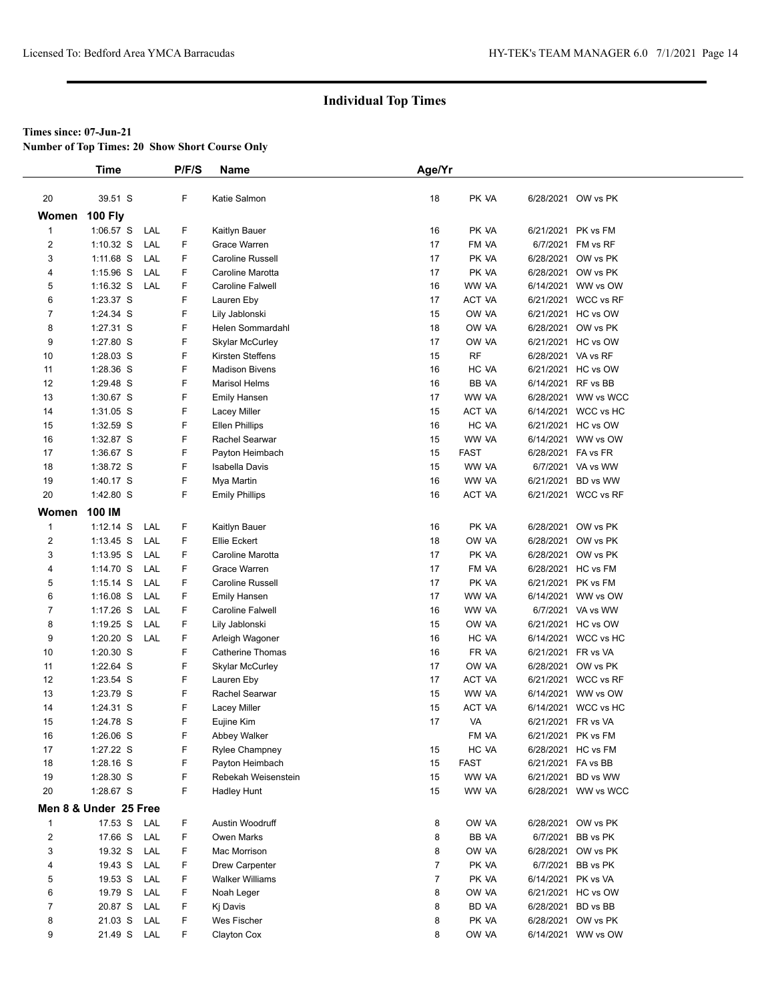**Number of Top Times: 20 Show Short Course Only**

|                | Time                   |     | P/F/S  | Name                   | Age/Yr         |                |                    |                                 |
|----------------|------------------------|-----|--------|------------------------|----------------|----------------|--------------------|---------------------------------|
|                |                        |     |        |                        |                |                |                    |                                 |
| 20             | 39.51 S                |     | F      | Katie Salmon           | 18             | PK VA          |                    | 6/28/2021 OW vs PK              |
| Women          | <b>100 Fly</b>         |     |        |                        |                |                |                    |                                 |
| $\mathbf{1}$   | 1:06.57 S              | LAL | F      | Kaitlyn Bauer          | 16             | PK VA          | 6/21/2021          | PK vs FM                        |
| $\overline{2}$ | $1:10.32$ S            | LAL | F      | Grace Warren           | 17             | FM VA          | 6/7/2021           | FM vs RF                        |
| 3              | 1:11.68 S              | LAL | F      | Caroline Russell       | 17             | PK VA          |                    | 6/28/2021 OW vs PK              |
| 4              | $1:15.96$ S            | LAL | F      | Caroline Marotta       | 17             | PK VA          |                    | 6/28/2021 OW vs PK              |
| 5              | $1:16.32$ S            | LAL | F      | Caroline Falwell       | 16             | WW VA          |                    | 6/14/2021 WW vs OW              |
| 6              | 1:23.37 S              |     | F      | Lauren Eby             | 17             | ACT VA         |                    | 6/21/2021 WCC vs RF             |
| $\overline{7}$ | 1:24.34 S              |     | F      | Lily Jablonski         | 15             | OW VA          | 6/21/2021          | HC vs OW                        |
| 8              | 1:27.31 S              |     | F      | Helen Sommardahl       | 18             | OW VA          | 6/28/2021          | OW vs PK                        |
| 9              | 1:27.80 S              |     | F      | <b>Skylar McCurley</b> | 17             | OW VA          |                    | 6/21/2021 HC vs OW              |
| 10             | 1:28.03 S              |     | F      | Kirsten Steffens       | 15             | <b>RF</b>      | 6/28/2021 VA vs RF |                                 |
| 11             | 1:28.36 S              |     | F      | <b>Madison Bivens</b>  | 16             | HC VA          |                    | 6/21/2021 HC vs OW              |
| 12             | 1:29.48 S              |     | F      | <b>Marisol Helms</b>   | 16             | BB VA          | 6/14/2021 RF vs BB |                                 |
| 13             | 1:30.67 S              |     | F      | Emily Hansen           | 17             | WW VA          | 6/28/2021          | WW vs WCC                       |
| 14             | 1:31.05 S              |     | F      | Lacey Miller           | 15             | ACT VA         |                    | 6/14/2021 WCC vs HC             |
| 15             | 1:32.59 S              |     | F      | <b>Ellen Phillips</b>  | 16             | HC VA          |                    | 6/21/2021 HC vs OW              |
| 16             | 1:32.87 S              |     | F      | Rachel Searwar         | 15             | WW VA          | 6/14/2021          | WW vs OW                        |
| 17             | 1:36.67 S              |     | F      | Payton Heimbach        | 15             | FAST           | 6/28/2021 FA vs FR |                                 |
| 18             | 1:38.72 S              |     | F      | <b>Isabella Davis</b>  | 15             | WW VA          |                    | 6/7/2021 VA vs WW               |
| 19             | 1:40.17 S              |     | F      | Mya Martin             | 16             | WW VA          | 6/21/2021          | BD vs WW                        |
| 20             | 1:42.80 S              |     | F      | <b>Emily Phillips</b>  | 16             | ACT VA         |                    | 6/21/2021 WCC vs RF             |
| Women          | 100 IM                 |     |        |                        |                |                |                    |                                 |
| $\mathbf{1}$   | $1:12.14$ S            | LAL | F      | Kaitlyn Bauer          | 16             | PK VA          |                    | 6/28/2021 OW vs PK              |
| 2              | $1:13.45$ S            | LAL | F      | Ellie Eckert           | 18             | OW VA          |                    | 6/28/2021 OW vs PK              |
| 3              | $1:13.95$ S            | LAL | F      | Caroline Marotta       | 17             | PK VA          | 6/28/2021          | OW vs PK                        |
| $\overline{4}$ | $1:14.70$ S            | LAL | F      | Grace Warren           | 17             | FM VA          |                    | 6/28/2021 HC vs FM              |
| 5              | $1:15.14$ S            | LAL | F      | Caroline Russell       | 17             | PK VA          |                    | 6/21/2021 PK vs FM              |
| 6              | $1:16.08$ S            | LAL | F      | <b>Emily Hansen</b>    | 17             | WW VA          |                    | 6/14/2021 WW vs OW              |
| $\overline{7}$ | $1:17.26$ S            | LAL | F      | Caroline Falwell       | 16             | WW VA          |                    | 6/7/2021 VA vs WW               |
| 8              | $1:19.25$ S            | LAL | F      | Lily Jablonski         | 15             | OW VA          | 6/21/2021          | HC vs OW                        |
| 9              | $1:20.20$ S            | LAL | F      | Arleigh Wagoner        | 16             | HC VA          |                    | 6/14/2021 WCC vs HC             |
| 10             | 1:20.30 S              |     | F      | Catherine Thomas       | 16             | FR VA          | 6/21/2021 FR vs VA |                                 |
| 11             | 1:22.64 S              |     | F      | Skylar McCurley        | 17             | OW VA          |                    | 6/28/2021 OW vs PK              |
| 12             | 1:23.54 S              |     | F      | Lauren Eby             | 17             | ACT VA         |                    | 6/21/2021 WCC vs RF             |
| 13             | 1:23.79 S              |     | F      | Rachel Searwar         | 15             | WW VA          |                    | 6/14/2021 WW vs OW              |
| 14             | 1:24.31 S              |     | F      | Lacey Miller           | 15             | ACT VA         | 6/14/2021          | WCC vs HC                       |
| 15             | 1:24.78 S              |     | F      | Eujine Kim             | 17             | VA             | 6/21/2021 FR vs VA |                                 |
| 16             | 1:26.06 S              |     | F      | Abbey Walker           |                | FM VA          |                    | 6/21/2021 PK vs FM              |
| 17             | 1:27.22 S              |     | F      | <b>Rylee Champney</b>  | 15             | HC VA          |                    | 6/28/2021 HC vs FM              |
| 18             | 1:28.16 S<br>1:28.30 S |     | F<br>F | Payton Heimbach        | 15             | <b>FAST</b>    | 6/21/2021 FA vs BB |                                 |
| 19<br>20       | 1:28.67 S              |     | F      | Rebekah Weisenstein    | 15<br>15       | WW VA<br>WW VA | 6/21/2021          | BD vs WW<br>6/28/2021 WW vs WCC |
|                |                        |     |        | Hadley Hunt            |                |                |                    |                                 |
|                | Men 8 & Under 25 Free  |     |        |                        |                |                |                    |                                 |
| $\mathbf{1}$   | 17.53 S                | LAL | F      | Austin Woodruff        | 8              | OW VA          |                    | 6/28/2021 OW vs PK              |
| $\overline{2}$ | 17.66 S                | LAL | F      | Owen Marks             | 8              | BB VA          | 6/7/2021           | BB vs PK                        |
| 3              | 19.32 S                | LAL | F      | Mac Morrison           | 8              | OW VA          | 6/28/2021          | OW vs PK                        |
| 4              | 19.43 S                | LAL | F      | Drew Carpenter         | $\overline{7}$ | PK VA          |                    | 6/7/2021 BB vs PK               |
| 5              | 19.53 S                | LAL | F      | Walker Williams        | 7              | PK VA          |                    | 6/14/2021 PK vs VA              |
| 6              | 19.79 S                | LAL | F      | Noah Leger             | 8              | OW VA          |                    | 6/21/2021 HC vs OW              |
| 7              | 20.87 S                | LAL | F      | Kj Davis               | 8              | BD VA          |                    | 6/28/2021 BD vs BB              |
| 8              | 21.03 S                | LAL | F      | Wes Fischer            | 8              | PK VA          | 6/28/2021          | OW vs PK                        |
| 9              | 21.49 S                | LAL | F      | Clayton Cox            | 8              | OW VA          |                    | 6/14/2021 WW vs OW              |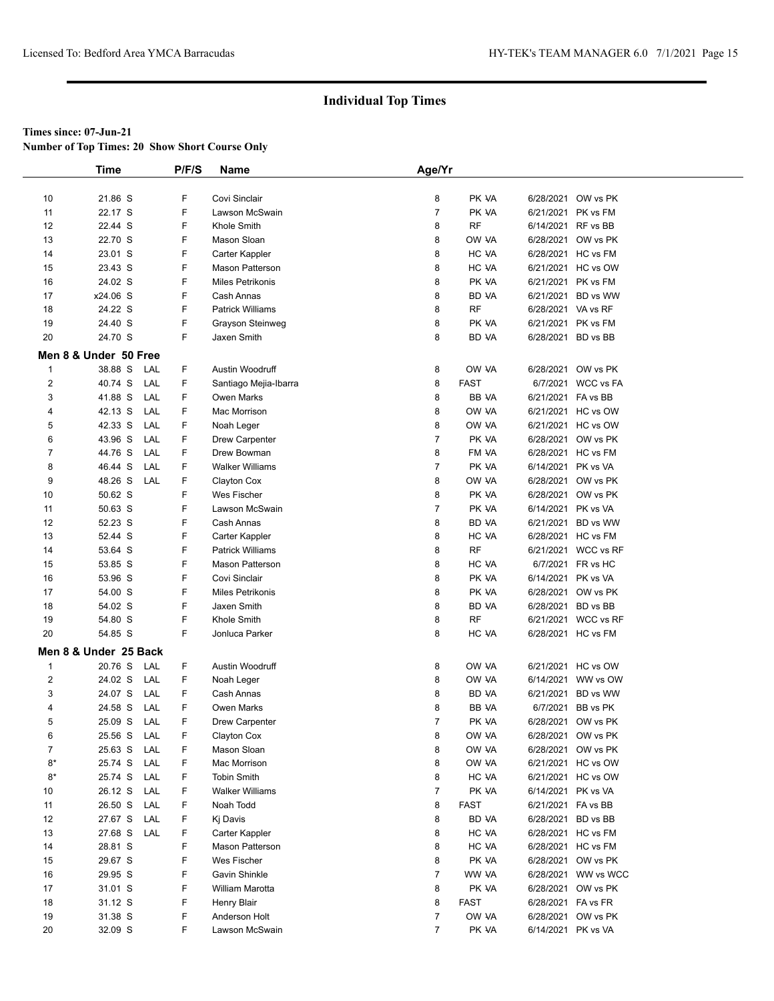**Number of Top Times: 20 Show Short Course Only**

|                | <b>Time</b>           | P/F/S  | Name                    | Age/Yr         |              |                    |                     |
|----------------|-----------------------|--------|-------------------------|----------------|--------------|--------------------|---------------------|
|                |                       |        |                         |                |              |                    |                     |
| 10             | 21.86 S               | F      | Covi Sinclair           | 8              | PK VA        |                    | 6/28/2021 OW vs PK  |
| 11             | 22.17 S               | F      | Lawson McSwain          | $\overline{7}$ | PK VA        |                    | 6/21/2021 PK vs FM  |
| 12             | 22.44 S               | F      | Khole Smith             | 8              | <b>RF</b>    | 6/14/2021 RF vs BB |                     |
| 13             | 22.70 S               | F      | Mason Sloan             | 8              | OW VA        | 6/28/2021          | OW vs PK            |
| 14             | 23.01 S               | F      | Carter Kappler          | 8              | HC VA        |                    | 6/28/2021 HC vs FM  |
| 15             | 23.43 S               | F      | Mason Patterson         | 8              | HC VA        |                    | 6/21/2021 HC vs OW  |
| 16             | 24.02 S               | F      | <b>Miles Petrikonis</b> | 8              | PK VA        |                    | 6/21/2021 PK vs FM  |
| 17             | x24.06 S              | F      | Cash Annas              | 8              | BD VA        |                    | 6/21/2021 BD vs WW  |
| 18             | 24.22 S               | F      | <b>Patrick Williams</b> | 8              | <b>RF</b>    | 6/28/2021 VA vs RF |                     |
| 19             | 24.40 S               | F      | Grayson Steinweg        | 8              | PK VA        |                    | 6/21/2021 PK vs FM  |
| 20             | 24.70 S               | F      | Jaxen Smith             | 8              | BD VA        | 6/28/2021 BD vs BB |                     |
|                | Men 8 & Under 50 Free |        |                         |                |              |                    |                     |
|                |                       |        |                         |                |              |                    |                     |
| $\mathbf 1$    | 38.88 S<br>LAL        | F      | Austin Woodruff         | 8              | OW VA        |                    | 6/28/2021 OW vs PK  |
| $\overline{c}$ | 40.74 S<br>LAL        | F      | Santiago Mejia-Ibarra   | 8              | <b>FAST</b>  |                    | 6/7/2021 WCC vs FA  |
| 3              | 41.88 S<br>LAL        | F      | <b>Owen Marks</b>       | 8              | BB VA        | 6/21/2021 FA vs BB |                     |
| 4              | 42.13 S<br>LAL        | F      | Mac Morrison            | 8              | OW VA        |                    | 6/21/2021 HC vs OW  |
| 5              | 42.33 S<br>LAL        | F      | Noah Leger              | 8              | OW VA        |                    | 6/21/2021 HC vs OW  |
| 6              | 43.96 S<br>LAL        | F      | Drew Carpenter          | $\overline{7}$ | PK VA        |                    | 6/28/2021 OW vs PK  |
| $\overline{7}$ | 44.76 S<br>LAL        | F      | Drew Bowman             | 8              | FM VA        |                    | 6/28/2021 HC vs FM  |
| 8              | 46.44 S<br>LAL        | F      | <b>Walker Williams</b>  | $\overline{7}$ | PK VA        | 6/14/2021 PK vs VA |                     |
| 9              | 48.26 S<br>LAL        | F      | Clayton Cox             | 8              | OW VA        |                    | 6/28/2021 OW vs PK  |
| 10             | 50.62 S               | F      | Wes Fischer             | 8              | PK VA        |                    | 6/28/2021 OW vs PK  |
| 11             | 50.63 S               | F      | Lawson McSwain          | $\overline{7}$ | PK VA        | 6/14/2021 PK vs VA |                     |
| 12             | 52.23 S               | F      | Cash Annas              | 8              | BD VA        |                    | 6/21/2021 BD vs WW  |
| 13             | 52.44 S               | F      | Carter Kappler          | 8              | HC VA        |                    | 6/28/2021 HC vs FM  |
| 14             | 53.64 S               | F      | <b>Patrick Williams</b> | 8              | RF           |                    | 6/21/2021 WCC vs RF |
| 15             | 53.85 S               | F      | <b>Mason Patterson</b>  | 8              | HC VA        |                    | 6/7/2021 FR vs HC   |
| 16             | 53.96 S               | F      | Covi Sinclair           | 8              | PK VA        | 6/14/2021 PK vs VA |                     |
| 17             | 54.00 S               | F      | <b>Miles Petrikonis</b> | 8              | PK VA        |                    | 6/28/2021 OW vs PK  |
| 18             | 54.02 S               | F      | Jaxen Smith             | 8              | BD VA        | 6/28/2021 BD vs BB |                     |
| 19             | 54.80 S               | F      | Khole Smith             | 8              | RF           |                    | 6/21/2021 WCC vs RF |
| 20             | 54.85 S               | F      | Jonluca Parker          | 8              | HC VA        |                    | 6/28/2021 HC vs FM  |
|                | Men 8 & Under 25 Back |        |                         |                |              |                    |                     |
| $\mathbf 1$    | 20.76 S<br>LAL        | F      | Austin Woodruff         | 8              | OW VA        |                    | 6/21/2021 HC vs OW  |
| $\overline{2}$ | 24.02 S<br>LAL        | F      | Noah Leger              | 8              | OW VA        |                    | 6/14/2021 WW vs OW  |
| 3              | 24.07 S<br>LAL        | F      | Cash Annas              | 8              | <b>BD VA</b> |                    | 6/21/2021 BD vs WW  |
| $\overline{4}$ | 24.58 S<br>LAL        | F      | <b>Owen Marks</b>       | 8              | BB VA        |                    | 6/7/2021 BB vs PK   |
| 5              | 25.09 S<br>LAL        | F      | Drew Carpenter          | $\overline{7}$ | PK VA        |                    | 6/28/2021 OW vs PK  |
| 6              | 25.56 S<br>LAL        | F      | Clayton Cox             | 8              | OW VA        |                    | 6/28/2021 OW vs PK  |
| $\overline{7}$ | 25.63 S<br>LAL        | F      | Mason Sloan             | 8              | OW VA        |                    | 6/28/2021 OW vs PK  |
| $8*$           | 25.74 S<br>LAL        | F      | Mac Morrison            | 8              | OW VA        |                    | 6/21/2021 HC vs OW  |
| $8*$           | 25.74 S<br>LAL        | F      | <b>Tobin Smith</b>      | 8              | HC VA        |                    | 6/21/2021 HC vs OW  |
| 10             | 26.12 S<br>LAL        | F      | <b>Walker Williams</b>  | 7              | PK VA        | 6/14/2021 PK vs VA |                     |
| 11             | 26.50 S<br>LAL        | F      | Noah Todd               | 8              | <b>FAST</b>  | 6/21/2021 FA vs BB |                     |
| 12             | 27.67 S<br>LAL        | F      | Kj Davis                | 8              | BD VA        |                    | 6/28/2021 BD vs BB  |
| 13             | 27.68 S<br>LAL        | F      | Carter Kappler          | 8              | HC VA        |                    | 6/28/2021 HC vs FM  |
|                |                       |        |                         |                |              |                    |                     |
| 14             | 28.81 S               | F<br>F | Mason Patterson         | 8              | HC VA        |                    | 6/28/2021 HC vs FM  |
| 15             | 29.67 S               |        | Wes Fischer             | 8              | PK VA        |                    | 6/28/2021 OW vs PK  |
| 16             | 29.95 S               | F      | Gavin Shinkle           | 7              | WW VA        |                    | 6/28/2021 WW vs WCC |
| 17             | 31.01 S               | F      | William Marotta         | 8              | PK VA        |                    | 6/28/2021 OW vs PK  |
| 18             | 31.12 S               | F      | Henry Blair             | 8              | FAST         | 6/28/2021 FA vs FR |                     |
| 19             | 31.38 S               | F      | Anderson Holt           | 7              | OW VA        |                    | 6/28/2021 OW vs PK  |
| $20\,$         | 32.09 S               | F.     | Lawson McSwain          | $\overline{7}$ | PK VA        | 6/14/2021 PK vs VA |                     |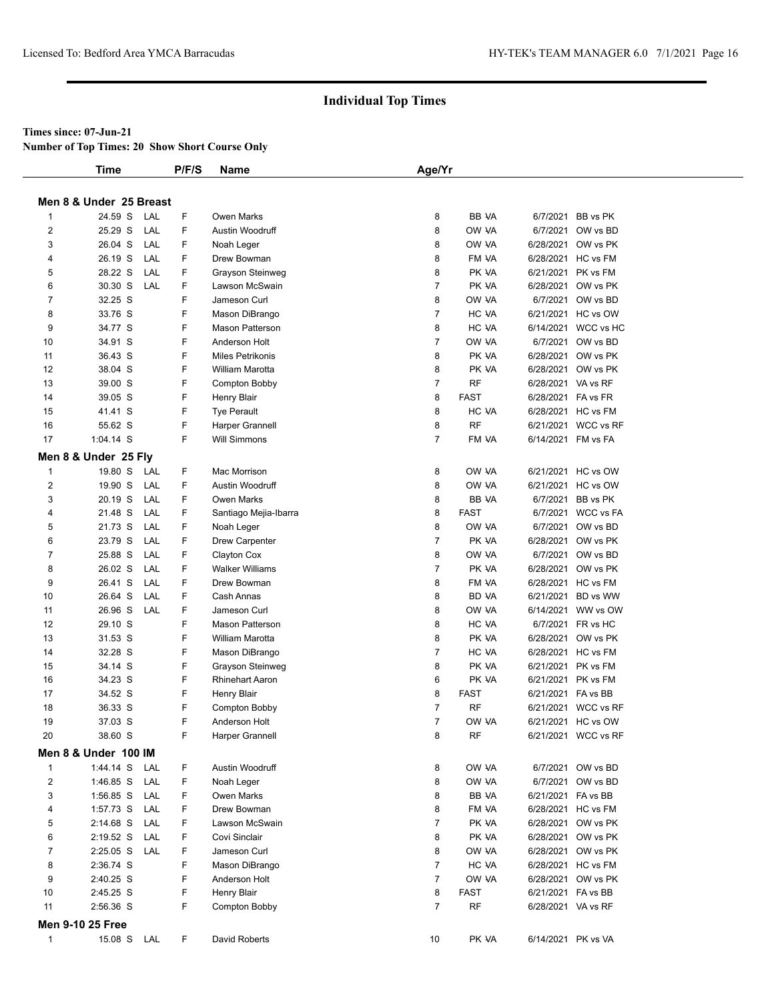#### **Times since: 07-Jun-21**

**Number of Top Times: 20 Show Short Course Only**

|                         | Time                    |     | P/F/S | <b>Name</b>             | Age/Yr         |              |                    |                     |
|-------------------------|-------------------------|-----|-------|-------------------------|----------------|--------------|--------------------|---------------------|
|                         | Men 8 & Under 25 Breast |     |       |                         |                |              |                    |                     |
| $\mathbf{1}$            | 24.59 S                 | LAL | F     | Owen Marks              | 8              | BB VA        |                    | 6/7/2021 BB vs PK   |
| $\overline{\mathbf{c}}$ | 25.29 S                 | LAL | F     | Austin Woodruff         | 8              | OW VA        |                    | 6/7/2021 OW vs BD   |
| 3                       | 26.04 S                 | LAL | F     | Noah Leger              | 8              | OW VA        |                    | 6/28/2021 OW vs PK  |
| 4                       | 26.19 S                 | LAL | F     | Drew Bowman             | 8              | FM VA        |                    | 6/28/2021 HC vs FM  |
| 5                       | 28.22 S                 | LAL | F     | Grayson Steinweg        | 8              | PK VA        |                    | 6/21/2021 PK vs FM  |
| 6                       | 30.30 S                 | LAL | F     | Lawson McSwain          | 7              | PK VA        |                    | 6/28/2021 OW vs PK  |
| 7                       | 32.25 S                 |     | F     | Jameson Curl            | 8              | OW VA        |                    | 6/7/2021 OW vs BD   |
| 8                       | 33.76 S                 |     | F     | Mason DiBrango          | $\overline{7}$ | HC VA        |                    | 6/21/2021 HC vs OW  |
| 9                       | 34.77 S                 |     | F     | <b>Mason Patterson</b>  | 8              | HC VA        |                    | 6/14/2021 WCC vs HC |
| 10                      | 34.91 S                 |     | F     | Anderson Holt           | 7              | OW VA        |                    | 6/7/2021 OW vs BD   |
| 11                      | 36.43 S                 |     | F     | <b>Miles Petrikonis</b> | 8              | PK VA        |                    | 6/28/2021 OW vs PK  |
| 12                      | 38.04 S                 |     | F     | William Marotta         | 8              | PK VA        |                    | 6/28/2021 OW vs PK  |
| 13                      | 39.00 S                 |     | F     | Compton Bobby           | 7              | RF           | 6/28/2021 VA vs RF |                     |
| 14                      | 39.05 S                 |     | F     | <b>Henry Blair</b>      | 8              | <b>FAST</b>  | 6/28/2021 FA vs FR |                     |
| 15                      | 41.41 S                 |     | F     | <b>Tye Perault</b>      | 8              | HC VA        |                    | 6/28/2021 HC vs FM  |
| 16                      | 55.62 S                 |     | F     | Harper Grannell         | 8              | <b>RF</b>    |                    | 6/21/2021 WCC vs RF |
| 17                      | $1:04.14$ S             |     | F     | <b>Will Simmons</b>     | $\overline{7}$ | FM VA        |                    | 6/14/2021 FM vs FA  |
|                         | Men 8 & Under 25 Fly    |     |       |                         |                |              |                    |                     |
| $\mathbf{1}$            | 19.80 S LAL             |     | F     | Mac Morrison            | 8              | OW VA        |                    | 6/21/2021 HC vs OW  |
| $\overline{\mathbf{c}}$ | 19.90 S                 | LAL | F     | Austin Woodruff         | 8              | OW VA        |                    | 6/21/2021 HC vs OW  |
| 3                       | 20.19 S                 | LAL | F     | Owen Marks              | 8              | BB VA        |                    | 6/7/2021 BB vs PK   |
| 4                       | 21.48 S                 | LAL | F     | Santiago Mejia-Ibarra   | 8              | <b>FAST</b>  |                    | 6/7/2021 WCC vs FA  |
| 5                       | 21.73 S                 | LAL | F     | Noah Leger              | 8              | OW VA        |                    | 6/7/2021 OW vs BD   |
| 6                       | 23.79 S                 | LAL | F     | Drew Carpenter          | 7              | PK VA        |                    | 6/28/2021 OW vs PK  |
| 7                       | 25.88 S                 | LAL | F     | Clayton Cox             | 8              | OW VA        |                    | 6/7/2021 OW vs BD   |
| 8                       | 26.02 S                 | LAL | F     | <b>Walker Williams</b>  | 7              | PK VA        |                    | 6/28/2021 OW vs PK  |
| 9                       | 26.41 S                 | LAL | F     | Drew Bowman             | 8              | FM VA        |                    | 6/28/2021 HC vs FM  |
| 10                      | 26.64 S                 | LAL | F     | Cash Annas              | 8              | <b>BD VA</b> |                    | 6/21/2021 BD vs WW  |
| 11                      | 26.96 S                 | LAL | F     | Jameson Curl            | 8              | OW VA        |                    | 6/14/2021 WW vs OW  |
| 12                      | 29.10 S                 |     | F     | Mason Patterson         | 8              | HC VA        |                    | 6/7/2021 FR vs HC   |
| 13                      | 31.53 S                 |     | F     | William Marotta         | 8              | PK VA        |                    | 6/28/2021 OW vs PK  |
| 14                      | 32.28 S                 |     | F     | Mason DiBrango          | 7              | HC VA        |                    | 6/28/2021 HC vs FM  |
| 15                      | 34.14 S                 |     | F     | Grayson Steinweg        | 8              | PK VA        |                    | 6/21/2021 PK vs FM  |
| 16                      | 34.23 S                 |     | F     | <b>Rhinehart Aaron</b>  | 6              | PK VA        |                    | 6/21/2021 PK vs FM  |
| 17                      | 34.52 S                 |     | F     | <b>Henry Blair</b>      | 8              | <b>FAST</b>  | 6/21/2021 FA vs BB |                     |
| 18                      | 36.33 S                 |     | F     | Compton Bobby           | $\overline{7}$ | RF           |                    | 6/21/2021 WCC vs RF |
| 19                      | 37.03 S                 |     | F     | Anderson Holt           |                | OW VA        |                    | 6/21/2021 HC vs OW  |
| 20                      | 38.60 S                 |     | F     | Harper Grannell         | 8              | RF           |                    | 6/21/2021 WCC vs RF |
|                         | Men 8 & Under 100 IM    |     |       |                         |                |              |                    |                     |
| $\mathbf{1}$            | 1:44.14 S               | LAL | F     | Austin Woodruff         | 8              | OW VA        |                    | 6/7/2021 OW vs BD   |
| 2                       | 1:46.85 S               | LAL | F     | Noah Leger              | 8              | OW VA        |                    | 6/7/2021 OW vs BD   |
| 3                       | 1:56.85 S               | LAL | F     | Owen Marks              | 8              | BB VA        | 6/21/2021 FA vs BB |                     |
| 4                       | $1:57.73$ S             | LAL | F     | Drew Bowman             | 8              | FM VA        |                    | 6/28/2021 HC vs FM  |
| 5                       | 2:14.68 S               | LAL | F     | Lawson McSwain          | 7              | PK VA        |                    | 6/28/2021 OW vs PK  |
| 6                       | 2:19.52 S               | LAL | F     | Covi Sinclair           | 8              | PK VA        |                    | 6/28/2021 OW vs PK  |
| 7                       | $2:25.05$ S             | LAL | F     | Jameson Curl            | 8              | OW VA        |                    | 6/28/2021 OW vs PK  |
| 8                       | 2:36.74 S               |     | F     | Mason DiBrango          | 7              | HC VA        |                    | 6/28/2021 HC vs FM  |
| 9                       | 2:40.25 S               |     | F     | Anderson Holt           | $\overline{7}$ | OW VA        |                    | 6/28/2021 OW vs PK  |
| 10                      | 2:45.25 S               |     | F     | <b>Henry Blair</b>      | 8              | <b>FAST</b>  | 6/21/2021 FA vs BB |                     |
| 11                      | 2:56.36 S               |     | F     | Compton Bobby           | 7              | <b>RF</b>    | 6/28/2021 VA vs RF |                     |
|                         | <b>Men 9-10 25 Free</b> |     |       |                         |                |              |                    |                     |
| $\mathbf{1}$            | 15.08 S LAL             |     | F.    | David Roberts           | 10             | PK VA        |                    | 6/14/2021 PK vs VA  |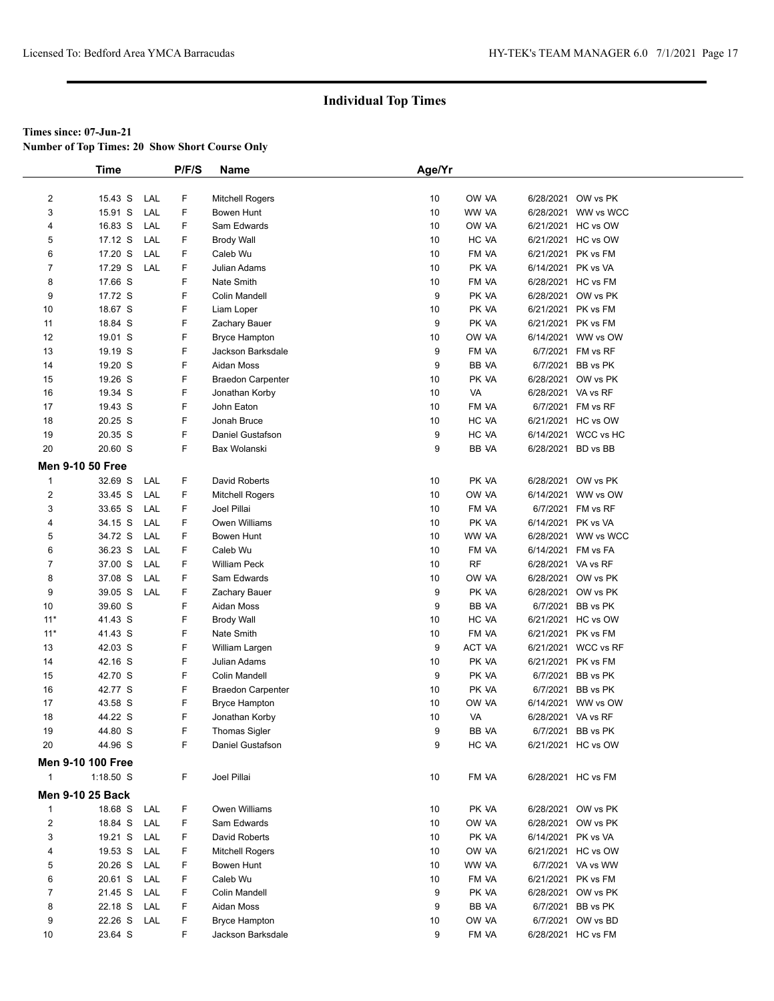**Number of Top Times: 20 Show Short Course Only**

|                | <b>Time</b>              |     | P/F/S | Name                     | Age/Yr |           |                    |                     |
|----------------|--------------------------|-----|-------|--------------------------|--------|-----------|--------------------|---------------------|
|                |                          |     |       |                          |        |           |                    |                     |
| $\overline{c}$ | 15.43 S                  | LAL | F     | Mitchell Rogers          | 10     | OW VA     |                    | 6/28/2021 OW vs PK  |
| 3              | 15.91 S                  | LAL | F     | <b>Bowen Hunt</b>        | 10     | WW VA     |                    | 6/28/2021 WW vs WCC |
| 4              | 16.83 S                  | LAL | F     | Sam Edwards              | 10     | OW VA     |                    | 6/21/2021 HC vs OW  |
| 5              | 17.12 S                  | LAL | F     | <b>Brody Wall</b>        | 10     | HC VA     |                    | 6/21/2021 HC vs OW  |
| 6              | 17.20 S                  | LAL | F     | Caleb Wu                 | 10     | FM VA     |                    | 6/21/2021 PK vs FM  |
| 7              | 17.29 S                  | LAL | F     | Julian Adams             | 10     | PK VA     | 6/14/2021 PK vs VA |                     |
| 8              | 17.66 S                  |     | F     | Nate Smith               | 10     | FM VA     |                    | 6/28/2021 HC vs FM  |
| 9              | 17.72 S                  |     | F     | Colin Mandell            | 9      | PK VA     |                    | 6/28/2021 OW vs PK  |
| 10             | 18.67 S                  |     | F     | Liam Loper               | 10     | PK VA     |                    | 6/21/2021 PK vs FM  |
| 11             | 18.84 S                  |     | F     | Zachary Bauer            | 9      | PK VA     |                    | 6/21/2021 PK vs FM  |
| 12             | 19.01 S                  |     | F     | <b>Bryce Hampton</b>     | 10     | OW VA     |                    | 6/14/2021 WW vs OW  |
| 13             | 19.19 S                  |     | F     | Jackson Barksdale        | 9      | FM VA     |                    | 6/7/2021 FM vs RF   |
| 14             | 19.20 S                  |     | F     | Aidan Moss               | 9      | BB VA     |                    | 6/7/2021 BB vs PK   |
| 15             | 19.26 S                  |     | F     | <b>Braedon Carpenter</b> | 10     | PK VA     |                    | 6/28/2021 OW vs PK  |
| 16             | 19.34 S                  |     | F     | Jonathan Korby           | 10     | VA        | 6/28/2021 VA vs RF |                     |
| 17             | 19.43 S                  |     | F     | John Eaton               | 10     | FM VA     |                    | 6/7/2021 FM vs RF   |
| 18             | 20.25 S                  |     | F     | Jonah Bruce              | 10     | HC VA     |                    | 6/21/2021 HC vs OW  |
| 19             | 20.35 S                  |     | F     | Daniel Gustafson         | 9      | HC VA     |                    | 6/14/2021 WCC vs HC |
| 20             | 20.60 S                  |     | F     | Bax Wolanski             | 9      | BB VA     | 6/28/2021 BD vs BB |                     |
|                | <b>Men 9-10 50 Free</b>  |     |       |                          |        |           |                    |                     |
| $\mathbf{1}$   | 32.69 S                  | LAL | F     | David Roberts            | 10     | PK VA     |                    | 6/28/2021 OW vs PK  |
| $\overline{2}$ | 33.45 S                  | LAL | F     | <b>Mitchell Rogers</b>   | 10     | OW VA     |                    | 6/14/2021 WW vs OW  |
| 3              | 33.65 S                  | LAL | F     | Joel Pillai              | 10     | FM VA     |                    | 6/7/2021 FM vs RF   |
| 4              | 34.15 S                  | LAL | F     | Owen Williams            | 10     | PK VA     | 6/14/2021 PK vs VA |                     |
| 5              | 34.72 S                  | LAL | F     | Bowen Hunt               | 10     | WW VA     |                    | 6/28/2021 WW vs WCC |
| 6              | 36.23 S                  | LAL | F     | Caleb Wu                 | 10     | FM VA     | 6/14/2021 FM vs FA |                     |
| 7              | 37.00 S                  | LAL | F     | <b>William Peck</b>      | 10     | <b>RF</b> | 6/28/2021 VA vs RF |                     |
| 8              | 37.08 S                  | LAL | F     | Sam Edwards              | 10     | OW VA     |                    | 6/28/2021 OW vs PK  |
| 9              | 39.05 S                  | LAL | F     | Zachary Bauer            | 9      | PK VA     |                    | 6/28/2021 OW vs PK  |
| 10             | 39.60 S                  |     | F     | Aidan Moss               | 9      | BB VA     |                    | 6/7/2021 BB vs PK   |
| $11*$          | 41.43 S                  |     | F     | <b>Brody Wall</b>        | 10     | HC VA     |                    | 6/21/2021 HC vs OW  |
| $11*$          | 41.43 S                  |     | F     | Nate Smith               | 10     | FM VA     |                    | 6/21/2021 PK vs FM  |
| 13             | 42.03 S                  |     | F     | William Largen           | 9      | ACT VA    |                    | 6/21/2021 WCC vs RF |
| 14             | 42.16 S                  |     | F     | Julian Adams             | 10     | PK VA     |                    | 6/21/2021 PK vs FM  |
| 15             | 42.70 S                  |     | F     | <b>Colin Mandell</b>     | 9      | PK VA     |                    | 6/7/2021 BB vs PK   |
| 16             | 42.77 S                  |     | F     | <b>Braedon Carpenter</b> | 10     | PK VA     |                    | 6/7/2021 BB vs PK   |
| 17             | 43.58 S                  |     | F     | <b>Bryce Hampton</b>     | 10     | ow ya     |                    | 6/14/2021 WW vs OW  |
| 18             | 44.22 S                  |     | F     | Jonathan Korby           | 10     | VA        | 6/28/2021 VA vs RF |                     |
| 19             | 44.80 S                  |     | F     | Thomas Sigler            | 9      | BB VA     |                    | 6/7/2021 BB vs PK   |
| 20             | 44.96 S                  |     | F     | Daniel Gustafson         | 9      | HC VA     |                    | 6/21/2021 HC vs OW  |
|                |                          |     |       |                          |        |           |                    |                     |
|                | <b>Men 9-10 100 Free</b> |     |       |                          |        |           |                    |                     |
| $\mathbf{1}$   | $1:18.50$ S              |     | F     | Joel Pillai              | 10     | FM VA     |                    | 6/28/2021 HC vs FM  |
|                | <b>Men 9-10 25 Back</b>  |     |       |                          |        |           |                    |                     |
| $\mathbf{1}$   | 18.68 S                  | LAL | F     | Owen Williams            | 10     | PK VA     |                    | 6/28/2021 OW vs PK  |
| $\overline{c}$ | 18.84 S LAL              |     | F     | Sam Edwards              | 10     | OW VA     |                    | 6/28/2021 OW vs PK  |
| 3              | 19.21 S                  | LAL | F     | David Roberts            | 10     | PK VA     | 6/14/2021 PK vs VA |                     |
| 4              | 19.53 S                  | LAL | F     | Mitchell Rogers          | 10     | OW VA     |                    | 6/21/2021 HC vs OW  |
| 5              | 20.26 S                  | LAL | F     | Bowen Hunt               | 10     | WW VA     |                    | 6/7/2021 VA vs WW   |
| 6              | 20.61 S                  | LAL | F     | Caleb Wu                 | 10     | FM VA     |                    | 6/21/2021 PK vs FM  |
| 7              | 21.45 S                  | LAL | F     | Colin Mandell            | 9      | PK VA     |                    | 6/28/2021 OW vs PK  |
| 8              | 22.18 S                  | LAL | F     | Aidan Moss               | 9      | BB VA     |                    | 6/7/2021 BB vs PK   |
| 9              | 22.26 S                  | LAL | F     | <b>Bryce Hampton</b>     | 10     | OW VA     |                    | 6/7/2021 OW vs BD   |
| 10             | 23.64 S                  |     | F     | Jackson Barksdale        | 9      | FM VA     |                    | 6/28/2021 HC vs FM  |
|                |                          |     |       |                          |        |           |                    |                     |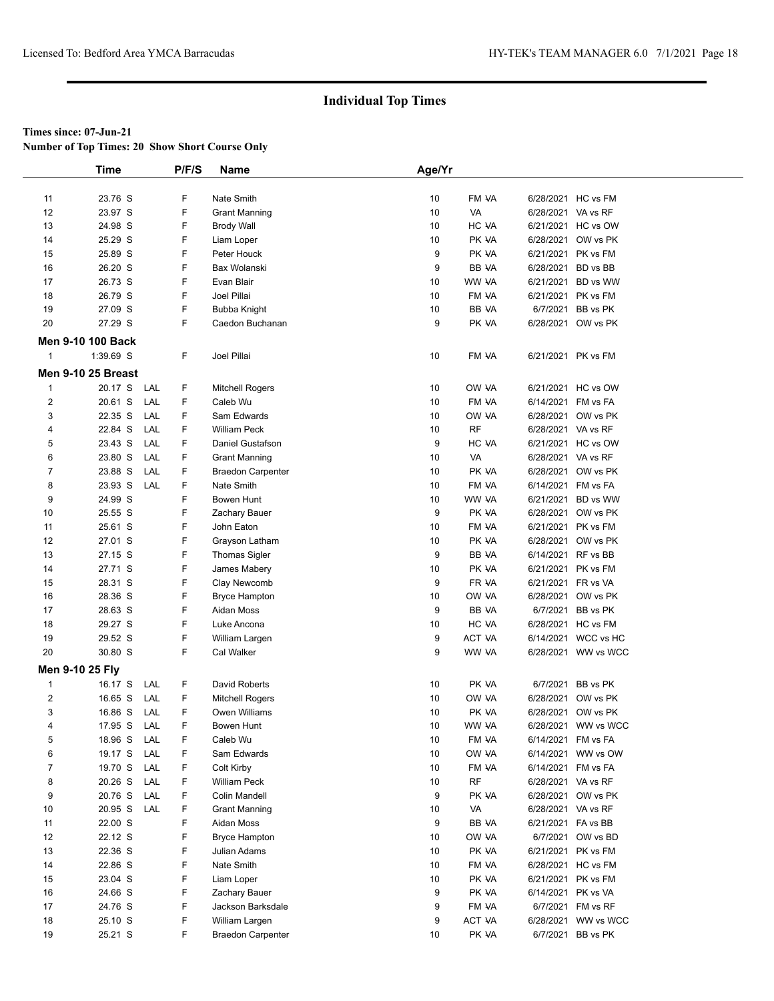**Number of Top Times: 20 Show Short Course Only**

|                 | <b>Time</b>               |     | P/F/S | Name                     | Age/Yr |   |           |                    |                     |
|-----------------|---------------------------|-----|-------|--------------------------|--------|---|-----------|--------------------|---------------------|
|                 |                           |     |       |                          |        |   |           |                    |                     |
| 11              | 23.76 S                   |     | F     | Nate Smith               | 10     |   | FM VA     | 6/28/2021 HC vs FM |                     |
| 12              | 23.97 S                   |     | F     | <b>Grant Manning</b>     | 10     |   | VA        | 6/28/2021 VA vs RF |                     |
| 13              | 24.98 S                   |     | F     | <b>Brody Wall</b>        | 10     |   | HC VA     |                    | 6/21/2021 HC vs OW  |
| 14              | 25.29 S                   |     | F     | Liam Loper               | 10     |   | PK VA     |                    | 6/28/2021 OW vs PK  |
| 15              | 25.89 S                   |     | F     | Peter Houck              |        | 9 | PK VA     | 6/21/2021 PK vs FM |                     |
| 16              | 26.20 S                   |     | F     | Bax Wolanski             |        | 9 | BB VA     | 6/28/2021 BD vs BB |                     |
| 17              | 26.73 S                   |     | F     | Evan Blair               | 10     |   | WW VA     |                    | 6/21/2021 BD vs WW  |
| 18              | 26.79 S                   |     | F     | Joel Pillai              | 10     |   | FM VA     | 6/21/2021 PK vs FM |                     |
| 19              | 27.09 S                   |     | F     | Bubba Knight             | 10     |   | BB VA     |                    | 6/7/2021 BB vs PK   |
| 20              | 27.29 S                   |     | F     | Caedon Buchanan          |        | 9 | PK VA     |                    | 6/28/2021 OW vs PK  |
|                 | <b>Men 9-10 100 Back</b>  |     |       |                          |        |   |           |                    |                     |
| $\mathbf{1}$    | 1:39.69 S                 |     | F     | Joel Pillai              | 10     |   | FM VA     | 6/21/2021 PK vs FM |                     |
|                 |                           |     |       |                          |        |   |           |                    |                     |
|                 | <b>Men 9-10 25 Breast</b> |     |       |                          |        |   |           |                    |                     |
| $\mathbf{1}$    | 20.17 S                   | LAL | F.    | <b>Mitchell Rogers</b>   | 10     |   | OW VA     |                    | 6/21/2021 HC vs OW  |
| $\overline{2}$  | 20.61 S                   | LAL | F     | Caleb Wu                 | 10     |   | FM VA     | 6/14/2021 FM vs FA |                     |
| 3               | 22.35 S                   | LAL | F     | Sam Edwards              | 10     |   | OW VA     |                    | 6/28/2021 OW vs PK  |
| 4               | 22.84 S                   | LAL | F     | <b>William Peck</b>      | 10     |   | <b>RF</b> | 6/28/2021 VA vs RF |                     |
| 5               | 23.43 S                   | LAL | F     | Daniel Gustafson         |        | 9 | HC VA     |                    | 6/21/2021 HC vs OW  |
| 6               | 23.80 S                   | LAL | F     | Grant Manning            | 10     |   | VA        | 6/28/2021 VA vs RF |                     |
| $\overline{7}$  | 23.88 S                   | LAL | F     | <b>Braedon Carpenter</b> | 10     |   | PK VA     |                    | 6/28/2021 OW vs PK  |
| 8               | 23.93 S                   | LAL | F     | Nate Smith               | 10     |   | FM VA     | 6/14/2021 FM vs FA |                     |
| 9               | 24.99 S                   |     | F     | Bowen Hunt               | 10     |   | WW VA     |                    | 6/21/2021 BD vs WW  |
| 10              | 25.55 S                   |     | F     | Zachary Bauer            |        | 9 | PK VA     |                    | 6/28/2021 OW vs PK  |
| 11              | 25.61 S                   |     | F     | John Eaton               | 10     |   | FM VA     | 6/21/2021 PK vs FM |                     |
| 12              | 27.01 S                   |     | F     | Grayson Latham           | 10     |   | PK VA     |                    | 6/28/2021 OW vs PK  |
| 13              | 27.15 S                   |     | F     | <b>Thomas Sigler</b>     |        | 9 | BB VA     | 6/14/2021 RF vs BB |                     |
| 14              | 27.71 S                   |     | F     | James Mabery             | 10     |   | PK VA     | 6/21/2021 PK vs FM |                     |
| 15              | 28.31 S                   |     | F     | Clay Newcomb             |        | 9 | FR VA     | 6/21/2021 FR vs VA |                     |
| 16              | 28.36 S                   |     | F     | <b>Bryce Hampton</b>     | 10     |   | OW VA     |                    | 6/28/2021 OW vs PK  |
| 17              | 28.63 S                   |     | F     | Aidan Moss               |        | 9 | BB VA     |                    | 6/7/2021 BB vs PK   |
| 18              | 29.27 S                   |     | F     | Luke Ancona              | 10     |   | HC VA     | 6/28/2021 HC vs FM |                     |
| 19              | 29.52 S                   |     | F     | William Largen           |        | 9 | ACT VA    |                    | 6/14/2021 WCC vs HC |
| 20              | 30.80 S                   |     | F.    | Cal Walker               |        | 9 | WW VA     |                    | 6/28/2021 WW vs WCC |
| Men 9-10 25 Fly |                           |     |       |                          |        |   |           |                    |                     |
| $\mathbf{1}$    | 16.17 S                   | LAL | F     | David Roberts            | 10     |   | PK VA     |                    | 6/7/2021 BB vs PK   |
| $\overline{2}$  | 16.65 S                   | LAL | F     | Mitchell Rogers          | 10     |   | OW VA     |                    | 6/28/2021 OW vs PK  |
| 3               | 16.86 S                   | LAL | F     | Owen Williams            | 10     |   | PK VA     |                    | 6/28/2021 OW vs PK  |
| 4               | 17.95 S                   | LAL | F     | Bowen Hunt               | 10     |   | WW VA     |                    | 6/28/2021 WW vs WCC |
| 5               | 18.96 S                   | LAL | F     | Caleb Wu                 | 10     |   | FM VA     | 6/14/2021 FM vs FA |                     |
| 6               | 19.17 S                   | LAL | F     | Sam Edwards              | 10     |   | OW VA     |                    | 6/14/2021 WW vs OW  |
| $\overline{7}$  | 19.70 S                   | LAL | F     | Colt Kirby               | 10     |   | FM VA     | 6/14/2021 FM vs FA |                     |
| 8               | 20.26 S                   | LAL | F     | William Peck             | 10     |   | RF        | 6/28/2021 VA vs RF |                     |
| 9               | 20.76 S                   | LAL | F     | Colin Mandell            |        | 9 | PK VA     |                    | 6/28/2021 OW vs PK  |
| 10              | 20.95 S                   | LAL | F     | <b>Grant Manning</b>     | 10     |   | VA        | 6/28/2021 VA vs RF |                     |
| 11              | 22.00 S                   |     | F     | Aidan Moss               |        | 9 | BB VA     | 6/21/2021 FA vs BB |                     |
| 12              | 22.12 S                   |     | F     | <b>Bryce Hampton</b>     | 10     |   | OW VA     |                    | 6/7/2021 OW vs BD   |
| 13              | 22.36 S                   |     | F     | Julian Adams             | 10     |   | PK VA     | 6/21/2021 PK vs FM |                     |
| 14              | 22.86 S                   |     | F     | Nate Smith               | 10     |   | FM VA     | 6/28/2021 HC vs FM |                     |
| 15              | 23.04 S                   |     | F     | Liam Loper               | 10     |   | PK VA     | 6/21/2021 PK vs FM |                     |
| 16              | 24.66 S                   |     | F     | Zachary Bauer            |        | 9 | PK VA     | 6/14/2021 PK vs VA |                     |
| 17              | 24.76 S                   |     | F     | Jackson Barksdale        |        | 9 | FM VA     |                    | 6/7/2021 FM vs RF   |
| 18              | 25.10 S                   |     | F     | William Largen           |        | 9 | ACT VA    |                    | 6/28/2021 WW vs WCC |
| 19              | 25.21 S                   |     | F     | <b>Braedon Carpenter</b> | 10     |   | PK VA     |                    | 6/7/2021 BB vs PK   |
|                 |                           |     |       |                          |        |   |           |                    |                     |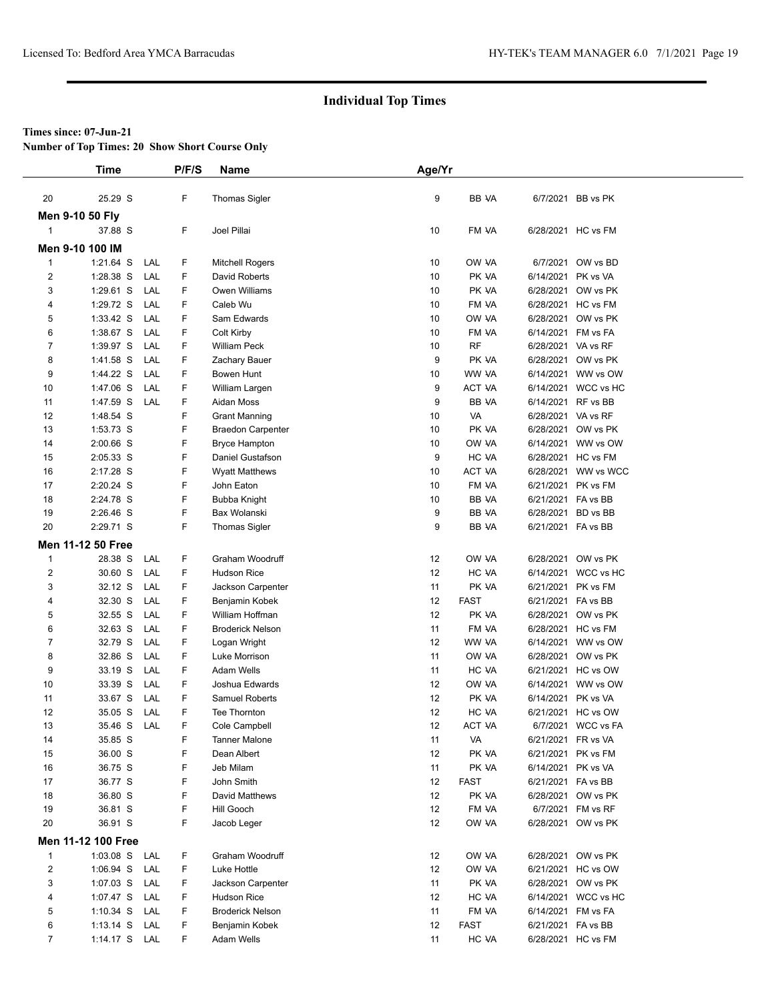**Number of Top Times: 20 Show Short Course Only**

|                | <b>Time</b>               | P/F/S                | <b>Name</b>                             | Age/Yr   |                |                    |                                          |
|----------------|---------------------------|----------------------|-----------------------------------------|----------|----------------|--------------------|------------------------------------------|
|                |                           |                      |                                         |          |                |                    |                                          |
| 20             | 25.29 S                   | F                    | <b>Thomas Sigler</b>                    | 9        | BB VA          |                    | 6/7/2021 BB vs PK                        |
|                | Men 9-10 50 Fly           |                      |                                         |          |                |                    |                                          |
| $\mathbf{1}$   | 37.88 S                   | F                    | Joel Pillai                             | 10       | FM VA          |                    | 6/28/2021 HC vs FM                       |
|                | Men 9-10 100 IM           |                      |                                         |          |                |                    |                                          |
| $\mathbf{1}$   | 1:21.64 S                 | F<br>LAL             | <b>Mitchell Rogers</b>                  | 10       | OW VA          |                    | 6/7/2021 OW vs BD                        |
| $\overline{c}$ | 1:28.38 S                 | F<br>LAL             | David Roberts                           | 10       | PK VA          | 6/14/2021 PK vs VA |                                          |
| 3              | 1:29.61 S                 | LAL<br>F             | Owen Williams                           | 10       | PK VA          |                    | 6/28/2021 OW vs PK                       |
| 4              | 1:29.72 S                 | F<br>LAL             | Caleb Wu                                | 10       | FM VA          |                    | 6/28/2021 HC vs FM                       |
| 5              | $1:33.42$ S               | F<br>LAL             | Sam Edwards                             | 10       | OW VA          |                    | 6/28/2021 OW vs PK                       |
| 6              | 1:38.67 S                 | F<br>LAL             | Colt Kirby                              | 10       | FM VA          | 6/14/2021 FM vs FA |                                          |
| 7              | 1:39.97 S                 | F<br>LAL             | <b>William Peck</b>                     | 10       | <b>RF</b>      | 6/28/2021 VA vs RF |                                          |
| 8              | 1:41.58 S                 | F<br>LAL             | Zachary Bauer                           | 9        | PK VA          |                    | 6/28/2021 OW vs PK                       |
| 9              | 1:44.22 S                 | F<br>LAL             | Bowen Hunt                              | 10       | WW VA          |                    | 6/14/2021 WW vs OW                       |
| 10             | 1:47.06 S                 | LAL<br>F             | William Largen                          | 9        | <b>ACT VA</b>  |                    | 6/14/2021 WCC vs HC                      |
| 11             | 1:47.59 S                 | F<br>LAL             | Aidan Moss                              | 9        | BB VA          | 6/14/2021 RF vs BB |                                          |
| 12             | 1:48.54 S                 | F                    | <b>Grant Manning</b>                    | 10       | VA             | 6/28/2021 VA vs RF |                                          |
| 13             | 1:53.73 S                 | F                    | <b>Braedon Carpenter</b>                | 10       | PK VA          |                    | 6/28/2021 OW vs PK                       |
| 14             | 2:00.66 S                 | F                    | <b>Bryce Hampton</b>                    | 10       | ow ya          |                    | 6/14/2021 WW vs OW                       |
| 15             | 2:05.33 S                 | F                    | Daniel Gustafson                        | 9        | HC VA          |                    | 6/28/2021 HC vs FM                       |
| 16             | 2:17.28 S                 | F                    | <b>Wyatt Matthews</b>                   | 10       | <b>ACT VA</b>  |                    | 6/28/2021 WW vs WCC                      |
| 17             | 2:20.24 S                 | F                    | John Eaton                              | 10       | FM VA          |                    | 6/21/2021 PK vs FM                       |
| 18             | 2:24.78 S                 | F                    | Bubba Knight                            | 10       | BB VA          | 6/21/2021 FA vs BB |                                          |
| 19             | 2:26.46 S                 | F                    | Bax Wolanski                            | 9        | BB VA          | 6/28/2021 BD vs BB |                                          |
| 20             | 2:29.71 S                 | F                    | <b>Thomas Sigler</b>                    | 9        | <b>BB VA</b>   | 6/21/2021 FA vs BB |                                          |
|                | <b>Men 11-12 50 Free</b>  |                      |                                         |          |                |                    |                                          |
| $\mathbf{1}$   | 28.38 S                   | F<br>LAL             | Graham Woodruff                         | 12       | OW VA          |                    | 6/28/2021 OW vs PK                       |
| $\overline{2}$ | 30.60 S                   | F<br>LAL             | <b>Hudson Rice</b>                      | 12       | HC VA          |                    | 6/14/2021 WCC vs HC                      |
| 3              | 32.12 S                   | LAL<br>F             | Jackson Carpenter                       | 11       | PK VA          |                    | 6/21/2021 PK vs FM                       |
| 4              | 32.30 S                   | F<br>LAL             | Benjamin Kobek                          | 12       | <b>FAST</b>    | 6/21/2021 FA vs BB |                                          |
| 5              | 32.55 S                   | F<br>LAL             | William Hoffman                         | 12       | PK VA          |                    | 6/28/2021 OW vs PK                       |
| 6              | 32.63 S                   | LAL<br>F             | <b>Broderick Nelson</b>                 | 11       | FM VA          |                    | 6/28/2021 HC vs FM                       |
| 7              | 32.79 S                   | F<br>LAL             | Logan Wright                            | 12       | WW VA          |                    | 6/14/2021 WW vs OW                       |
| 8              | 32.86 S                   | F<br>LAL             | Luke Morrison                           | 11       | OW VA          |                    | 6/28/2021 OW vs PK<br>6/21/2021 HC vs OW |
| 9              | 33.19 S                   | LAL<br>F<br>F<br>LAL | <b>Adam Wells</b>                       | 11<br>12 | HC VA<br>OW VA |                    |                                          |
| 10<br>11       | 33.39 S<br>33.67 S        | F<br>LAL             | Joshua Edwards<br><b>Samuel Roberts</b> | 12       | PK VA          | 6/14/2021 PK vs VA | 6/14/2021 WW vs OW                       |
| 12             | 35.05 S                   | F<br>LAL             | Tee Thornton                            | 12       | HC VA          |                    | 6/21/2021 HC vs OW                       |
| 13             | 35.46 S                   | F<br>LAL             | Cole Campbell                           | 12       | <b>ACT VA</b>  |                    | 6/7/2021 WCC vs FA                       |
| 14             | 35.85 S                   | F                    | <b>Tanner Malone</b>                    | 11       | VA             | 6/21/2021 FR vs VA |                                          |
| 15             | 36.00 S                   | F                    | Dean Albert                             | 12       | PK VA          |                    | 6/21/2021 PK vs FM                       |
| 16             | 36.75 S                   | F                    | Jeb Milam                               | 11       | PK VA          | 6/14/2021 PK vs VA |                                          |
| 17             | 36.77 S                   | F                    | John Smith                              | 12       | <b>FAST</b>    | 6/21/2021 FA vs BB |                                          |
| 18             | 36.80 S                   | F                    | David Matthews                          | 12       | PK VA          |                    | 6/28/2021 OW vs PK                       |
| 19             | 36.81 S                   | F                    | Hill Gooch                              | 12       | FM VA          |                    | 6/7/2021 FM vs RF                        |
| 20             | 36.91 S                   | F                    | Jacob Leger                             | 12       | ow ya          |                    | 6/28/2021 OW vs PK                       |
|                | <b>Men 11-12 100 Free</b> |                      |                                         |          |                |                    |                                          |
| $\mathbf{1}$   | 1:03.08 S LAL             | F                    | Graham Woodruff                         | 12       | OW VA          |                    | 6/28/2021 OW vs PK                       |
| $\overline{2}$ | $1:06.94$ S               | F<br>LAL             | Luke Hottle                             | 12       | OW VA          |                    | 6/21/2021 HC vs OW                       |
| 3              | $1:07.03$ S<br>LAL        | F                    | Jackson Carpenter                       | 11       | PK VA          |                    | 6/28/2021 OW vs PK                       |
| 4              | 1:07.47 S                 | F<br>LAL             | Hudson Rice                             | 12       | HC VA          |                    | 6/14/2021 WCC vs HC                      |
| 5              | $1:10.34$ S               | LAL<br>F             | <b>Broderick Nelson</b>                 | 11       | FM VA          | 6/14/2021 FM vs FA |                                          |
| 6              | $1:13.14$ S<br>LAL        | F                    | Benjamin Kobek                          | 12       | <b>FAST</b>    | 6/21/2021 FA vs BB |                                          |
| $\overline{7}$ | 1:14.17 S LAL             | F                    | Adam Wells                              | 11       | HC VA          |                    | 6/28/2021 HC vs FM                       |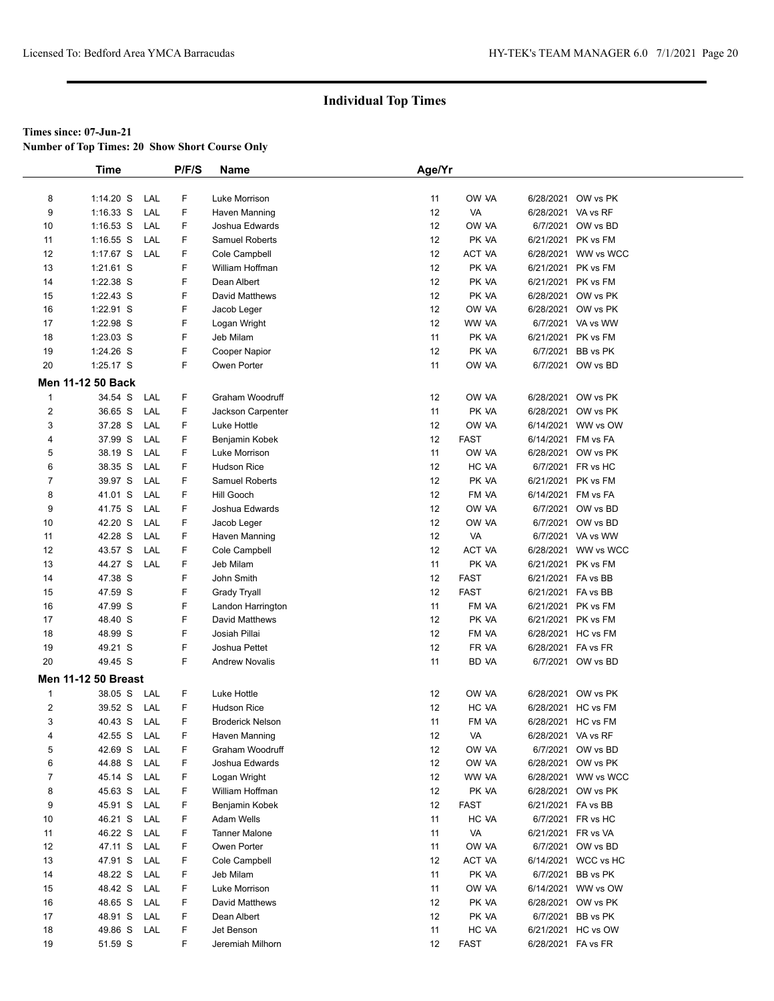**Number of Top Times: 20 Show Short Course Only**

|                | <b>Time</b>                |     | P/F/S | Name                    | Age/Yr |             |                    |                     |
|----------------|----------------------------|-----|-------|-------------------------|--------|-------------|--------------------|---------------------|
|                |                            |     |       |                         |        |             |                    |                     |
| 8              | $1:14.20$ S                | LAL | F     | Luke Morrison           | 11     | OW VA       |                    | 6/28/2021 OW vs PK  |
| 9              | 1:16.33 S                  | LAL | F     | Haven Manning           | 12     | VA          | 6/28/2021 VA vs RF |                     |
| 10             | $1:16.53$ S                | LAL | F     | Joshua Edwards          | 12     | OW VA       |                    | 6/7/2021 OW vs BD   |
| 11             | $1:16.55$ S                | LAL | F     | Samuel Roberts          | 12     | PK VA       | 6/21/2021          | PK vs FM            |
| 12             | $1:17.67$ S                | LAL | F     | Cole Campbell           | 12     | ACT VA      |                    | 6/28/2021 WW vs WCC |
| 13             | 1:21.61 S                  |     | F     | William Hoffman         | 12     | PK VA       | 6/21/2021          | PK vs FM            |
| 14             | 1:22.38 S                  |     | F     | Dean Albert             | 12     | PK VA       | 6/21/2021          | PK vs FM            |
| 15             | 1:22.43 S                  |     | F     | David Matthews          | 12     | PK VA       |                    | 6/28/2021 OW vs PK  |
| 16             | 1:22.91 S                  |     | F     | Jacob Leger             | 12     | OW VA       |                    | 6/28/2021 OW vs PK  |
| 17             | 1:22.98 S                  |     | F     | Logan Wright            | 12     | WW VA       |                    | 6/7/2021 VA vs WW   |
| 18             | 1:23.03 S                  |     | F     | Jeb Milam               | 11     | PK VA       |                    | 6/21/2021 PK vs FM  |
| 19             | 1:24.26 S                  |     | F     | Cooper Napior           | 12     | PK VA       | 6/7/2021           | BB vs PK            |
| 20             | 1:25.17 S                  |     | F     | Owen Porter             | 11     | OW VA       |                    | 6/7/2021 OW vs BD   |
|                | Men 11-12 50 Back          |     |       |                         |        |             |                    |                     |
|                |                            |     |       |                         |        |             |                    |                     |
| $\mathbf{1}$   | 34.54 S                    | LAL | F     | Graham Woodruff         | 12     | OW VA       |                    | 6/28/2021 OW vs PK  |
| $\overline{2}$ | 36.65 S                    | LAL | F     | Jackson Carpenter       | 11     | PK VA       |                    | 6/28/2021 OW vs PK  |
| 3              | 37.28 S                    | LAL | F     | Luke Hottle             | 12     | OW VA       |                    | 6/14/2021 WW vs OW  |
| 4              | 37.99 S                    | LAL | F     | Benjamin Kobek          | 12     | <b>FAST</b> | 6/14/2021 FM vs FA |                     |
| 5              | 38.19 S                    | LAL | F     | Luke Morrison           | 11     | OW VA       |                    | 6/28/2021 OW vs PK  |
| 6              | 38.35 S                    | LAL | F     | <b>Hudson Rice</b>      | 12     | HC VA       |                    | 6/7/2021 FR vs HC   |
| $\overline{7}$ | 39.97 S                    | LAL | F     | <b>Samuel Roberts</b>   | 12     | PK VA       |                    | 6/21/2021 PK vs FM  |
| 8              | 41.01 S                    | LAL | F     | Hill Gooch              | 12     | FM VA       | 6/14/2021          | FM vs FA            |
| 9              | 41.75 S                    | LAL | F     | Joshua Edwards          | 12     | OW VA       |                    | 6/7/2021 OW vs BD   |
| 10             | 42.20 S                    | LAL | F     | Jacob Leger             | 12     | OW VA       |                    | 6/7/2021 OW vs BD   |
| 11             | 42.28 S                    | LAL | F     | Haven Manning           | 12     | VA          |                    | 6/7/2021 VA vs WW   |
| 12             | 43.57 S                    | LAL | F     | Cole Campbell           | 12     | ACT VA      |                    | 6/28/2021 WW vs WCC |
| 13             | 44.27 S                    | LAL | F     | Jeb Milam               | 11     | PK VA       | 6/21/2021 PK vs FM |                     |
| 14             | 47.38 S                    |     | F     | John Smith              | 12     | <b>FAST</b> | 6/21/2021 FA vs BB |                     |
| 15             | 47.59 S                    |     | F     | <b>Grady Tryall</b>     | 12     | <b>FAST</b> | 6/21/2021 FA vs BB |                     |
| 16             | 47.99 S                    |     | F     | Landon Harrington       | 11     | FM VA       |                    | 6/21/2021 PK vs FM  |
| 17             | 48.40 S                    |     | F     | David Matthews          | 12     | PK VA       |                    | 6/21/2021 PK vs FM  |
| 18             | 48.99 S                    |     | F     | Josiah Pillai           | 12     | FM VA       |                    | 6/28/2021 HC vs FM  |
| 19             | 49.21 S                    |     | F     | Joshua Pettet           | 12     | FR VA       | 6/28/2021 FA vs FR |                     |
| 20             | 49.45 S                    |     | F     | <b>Andrew Novalis</b>   | 11     | BD VA       |                    | 6/7/2021 OW vs BD   |
|                | <b>Men 11-12 50 Breast</b> |     |       |                         |        |             |                    |                     |
| $\mathbf{1}$   | 38.05 S                    | LAL | F     | Luke Hottle             | 12     | OW VA       |                    | 6/28/2021 OW vs PK  |
| $\overline{2}$ | 39.52 S                    | LAL | F     | <b>Hudson Rice</b>      | 12     | HC VA       |                    | 6/28/2021 HC vs FM  |
| 3              | 40.43 S                    | LAL | F     | <b>Broderick Nelson</b> | 11     | FM VA       |                    | 6/28/2021 HC vs FM  |
| 4              | 42.55 S                    | LAL | F     | Haven Manning           | 12     | VA          | 6/28/2021 VA vs RF |                     |
| 5              | 42.69 S                    | LAL | F     | Graham Woodruff         | 12     | OW VA       |                    | 6/7/2021 OW vs BD   |
| 6              | 44.88 S                    | LAL | F     | Joshua Edwards          | 12     | OW VA       |                    | 6/28/2021 OW vs PK  |
| $\overline{7}$ | 45.14 S                    | LAL | F     | Logan Wright            | 12     | WW VA       |                    | 6/28/2021 WW vs WCC |
| 8              | 45.63 S                    | LAL | F     | William Hoffman         | 12     | PK VA       |                    | 6/28/2021 OW vs PK  |
| 9              | 45.91 S                    | LAL | F     | Benjamin Kobek          | 12     | <b>FAST</b> | 6/21/2021 FA vs BB |                     |
| 10             | 46.21 S                    | LAL | F     | Adam Wells              | 11     | HC VA       |                    | 6/7/2021 FR vs HC   |
| 11             | 46.22 S                    | LAL | F     | <b>Tanner Malone</b>    | 11     | VA          | 6/21/2021 FR vs VA |                     |
| 12             | 47.11 S                    | LAL | F     | Owen Porter             | 11     | OW VA       |                    | 6/7/2021 OW vs BD   |
| 13             | 47.91 S                    | LAL | F     | Cole Campbell           | 12     | ACT VA      |                    | 6/14/2021 WCC vs HC |
| 14             | 48.22 S                    | LAL | F     | Jeb Milam               | 11     | PK VA       | 6/7/2021           | BB vs PK            |
| 15             | 48.42 S                    | LAL | F     | Luke Morrison           | 11     | OW VA       |                    | 6/14/2021 WW vs OW  |
| 16             | 48.65 S                    | LAL | F     | David Matthews          | 12     | PK VA       |                    | 6/28/2021 OW vs PK  |
| 17             | 48.91 S                    | LAL | F     | Dean Albert             | 12     | PK VA       |                    | 6/7/2021 BB vs PK   |
| 18             | 49.86 S                    | LAL | F     | Jet Benson              | 11     | HC VA       |                    | 6/21/2021 HC vs OW  |
| 19             | 51.59 S                    |     | F     | Jeremiah Milhorn        | 12     | <b>FAST</b> | 6/28/2021 FA vs FR |                     |
|                |                            |     |       |                         |        |             |                    |                     |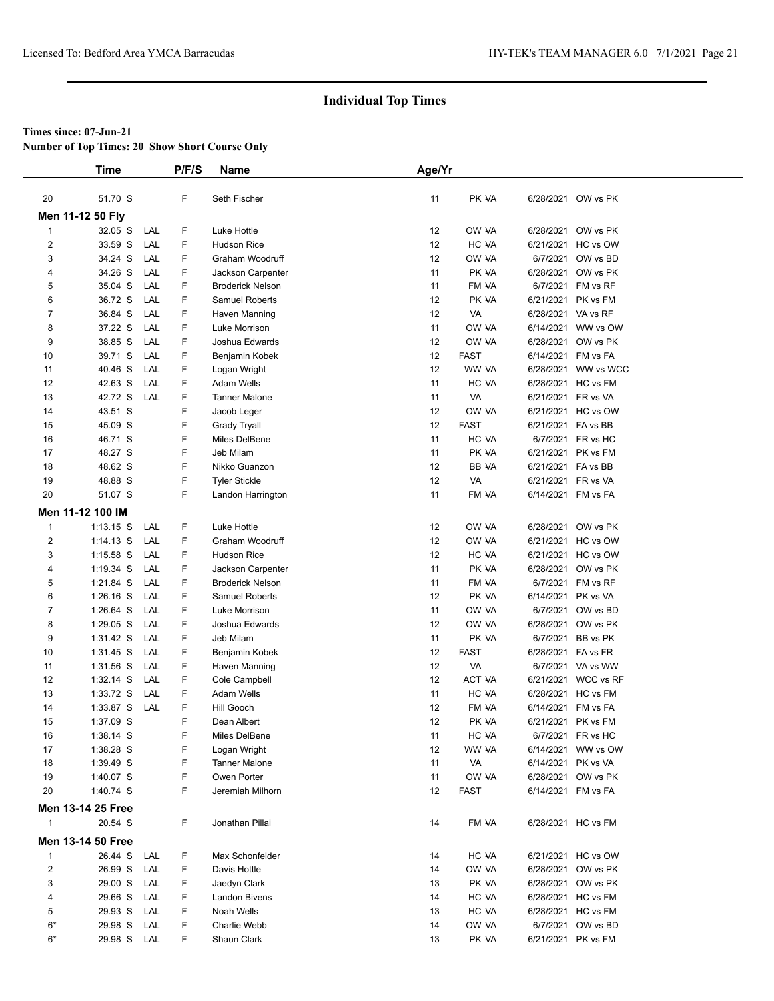**Number of Top Times: 20 Show Short Course Only**

|                | <b>Time</b>              |     | P/F/S | <b>Name</b>             | Age/Yr |             |                    |                     |  |
|----------------|--------------------------|-----|-------|-------------------------|--------|-------------|--------------------|---------------------|--|
|                |                          |     |       |                         |        |             |                    |                     |  |
| 20             | 51.70 S                  |     | F     | Seth Fischer            | 11     | PK VA       |                    | 6/28/2021 OW vs PK  |  |
|                | Men 11-12 50 Fly         |     |       |                         |        |             |                    |                     |  |
| $\mathbf{1}$   | 32.05 S                  | LAL | F     | Luke Hottle             | 12     | OW VA       | 6/28/2021          | OW vs PK            |  |
| 2              | 33.59 S                  | LAL | F     | <b>Hudson Rice</b>      | 12     | HC VA       | 6/21/2021          | HC vs OW            |  |
| 3              | 34.24 S                  | LAL | F     | Graham Woodruff         | 12     | OW VA       | 6/7/2021           | OW vs BD            |  |
| 4              | 34.26 S                  | LAL | F     | Jackson Carpenter       | 11     | PK VA       | 6/28/2021          | OW vs PK            |  |
| 5              | 35.04 S                  | LAL | F     | <b>Broderick Nelson</b> | 11     | FM VA       | 6/7/2021           | FM vs RF            |  |
| 6              | 36.72 S                  | LAL | F     | Samuel Roberts          | 12     | PK VA       | 6/21/2021          | PK vs FM            |  |
| 7              | 36.84 S                  | LAL | F     | Haven Manning           | 12     | VA          | 6/28/2021 VA vs RF |                     |  |
| 8              | 37.22 S                  | LAL | F     | Luke Morrison           | 11     | OW VA       | 6/14/2021          | WW vs OW            |  |
| 9              | 38.85 S                  | LAL | F     | Joshua Edwards          | 12     | OW VA       | 6/28/2021          | OW vs PK            |  |
| 10             | 39.71 S                  | LAL | F     | Benjamin Kobek          | 12     | <b>FAST</b> | 6/14/2021          | FM vs FA            |  |
| 11             | 40.46 S                  | LAL | F     | Logan Wright            | 12     | WW VA       | 6/28/2021          | WW vs WCC           |  |
| 12             | 42.63 S                  | LAL | F     | Adam Wells              | 11     | HC VA       |                    | 6/28/2021 HC vs FM  |  |
| 13             | 42.72 S                  | LAL | F     | <b>Tanner Malone</b>    | 11     | VA          | 6/21/2021 FR vs VA |                     |  |
| 14             | 43.51 S                  |     | F     | Jacob Leger             | 12     | OW VA       | 6/21/2021          | HC vs OW            |  |
| 15             | 45.09 S                  |     | F     | <b>Grady Tryall</b>     | 12     | <b>FAST</b> | 6/21/2021 FA vs BB |                     |  |
| 16             | 46.71 S                  |     | F     | Miles DelBene           | 11     | HC VA       |                    | 6/7/2021 FR vs HC   |  |
| 17             | 48.27 S                  |     | F     | Jeb Milam               | 11     | PK VA       | 6/21/2021          | PK vs FM            |  |
| 18             | 48.62 S                  |     | F     | Nikko Guanzon           | 12     | BB VA       | 6/21/2021 FA vs BB |                     |  |
| 19             | 48.88 S                  |     | F     | <b>Tyler Stickle</b>    | 12     | VA          | 6/21/2021          | FR vs VA            |  |
| 20             | 51.07 S                  |     | F     | Landon Harrington       | 11     | FM VA       | 6/14/2021 FM vs FA |                     |  |
|                | Men 11-12 100 IM         |     |       |                         |        |             |                    |                     |  |
| $\mathbf{1}$   | $1:13.15$ S              | LAL | F     | Luke Hottle             | 12     | OW VA       | 6/28/2021          | OW vs PK            |  |
| $\overline{c}$ | $1:14.13$ S              | LAL | F     | Graham Woodruff         | 12     | OW VA       | 6/21/2021          | HC vs OW            |  |
| 3              | $1:15.58$ S              | LAL | F     | <b>Hudson Rice</b>      | 12     | HC VA       | 6/21/2021          | HC vs OW            |  |
| 4              | $1:19.34$ S              | LAL | F     | Jackson Carpenter       | 11     | PK VA       | 6/28/2021          | OW vs PK            |  |
| 5              | 1:21.84 S                | LAL | F     | <b>Broderick Nelson</b> | 11     | FM VA       | 6/7/2021           | FM vs RF            |  |
| 6              | $1:26.16$ S              | LAL | F     | Samuel Roberts          | 12     | PK VA       | 6/14/2021          | PK vs VA            |  |
| 7              | 1:26.64 S                | LAL | F     | Luke Morrison           | 11     | OW VA       | 6/7/2021           | OW vs BD            |  |
| 8              | 1:29.05 S                | LAL | F     | Joshua Edwards          | 12     | OW VA       | 6/28/2021          | OW vs PK            |  |
| 9              | 1:31.42 S                | LAL | F     | Jeb Milam               | 11     | PK VA       | 6/7/2021           | BB vs PK            |  |
| 10             | $1:31.45$ S              | LAL | F     | Benjamin Kobek          | 12     | <b>FAST</b> | 6/28/2021 FA vs FR |                     |  |
| 11             | 1:31.56 S                | LAL | F     | Haven Manning           | 12     | VA          |                    | 6/7/2021 VA vs WW   |  |
| 12             | $1:32.14$ S              | LAL | F     | Cole Campbell           | 12     | ACT VA      |                    | 6/21/2021 WCC vs RF |  |
| 13             | 1:33.72 S                | LAL | F     | Adam Wells              | 11     | HC VA       |                    | 6/28/2021 HC vs FM  |  |
| 14             | 1:33.87 S                | LAL | F     | Hill Gooch              | 12     | FM VA       | 6/14/2021          | FM vs FA            |  |
| 15             | 1:37.09 S                |     | F     | Dean Albert             | 12     | PK VA       |                    | 6/21/2021 PK vs FM  |  |
| 16             | 1:38.14 S                |     | F     | Miles DelBene           | 11     | HC VA       |                    | 6/7/2021 FR vs HC   |  |
| 17             | 1:38.28 S                |     | F     | Logan Wright            | 12     | WW VA       |                    | 6/14/2021 WW vs OW  |  |
| 18             | 1:39.49 S                |     | F     | <b>Tanner Malone</b>    | 11     | VA          | 6/14/2021 PK vs VA |                     |  |
| 19             | 1:40.07 S                |     | F     | Owen Porter             | 11     | OW VA       |                    | 6/28/2021 OW vs PK  |  |
| 20             | 1:40.74 S                |     | F     | Jeremiah Milhorn        | 12     | FAST        | 6/14/2021 FM vs FA |                     |  |
|                | <b>Men 13-14 25 Free</b> |     |       |                         |        |             |                    |                     |  |
| $\mathbf{1}$   | 20.54 S                  |     | F     | Jonathan Pillai         | 14     | FM VA       |                    | 6/28/2021 HC vs FM  |  |
|                | Men 13-14 50 Free        |     |       |                         |        |             |                    |                     |  |
| 1              | 26.44 S                  | LAL | F     | Max Schonfelder         | 14     | HC VA       |                    | 6/21/2021 HC vs OW  |  |
| 2              | 26.99 S                  | LAL | F     | Davis Hottle            | 14     | OW VA       |                    | 6/28/2021 OW vs PK  |  |
| 3              | 29.00 S                  | LAL | F     | Jaedyn Clark            | 13     | PK VA       |                    | 6/28/2021 OW vs PK  |  |
| 4              | 29.66 S                  | LAL | F     | Landon Bivens           | 14     | HC VA       |                    | 6/28/2021 HC vs FM  |  |
| 5              | 29.93 S                  | LAL | F     | Noah Wells              | 13     | HC VA       |                    | 6/28/2021 HC vs FM  |  |
| $6*$           | 29.98 S                  | LAL | F     | Charlie Webb            | 14     | OW VA       |                    | 6/7/2021 OW vs BD   |  |
| $6*$           | 29.98 S LAL              |     | F     | Shaun Clark             | 13     | PK VA       |                    | 6/21/2021 PK vs FM  |  |
|                |                          |     |       |                         |        |             |                    |                     |  |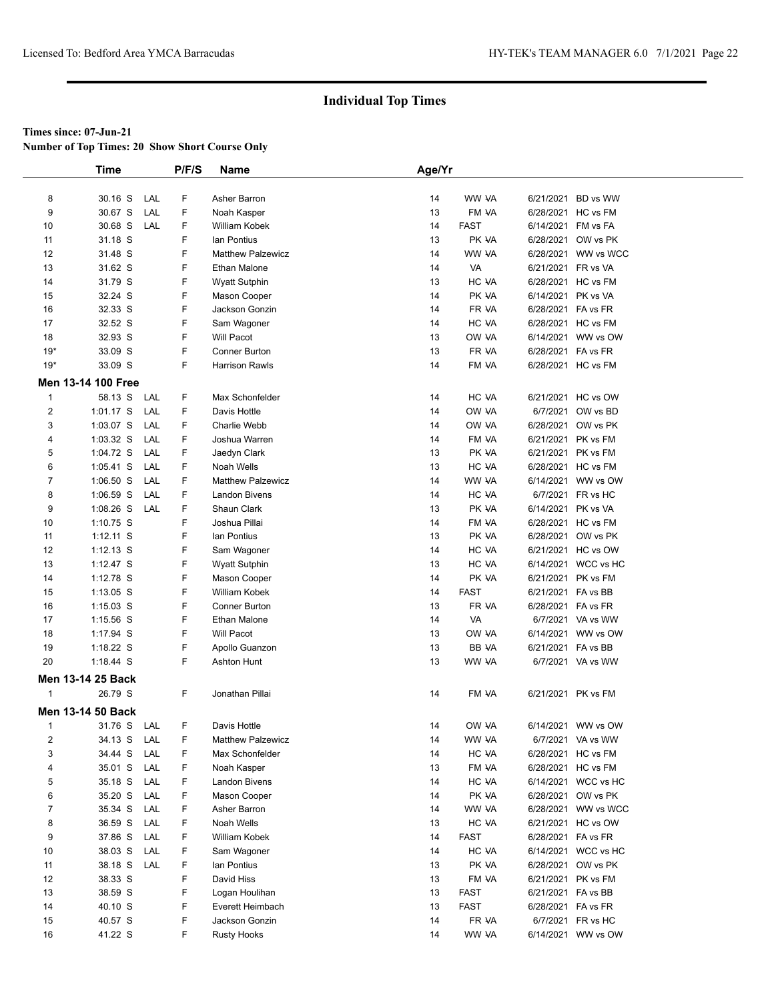**Number of Top Times: 20 Show Short Course Only**

|              | Time               |     | P/F/S | <b>Name</b>              | Age/Yr |             |                    |                     |
|--------------|--------------------|-----|-------|--------------------------|--------|-------------|--------------------|---------------------|
|              |                    |     |       |                          |        |             |                    |                     |
| 8            | 30.16 S            | LAL | F     | Asher Barron             | 14     | WW VA       |                    | 6/21/2021 BD vs WW  |
| 9            | 30.67 S            | LAL | F     | Noah Kasper              | 13     | FM VA       |                    | 6/28/2021 HC vs FM  |
| 10           | 30.68 S            | LAL | F     | William Kobek            | 14     | <b>FAST</b> |                    | 6/14/2021 FM vs FA  |
| 11           | 31.18 S            |     | F     | lan Pontius              | 13     | PK VA       |                    | 6/28/2021 OW vs PK  |
| 12           | 31.48 S            |     | F     | <b>Matthew Palzewicz</b> | 14     | WW VA       |                    | 6/28/2021 WW vs WCC |
| 13           | 31.62 S            |     | F     | Ethan Malone             | 14     | VA          | 6/21/2021 FR vs VA |                     |
| 14           | 31.79 S            |     | F     | <b>Wyatt Sutphin</b>     | 13     | HC VA       |                    | 6/28/2021 HC vs FM  |
| 15           | 32.24 S            |     | F     | Mason Cooper             | 14     | PK VA       | 6/14/2021 PK vs VA |                     |
| 16           | 32.33 S            |     | F     | Jackson Gonzin           | 14     | FR VA       | 6/28/2021 FA vs FR |                     |
| 17           | 32.52 S            |     | F     | Sam Wagoner              | 14     | HC VA       |                    | 6/28/2021 HC vs FM  |
| 18           | 32.93 S            |     | F     | Will Pacot               | 13     | OW VA       |                    | 6/14/2021 WW vs OW  |
| $19*$        | 33.09 S            |     | F     | Conner Burton            | 13     | FR VA       | 6/28/2021 FA vs FR |                     |
| $19*$        | 33.09 S            |     | F     | <b>Harrison Rawls</b>    | 14     | FM VA       |                    | 6/28/2021 HC vs FM  |
|              | Men 13-14 100 Free |     |       |                          |        |             |                    |                     |
| $\mathbf{1}$ | 58.13 S            | LAL | F     | Max Schonfelder          | 14     | HC VA       |                    | 6/21/2021 HC vs OW  |
|              | 1:01.17 S          | LAL | F     | Davis Hottle             | 14     | OW VA       |                    | 6/7/2021 OW vs BD   |
| 2<br>3       | 1:03.07 S          | LAL | F     | Charlie Webb             | 14     | OW VA       |                    | 6/28/2021 OW vs PK  |
|              |                    |     |       |                          |        |             |                    |                     |
| 4            | $1:03.32$ S        | LAL | F     | Joshua Warren            | 14     | FM VA       |                    | 6/21/2021 PK vs FM  |
| 5            | 1:04.72 S          | LAL | F     | Jaedyn Clark             | 13     | PK VA       |                    | 6/21/2021 PK vs FM  |
| 6            | $1:05.41$ S        | LAL | F     | Noah Wells               | 13     | HC VA       |                    | 6/28/2021 HC vs FM  |
| 7            | $1:06.50$ S        | LAL | F     | <b>Matthew Palzewicz</b> | 14     | WW VA       |                    | 6/14/2021 WW vs OW  |
| 8            | $1:06.59$ S        | LAL | F     | <b>Landon Bivens</b>     | 14     | HC VA       |                    | 6/7/2021 FR vs HC   |
| 9            | $1:08.26$ S        | LAL | F     | Shaun Clark              | 13     | PK VA       | 6/14/2021 PK vs VA |                     |
| 10           | 1:10.75 S          |     | F     | Joshua Pillai            | 14     | FM VA       |                    | 6/28/2021 HC vs FM  |
| 11           | $1:12.11$ S        |     | F     | lan Pontius              | 13     | PK VA       |                    | 6/28/2021 OW vs PK  |
| 12           | $1:12.13$ S        |     | F     | Sam Wagoner              | 14     | HC VA       |                    | 6/21/2021 HC vs OW  |
| 13           | 1:12.47 S          |     | F     | <b>Wyatt Sutphin</b>     | 13     | HC VA       |                    | 6/14/2021 WCC vs HC |
| 14           | 1:12.78 S          |     | F     | Mason Cooper             | 14     | PK VA       |                    | 6/21/2021 PK vs FM  |
| 15           | 1:13.05 S          |     | F     | William Kobek            | 14     | <b>FAST</b> | 6/21/2021 FA vs BB |                     |
| 16           | $1:15.03$ S        |     | F     | <b>Conner Burton</b>     | 13     | FR VA       | 6/28/2021 FA vs FR |                     |
| 17           | $1:15.56$ S        |     | F     | Ethan Malone             | 14     | VA          |                    | 6/7/2021 VA vs WW   |
| 18           | $1:17.94$ S        |     | F     | <b>Will Pacot</b>        | 13     | OW VA       |                    | 6/14/2021 WW vs OW  |
| 19           | $1:18.22$ S        |     | F     | Apollo Guanzon           | 13     | BB VA       | 6/21/2021 FA vs BB |                     |
| 20           | 1:18.44 S          |     | F     | <b>Ashton Hunt</b>       | 13     | WW VA       |                    | 6/7/2021 VA vs WW   |
|              | Men 13-14 25 Back  |     |       |                          |        |             |                    |                     |
| $\mathbf{1}$ | 26.79 S            |     | F     | Jonathan Pillai          | 14     | FM VA       |                    | 6/21/2021 PK vs FM  |
|              | Men 13-14 50 Back  |     |       |                          |        |             |                    |                     |
| 1            | 31.76 S            | LAL | F     | Davis Hottle             | 14     | OW VA       |                    | 6/14/2021 WW vs OW  |
| 2            | 34.13 S            | LAL | F     | <b>Matthew Palzewicz</b> | 14     | WW VA       |                    | 6/7/2021 VA vs WW   |
| 3            | 34.44 S            | LAL | F     | Max Schonfelder          | 14     | HC VA       |                    | 6/28/2021 HC vs FM  |
| 4            | 35.01 S            | LAL | F     | Noah Kasper              | 13     | FM VA       |                    | 6/28/2021 HC vs FM  |
|              |                    |     | F     |                          |        |             |                    |                     |
| 5            | 35.18 S            | LAL |       | Landon Bivens            | 14     | HC VA       |                    | 6/14/2021 WCC vs HC |
| 6            | 35.20 S            | LAL | F     | Mason Cooper             | 14     | PK VA       |                    | 6/28/2021 OW vs PK  |
| 7            | 35.34 S            | LAL | F     | Asher Barron             | 14     | WW VA       |                    | 6/28/2021 WW vs WCC |
| 8            | 36.59 S            | LAL | F     | Noah Wells               | 13     | HC VA       |                    | 6/21/2021 HC vs OW  |
| 9            | 37.86 S            | LAL | F     | William Kobek            | 14     | <b>FAST</b> | 6/28/2021 FA vs FR |                     |
| 10           | 38.03 S            | LAL | F     | Sam Wagoner              | 14     | HC VA       |                    | 6/14/2021 WCC vs HC |
| 11           | 38.18 S            | LAL | F     | lan Pontius              | 13     | PK VA       |                    | 6/28/2021 OW vs PK  |
| 12           | 38.33 S            |     | F     | David Hiss               | 13     | FM VA       |                    | 6/21/2021 PK vs FM  |
| 13           | 38.59 S            |     | F     | Logan Houlihan           | 13     | <b>FAST</b> | 6/21/2021 FA vs BB |                     |
| 14           | 40.10 S            |     | F     | Everett Heimbach         | 13     | <b>FAST</b> | 6/28/2021 FA vs FR |                     |
| 15           | 40.57 S            |     | F     | Jackson Gonzin           | 14     | FR VA       |                    | 6/7/2021 FR vs HC   |
| 16           | 41.22 S            |     | F     | <b>Rusty Hooks</b>       | 14     | WW VA       |                    | 6/14/2021 WW vs OW  |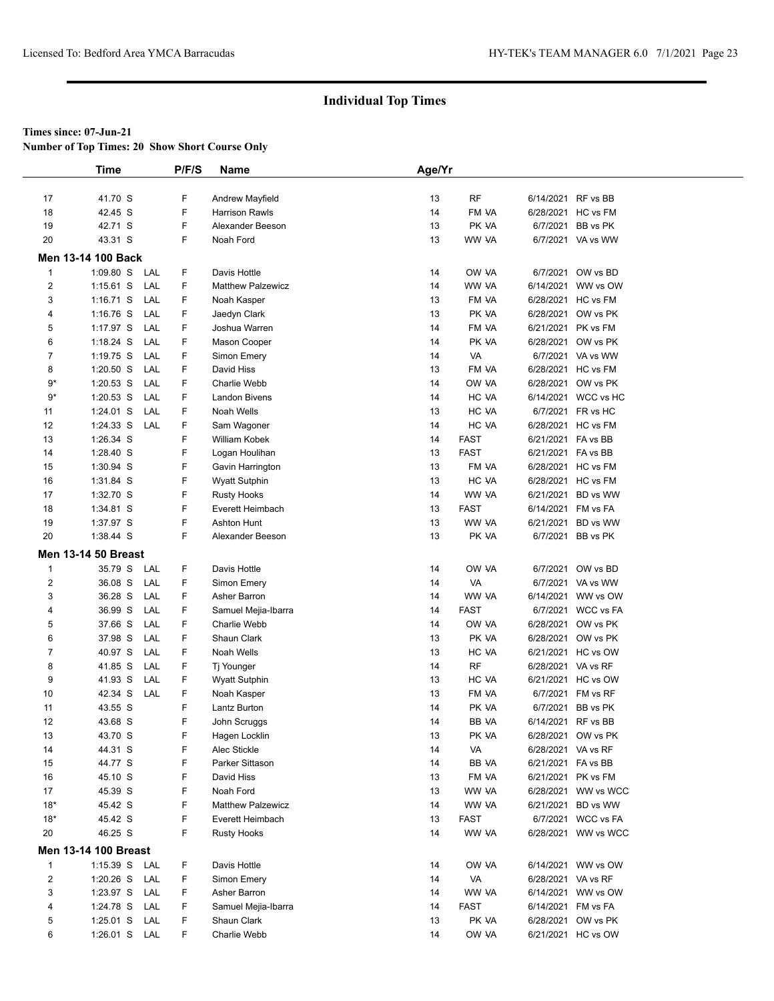**Number of Top Times: 20 Show Short Course Only**

|                | Time                        | P/F/S | Name                     | Age/Yr |             |                    |                     |
|----------------|-----------------------------|-------|--------------------------|--------|-------------|--------------------|---------------------|
|                |                             |       |                          |        |             |                    |                     |
| 17             | 41.70 S                     | F     | Andrew Mayfield          | 13     | <b>RF</b>   |                    | 6/14/2021 RF vs BB  |
| 18             | 42.45 S                     | F     | <b>Harrison Rawls</b>    | 14     | FM VA       |                    | 6/28/2021 HC vs FM  |
| 19             | 42.71 S                     | F     | Alexander Beeson         | 13     | PK VA       | 6/7/2021           | BB vs PK            |
| 20             | 43.31 S                     | F     | Noah Ford                | 13     | WW VA       |                    | 6/7/2021 VA vs WW   |
|                | Men 13-14 100 Back          |       |                          |        |             |                    |                     |
| $\mathbf{1}$   | $1:09.80$ S<br>LAL          | F     | Davis Hottle             | 14     | OW VA       | 6/7/2021           | OW vs BD            |
| 2              | 1:15.61 S<br>LAL            | F     | <b>Matthew Palzewicz</b> | 14     | WW VA       | 6/14/2021          | WW vs OW            |
| 3              | $1:16.71$ S<br>LAL          | F     | Noah Kasper              | 13     | FM VA       |                    | 6/28/2021 HC vs FM  |
| 4              | $1:16.76$ S<br>LAL          | F     | Jaedyn Clark             | 13     | PK VA       | 6/28/2021          | OW vs PK            |
| 5              | LAL<br>1:17.97 S            | F     | Joshua Warren            | 14     | FM VA       | 6/21/2021          | PK vs FM            |
| 6              | $1:18.24$ S<br>LAL          | F     | Mason Cooper             | 14     | PK VA       |                    | 6/28/2021 OW vs PK  |
| 7              | $1:19.75$ S<br>LAL          | F     | Simon Emery              | 14     | VA          |                    | 6/7/2021 VA vs WW   |
| 8              | $1:20.50$ S<br>LAL          | F     | David Hiss               | 13     | FM VA       | 6/28/2021          | HC vs FM            |
| 9*             | LAL<br>$1:20.53$ S          | F     | Charlie Webb             | 14     | OW VA       | 6/28/2021          | OW vs PK            |
| $9*$           | $1:20.53$ S<br>LAL          | F     | <b>Landon Bivens</b>     | 14     | HC VA       |                    | 6/14/2021 WCC vs HC |
| 11             | LAL<br>1:24.01 S            | F     | Noah Wells               | 13     | HC VA       |                    | 6/7/2021 FR vs HC   |
| 12             | $1:24.33$ S<br>LAL          | F     | Sam Wagoner              | 14     | HC VA       |                    | 6/28/2021 HC vs FM  |
| 13             | 1:26.34 S                   | F     | William Kobek            | 14     | <b>FAST</b> | 6/21/2021 FA vs BB |                     |
| 14             | 1:28.40 S                   | F     | Logan Houlihan           | 13     | <b>FAST</b> | 6/21/2021 FA vs BB |                     |
| 15             | 1:30.94 S                   | F     | Gavin Harrington         | 13     | FM VA       |                    | 6/28/2021 HC vs FM  |
| 16             | 1:31.84 S                   | F     | <b>Wyatt Sutphin</b>     | 13     | HC VA       |                    | 6/28/2021 HC vs FM  |
| 17             | 1:32.70 S                   | F     | <b>Rusty Hooks</b>       | 14     | WW VA       | 6/21/2021          | BD vs WW            |
| 18             | 1:34.81 S                   | F     | Everett Heimbach         | 13     | <b>FAST</b> |                    | 6/14/2021 FM vs FA  |
| 19             | 1:37.97 S                   | F     | Ashton Hunt              | 13     | WW VA       | 6/21/2021          | BD vs WW            |
| 20             | 1:38.44 S                   | F     | Alexander Beeson         | 13     | PK VA       |                    | 6/7/2021 BB vs PK   |
|                | <b>Men 13-14 50 Breast</b>  |       |                          |        |             |                    |                     |
| 1              | 35.79 S<br>LAL              | F     | Davis Hottle             | 14     | OW VA       | 6/7/2021           | OW vs BD            |
| 2              | 36.08 S<br>LAL              | F     | Simon Emery              | 14     | VA          |                    | 6/7/2021 VA vs WW   |
| 3              | 36.28 S<br>LAL              | F     | Asher Barron             | 14     | WW VA       | 6/14/2021          | WW vs OW            |
| 4              | LAL<br>36.99 S              | F     | Samuel Mejia-Ibarra      | 14     | <b>FAST</b> |                    | 6/7/2021 WCC vs FA  |
| 5              | LAL<br>37.66 S              | F     | Charlie Webb             | 14     | OW VA       | 6/28/2021          | OW vs PK            |
| 6              | LAL<br>37.98 S              | F     | Shaun Clark              | 13     | PK VA       |                    | 6/28/2021 OW vs PK  |
| 7              | 40.97 S<br>LAL              | F     | Noah Wells               | 13     | HC VA       |                    | 6/21/2021 HC vs OW  |
| 8              | 41.85 S<br>LAL              | F     | Tj Younger               | 14     | <b>RF</b>   | 6/28/2021 VA vs RF |                     |
| 9              | LAL<br>41.93 S              | F     | <b>Wyatt Sutphin</b>     | 13     | HC VA       |                    | 6/21/2021 HC vs OW  |
| 10             | 42.34 S<br>LAL              | F     | Noah Kasper              | 13     | FM VA       |                    | 6/7/2021 FM vs RF   |
| 11             | 43.55 S                     | F     | Lantz Burton             | 14     | PK VA       | 6/7/2021           | BB vs PK            |
| 12             | 43.68 S                     | F     | John Scruggs             | 14     | BB VA       | 6/14/2021          | RF vs BB            |
| 13             | 43.70 S                     | F     | Hagen Locklin            | 13     | PK VA       |                    | 6/28/2021 OW vs PK  |
| 14             | 44.31 S                     | F     | Alec Stickle             | 14     | VA          | 6/28/2021 VA vs RF |                     |
| 15             | 44.77 S                     | F     | Parker Sittason          | 14     | BB VA       | 6/21/2021 FA vs BB |                     |
| 16             | 45.10 S                     | F     | David Hiss               | 13     | FM VA       |                    | 6/21/2021 PK vs FM  |
| 17             | 45.39 S                     | F     | Noah Ford                | 13     | WW VA       |                    | 6/28/2021 WW vs WCC |
| $18*$          | 45.42 S                     | F     | Matthew Palzewicz        | 14     | WW VA       |                    | 6/21/2021 BD vs WW  |
| $18*$          | 45.42 S                     | F     | Everett Heimbach         | 13     | FAST        |                    | 6/7/2021 WCC vs FA  |
| 20             | 46.25 S                     | F     | <b>Rusty Hooks</b>       | 14     | WW VA       |                    | 6/28/2021 WW vs WCC |
|                | <b>Men 13-14 100 Breast</b> |       |                          |        |             |                    |                     |
| $\mathbf{1}$   | 1:15.39 S LAL               | F.    | Davis Hottle             | 14     | OW VA       |                    | 6/14/2021 WW vs OW  |
| $\overline{c}$ | 1:20.26 S LAL               | F     | Simon Emery              | 14     | VA          | 6/28/2021 VA vs RF |                     |
| 3              | 1:23.97 S<br>LAL            | F     | Asher Barron             | 14     | WW VA       |                    | 6/14/2021 WW vs OW  |
| 4              | 1:24.78 S LAL               | F     | Samuel Mejia-Ibarra      | 14     | FAST        |                    | 6/14/2021 FM vs FA  |
| 5              | 1:25.01 S LAL               | F     | Shaun Clark              | 13     | PK VA       |                    | 6/28/2021 OW vs PK  |
| 6              | 1:26.01 S LAL               | F.    | Charlie Webb             | 14     | OW VA       |                    | 6/21/2021 HC vs OW  |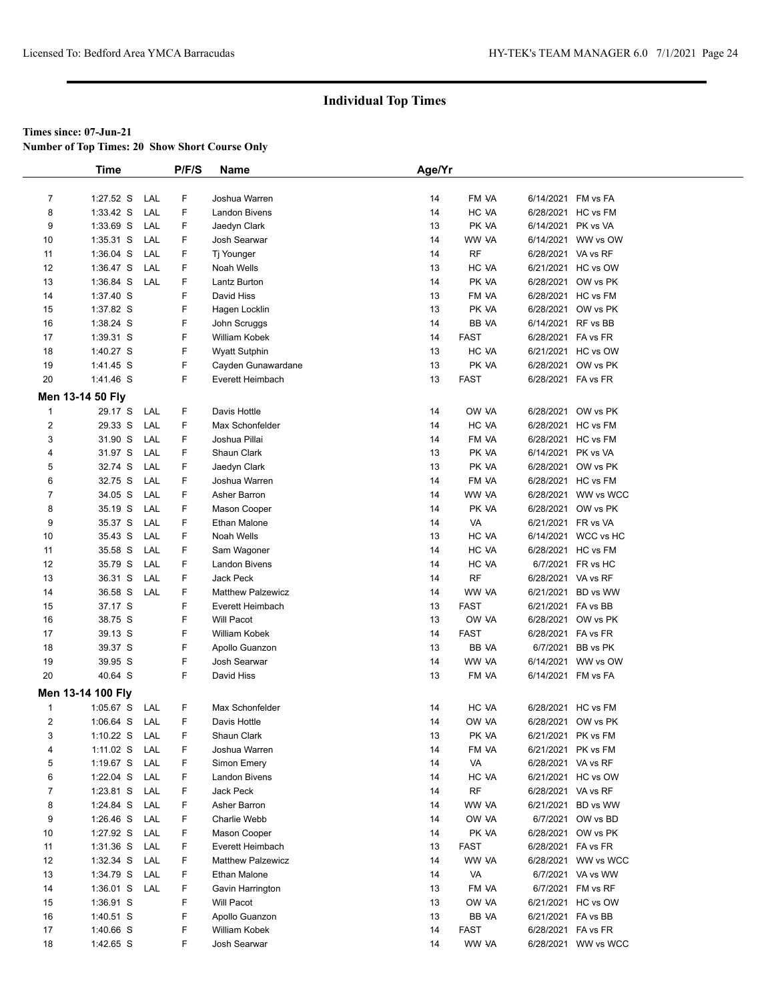**Number of Top Times: 20 Show Short Course Only**

|                         | <b>Time</b>                    |     | P/F/S  | <b>Name</b>                              | Age/Yr   |             |                    |                                          |  |
|-------------------------|--------------------------------|-----|--------|------------------------------------------|----------|-------------|--------------------|------------------------------------------|--|
|                         |                                |     |        |                                          |          |             |                    |                                          |  |
| $\overline{7}$          | $1:27.52$ S                    | LAL | F      | Joshua Warren                            | 14       | FM VA       |                    | 6/14/2021 FM vs FA                       |  |
| 8                       | $1:33.42$ S                    | LAL | F      | <b>Landon Bivens</b>                     | 14       | HC VA       |                    | 6/28/2021 HC vs FM                       |  |
| 9                       | 1:33.69 S                      | LAL | F      | Jaedyn Clark                             | 13       | PK VA       | 6/14/2021 PK vs VA |                                          |  |
| 10                      | $1:35.31$ S                    | LAL | F      | Josh Searwar                             | 14       | WW VA       |                    | 6/14/2021 WW vs OW                       |  |
| 11                      | $1:36.04$ S                    | LAL | F      | Tj Younger                               | 14       | <b>RF</b>   | 6/28/2021 VA vs RF |                                          |  |
| 12                      | $1:36.47$ S                    | LAL | F      | Noah Wells                               | 13       | HC VA       |                    | 6/21/2021 HC vs OW                       |  |
| 13                      | 1:36.84 S                      | LAL | F      | Lantz Burton                             | 14       | PK VA       |                    | 6/28/2021 OW vs PK                       |  |
| 14                      | 1:37.40 S                      |     | F      | David Hiss                               | 13       | FM VA       |                    | 6/28/2021 HC vs FM                       |  |
| 15                      | 1:37.82 S                      |     | F      | Hagen Locklin                            | 13       | PK VA       |                    | 6/28/2021 OW vs PK                       |  |
| 16                      | 1:38.24 S                      |     | F      | John Scruggs                             | 14       | BB VA       |                    | 6/14/2021 RF vs BB                       |  |
| 17                      | 1:39.31 S                      |     | F      | William Kobek                            | 14       | <b>FAST</b> | 6/28/2021 FA vs FR |                                          |  |
| 18                      | 1:40.27 S                      |     | F      | <b>Wyatt Sutphin</b>                     | 13       | HC VA       |                    | 6/21/2021 HC vs OW                       |  |
| 19                      | 1:41.45 S                      |     | F      | Cayden Gunawardane                       | 13       | PK VA       |                    | 6/28/2021 OW vs PK                       |  |
| 20                      | 1:41.46 S                      |     | F      | Everett Heimbach                         | 13       | <b>FAST</b> | 6/28/2021 FA vs FR |                                          |  |
|                         | Men 13-14 50 Fly               |     |        |                                          |          |             |                    |                                          |  |
| $\mathbf{1}$            | 29.17 S                        | LAL | F      | Davis Hottle                             | 14       | OW VA       |                    | 6/28/2021 OW vs PK                       |  |
| $\overline{\mathbf{c}}$ | 29.33 S                        | LAL | F      | Max Schonfelder                          | 14       | HC VA       |                    | 6/28/2021 HC vs FM                       |  |
| 3                       | 31.90 S                        | LAL | F      | Joshua Pillai                            | 14       | FM VA       |                    | 6/28/2021 HC vs FM                       |  |
| 4                       | 31.97 S                        | LAL | F      | Shaun Clark                              | 13       | PK VA       | 6/14/2021 PK vs VA |                                          |  |
| 5                       | 32.74 S                        | LAL | F      | Jaedyn Clark                             | 13       | PK VA       |                    | 6/28/2021 OW vs PK                       |  |
| 6                       | 32.75 S                        | LAL | F      | Joshua Warren                            | 14       | FM VA       |                    | 6/28/2021 HC vs FM                       |  |
| 7                       | 34.05 S                        | LAL | F      | Asher Barron                             | 14       | WW VA       |                    | 6/28/2021 WW vs WCC                      |  |
| 8                       | 35.19 S                        | LAL | F      | Mason Cooper                             | 14       | PK VA       |                    | 6/28/2021 OW vs PK                       |  |
| 9                       | 35.37 S                        | LAL | F      | Ethan Malone                             | 14       | VA          | 6/21/2021 FR vs VA |                                          |  |
| 10                      | 35.43 S                        | LAL | F      | Noah Wells                               | 13       | HC VA       |                    | 6/14/2021 WCC vs HC                      |  |
| 11                      | 35.58 S                        | LAL | F      | Sam Wagoner                              | 14       | HC VA       |                    | 6/28/2021 HC vs FM                       |  |
| 12                      | 35.79 S                        | LAL | F      | Landon Bivens                            | 14       | HC VA       |                    | 6/7/2021 FR vs HC                        |  |
| 13                      | 36.31 S                        | LAL | F      | <b>Jack Peck</b>                         | 14       | <b>RF</b>   | 6/28/2021 VA vs RF |                                          |  |
| 14                      | 36.58 S                        | LAL | F      | <b>Matthew Palzewicz</b>                 | 14       | WW VA       |                    | 6/21/2021 BD vs WW                       |  |
| 15                      | 37.17 S                        |     | F      | Everett Heimbach                         | 13       | <b>FAST</b> | 6/21/2021 FA vs BB |                                          |  |
| 16                      | 38.75 S                        |     | F      | <b>Will Pacot</b>                        | 13       | OW VA       |                    | 6/28/2021 OW vs PK                       |  |
| 17                      | 39.13 S                        |     | F      | William Kobek                            | 14       | <b>FAST</b> | 6/28/2021 FA vs FR |                                          |  |
| 18                      | 39.37 S                        |     | F      | Apollo Guanzon                           | 13       | BB VA       |                    | 6/7/2021 BB vs PK                        |  |
| 19                      | 39.95 S                        |     | F      | Josh Searwar                             | 14       | WW VA       |                    | 6/14/2021 WW vs OW                       |  |
| 20                      | 40.64 S                        |     | F      | David Hiss                               | 13       | FM VA       | 6/14/2021 FM vs FA |                                          |  |
|                         | Men 13-14 100 Fly              |     |        |                                          |          |             |                    |                                          |  |
| 1                       | $1:05.67$ S                    | LAL | F      | Max Schonfelder                          | 14       | HC VA       |                    | 6/28/2021 HC vs FM                       |  |
| 2                       | $1:06.64$ S                    | LAL | F      | Davis Hottle                             | 14       | OW VA       |                    | 6/28/2021 OW vs PK                       |  |
| 3                       |                                |     | F      | Shaun Clark                              | 13       | PK VA       |                    |                                          |  |
| 4                       | 1:10.22 S LAL<br>1:11.02 S LAL |     | F      | Joshua Warren                            | 14       | FM VA       |                    | 6/21/2021 PK vs FM<br>6/21/2021 PK vs FM |  |
| 5                       |                                | LAL | F      | Simon Emery                              |          | VA          | 6/28/2021 VA vs RF |                                          |  |
| 6                       | 1:19.67 S                      | LAL | F      | <b>Landon Bivens</b>                     | 14<br>14 | HC VA       |                    | 6/21/2021 HC vs OW                       |  |
| 7                       | 1:22.04 $S$<br>1:23.81 S       | LAL | F      | Jack Peck                                | 14       | RF          | 6/28/2021 VA vs RF |                                          |  |
| 8                       | 1:24.84 S                      | LAL | F      | Asher Barron                             | 14       | WW VA       |                    | 6/21/2021 BD vs WW                       |  |
| 9                       | $1:26.46$ S                    | LAL | F      | Charlie Webb                             | 14       | OW VA       |                    | 6/7/2021 OW vs BD                        |  |
| 10                      | 1:27.92 S LAL                  |     | F      | Mason Cooper                             | 14       | PK VA       |                    | 6/28/2021 OW vs PK                       |  |
| 11                      |                                | LAL | F      | Everett Heimbach                         | 13       | FAST        | 6/28/2021 FA vs FR |                                          |  |
|                         | $1:31.36$ S                    | LAL | F      |                                          |          |             |                    | 6/28/2021 WW vs WCC                      |  |
| 12<br>13                | $1:32.34$ S<br>1:34.79 S LAL   |     | F      | <b>Matthew Palzewicz</b><br>Ethan Malone | 14<br>14 | WW VA<br>VA |                    | 6/7/2021 VA vs WW                        |  |
|                         |                                |     |        |                                          |          |             |                    |                                          |  |
| 14                      | $1:36.01$ S                    | LAL | F<br>F | Gavin Harrington                         | 13       | FM VA       |                    | 6/7/2021 FM vs RF                        |  |
| 15                      | 1:36.91 S                      |     | F      | Will Pacot                               | 13       | OW VA       |                    | 6/21/2021 HC vs OW                       |  |
| 16                      | $1:40.51$ S                    |     |        | Apollo Guanzon                           | 13       | BB VA       | 6/21/2021 FA vs BB |                                          |  |
| 17                      | 1:40.66 S                      |     | F<br>F | <b>William Kobek</b>                     | 14       | FAST        | 6/28/2021 FA vs FR |                                          |  |
| 18                      | 1:42.65 S                      |     |        | Josh Searwar                             | 14       | WW VA       |                    | 6/28/2021 WW vs WCC                      |  |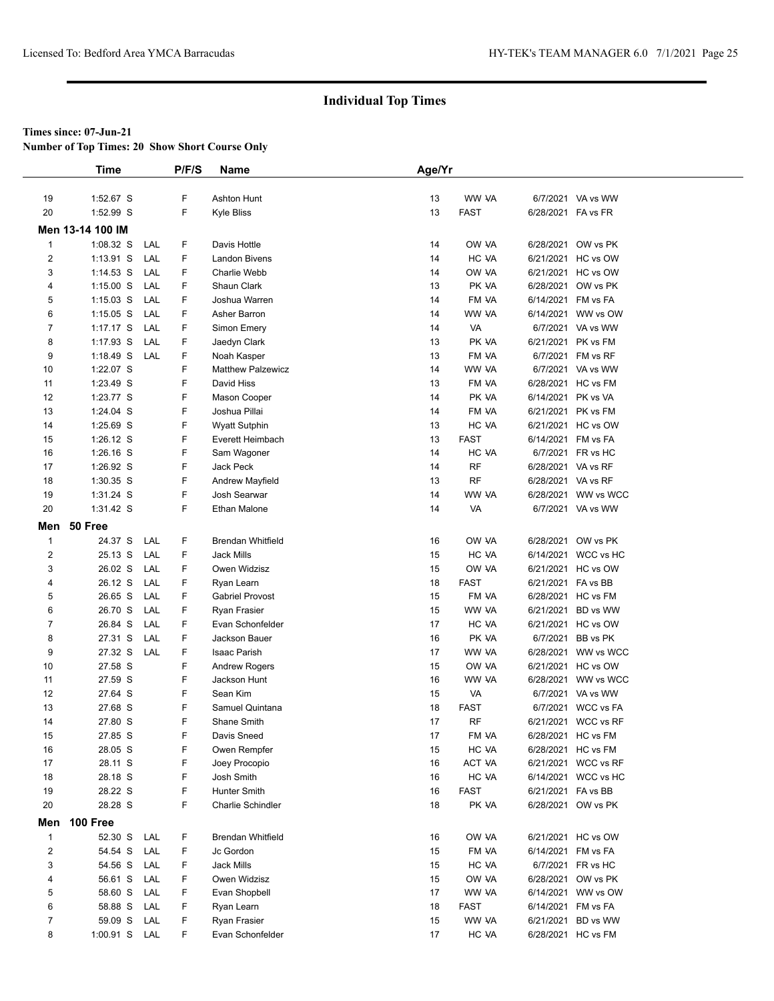**Number of Top Times: 20 Show Short Course Only**

|                         | <b>Time</b>      |     | P/F/S | <b>Name</b>              | Age/Yr |             |                    |                     |
|-------------------------|------------------|-----|-------|--------------------------|--------|-------------|--------------------|---------------------|
|                         |                  |     |       |                          |        |             |                    |                     |
| 19                      | 1:52.67 S        |     | F     | <b>Ashton Hunt</b>       | 13     | WW VA       |                    | 6/7/2021 VA vs WW   |
| 20                      | 1:52.99 S        |     | F     | Kyle Bliss               | 13     | <b>FAST</b> | 6/28/2021 FA vs FR |                     |
|                         | Men 13-14 100 IM |     |       |                          |        |             |                    |                     |
| $\mathbf{1}$            | 1:08.32 S        | LAL | F     | Davis Hottle             | 14     | OW VA       |                    | 6/28/2021 OW vs PK  |
| $\overline{\mathbf{c}}$ | $1:13.91$ S      | LAL | F     | <b>Landon Bivens</b>     | 14     | HC VA       |                    | 6/21/2021 HC vs OW  |
| 3                       | $1:14.53$ S      | LAL | F.    | Charlie Webb             | 14     | OW VA       |                    | 6/21/2021 HC vs OW  |
| 4                       | $1:15.00$ S      | LAL | F     | Shaun Clark              | 13     | PK VA       |                    | 6/28/2021 OW vs PK  |
| 5                       | 1:15.03 S        | LAL | F     | Joshua Warren            | 14     | FM VA       |                    | 6/14/2021 FM vs FA  |
| 6                       | $1:15.05$ S      | LAL | F     | Asher Barron             | 14     | WW VA       |                    | 6/14/2021 WW vs OW  |
| 7                       | $1:17.17$ S      | LAL | F     | Simon Emery              | 14     | VA          |                    | 6/7/2021 VA vs WW   |
| 8                       | $1:17.93$ S      | LAL | F     | Jaedyn Clark             | 13     | PK VA       |                    | 6/21/2021 PK vs FM  |
| 9                       | $1:18.49$ S      | LAL | F     | Noah Kasper              | 13     | FM VA       |                    | 6/7/2021 FM vs RF   |
| 10                      | 1:22.07 S        |     | F     | <b>Matthew Palzewicz</b> | 14     | WW VA       |                    | 6/7/2021 VA vs WW   |
| 11                      | 1:23.49 S        |     | F     | David Hiss               | 13     | FM VA       |                    | 6/28/2021 HC vs FM  |
| 12                      | 1:23.77 S        |     | F     | Mason Cooper             | 14     | PK VA       | 6/14/2021 PK vs VA |                     |
| 13                      | 1:24.04 S        |     | F     | Joshua Pillai            | 14     | FM VA       |                    | 6/21/2021 PK vs FM  |
| 14                      | 1:25.69 S        |     | F     | <b>Wyatt Sutphin</b>     | 13     | HC VA       |                    | 6/21/2021 HC vs OW  |
| 15                      | $1:26.12$ S      |     | F     | Everett Heimbach         | 13     | <b>FAST</b> |                    | 6/14/2021 FM vs FA  |
| 16                      | $1:26.16$ S      |     | F     | Sam Wagoner              | 14     | HC VA       |                    | 6/7/2021 FR vs HC   |
| 17                      | 1:26.92 S        |     | F     | Jack Peck                | 14     | <b>RF</b>   | 6/28/2021 VA vs RF |                     |
| 18                      | 1:30.35 S        |     | F     | <b>Andrew Mayfield</b>   | 13     | <b>RF</b>   | 6/28/2021 VA vs RF |                     |
| 19                      | 1:31.24 S        |     | F     | Josh Searwar             | 14     | WW VA       |                    | 6/28/2021 WW vs WCC |
| 20                      | 1:31.42 S        |     | F     | Ethan Malone             | 14     | VA          |                    | 6/7/2021 VA vs WW   |
| Men                     | 50 Free          |     |       |                          |        |             |                    |                     |
| $\mathbf{1}$            | 24.37 S          | LAL | F.    | <b>Brendan Whitfield</b> | 16     | OW VA       |                    | 6/28/2021 OW vs PK  |
| $\overline{\mathbf{c}}$ | 25.13 S          | LAL | F     | <b>Jack Mills</b>        | 15     | HC VA       |                    | 6/14/2021 WCC vs HC |
| 3                       | 26.02 S          | LAL | F.    | Owen Widzisz             | 15     | OW VA       |                    | 6/21/2021 HC vs OW  |
| 4                       | 26.12 S          | LAL | F.    | Ryan Learn               | 18     | <b>FAST</b> | 6/21/2021 FA vs BB |                     |
| 5                       | 26.65 S          | LAL | F     | <b>Gabriel Provost</b>   | 15     | FM VA       |                    | 6/28/2021 HC vs FM  |
| 6                       | 26.70 S          | LAL | F     | <b>Ryan Frasier</b>      | 15     | WW VA       |                    | 6/21/2021 BD vs WW  |
| $\overline{7}$          | 26.84 S          | LAL | F     | Evan Schonfelder         | 17     | HC VA       |                    | 6/21/2021 HC vs OW  |
| 8                       | 27.31 S          | LAL | F.    | Jackson Bauer            | 16     | PK VA       |                    | 6/7/2021 BB vs PK   |
| 9                       | 27.32 S          | LAL | F     | Isaac Parish             | 17     | WW VA       |                    | 6/28/2021 WW vs WCC |
| 10                      | 27.58 S          |     | F     | <b>Andrew Rogers</b>     | 15     | OW VA       |                    | 6/21/2021 HC vs OW  |
| 11                      | 27.59 S          |     | F     | Jackson Hunt             | 16     | WW VA       |                    | 6/28/2021 WW vs WCC |
| 12                      | 27.64 S          |     | F     | Sean Kim                 | 15     | VA          |                    | 6/7/2021 VA vs WW   |
| 13                      | 27.68 S          |     | F     | Samuel Quintana          | 18     | <b>FAST</b> |                    | 6/7/2021 WCC vs FA  |
| 14                      | 27.80 S          |     | F     | Shane Smith              | 17     | RF          |                    | 6/21/2021 WCC vs RF |
| 15                      | 27.85 S          |     | F     | Davis Sneed              | 17     | FM VA       |                    | 6/28/2021 HC vs FM  |
| 16                      | 28.05 S          |     | F     | Owen Rempfer             | 15     | HC VA       |                    | 6/28/2021 HC vs FM  |
| 17                      | 28.11 S          |     | F     | Joey Procopio            | 16     | ACT VA      |                    | 6/21/2021 WCC vs RF |
| 18                      | 28.18 S          |     | F     | Josh Smith               | 16     | HC VA       |                    | 6/14/2021 WCC vs HC |
| 19                      | 28.22 S          |     | F     | Hunter Smith             | 16     | <b>FAST</b> | 6/21/2021 FA vs BB |                     |
| 20                      | 28.28 S          |     | F     | Charlie Schindler        | 18     | PK VA       |                    | 6/28/2021 OW vs PK  |
| Men                     | 100 Free         |     |       |                          |        |             |                    |                     |
| $\mathbf{1}$            | 52.30 S          | LAL | F     | <b>Brendan Whitfield</b> | 16     | OW VA       |                    | 6/21/2021 HC vs OW  |
| $\boldsymbol{2}$        | 54.54 S          | LAL | F     | Jc Gordon                | 15     | FM VA       |                    | 6/14/2021 FM vs FA  |
| 3                       | 54.56 S          | LAL | F     | Jack Mills               | 15     | HC VA       |                    | 6/7/2021 FR vs HC   |
| 4                       | 56.61 S          | LAL | F     | Owen Widzisz             | 15     | OW VA       |                    | 6/28/2021 OW vs PK  |
| 5                       | 58.60 S          | LAL | F     | Evan Shopbell            | 17     | WW VA       |                    | 6/14/2021 WW vs OW  |
| 6                       | 58.88 S          | LAL | F     | Ryan Learn               | 18     | <b>FAST</b> |                    | 6/14/2021 FM vs FA  |
| 7                       | 59.09 S          | LAL | F     | Ryan Frasier             | 15     | WW VA       |                    | 6/21/2021 BD vs WW  |
| 8                       | 1:00.91 S LAL    |     | F     | Evan Schonfelder         | 17     | HC VA       |                    | 6/28/2021 HC vs FM  |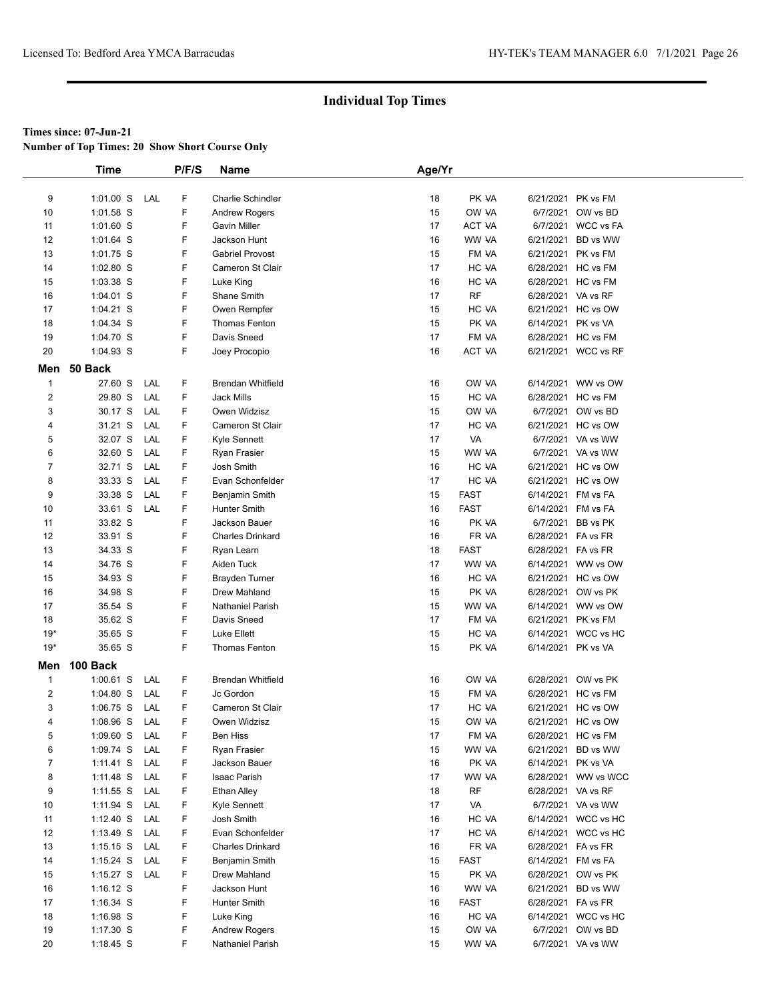**Number of Top Times: 20 Show Short Course Only**

|              | <b>Time</b>   |     | P/F/S | Name                     | Age/Yr |             |                    |                     |
|--------------|---------------|-----|-------|--------------------------|--------|-------------|--------------------|---------------------|
|              |               |     |       |                          |        |             |                    |                     |
| 9            | $1:01.00$ S   | LAL | F     | Charlie Schindler        | 18     | PK VA       | 6/21/2021 PK vs FM |                     |
| 10           | $1:01.58$ S   |     | F     | <b>Andrew Rogers</b>     | 15     | OW VA       |                    | 6/7/2021 OW vs BD   |
| 11           | 1:01.60 S     |     | F     | Gavin Miller             | 17     | ACT VA      |                    | 6/7/2021 WCC vs FA  |
| 12           | 1:01.64 S     |     | F     | Jackson Hunt             | 16     | WW VA       |                    | 6/21/2021 BD vs WW  |
| 13           | 1:01.75 S     |     | F     | <b>Gabriel Provost</b>   | 15     | FM VA       | 6/21/2021 PK vs FM |                     |
| 14           | 1:02.80 S     |     | F     | Cameron St Clair         | 17     | HC VA       |                    | 6/28/2021 HC vs FM  |
| 15           | 1:03.38 S     |     | F     | Luke King                | 16     | HC VA       |                    | 6/28/2021 HC vs FM  |
| 16           | 1:04.01 S     |     | F     | Shane Smith              | 17     | <b>RF</b>   | 6/28/2021 VA vs RF |                     |
| 17           | 1:04.21 S     |     | F     | Owen Rempfer             | 15     | HC VA       |                    | 6/21/2021 HC vs OW  |
| 18           | 1:04.34 S     |     | F     | <b>Thomas Fenton</b>     | 15     | PK VA       | 6/14/2021 PK vs VA |                     |
| 19           | 1:04.70 S     |     | F     | Davis Sneed              | 17     | FM VA       | 6/28/2021 HC vs FM |                     |
| 20           | 1:04.93 S     |     | F     | Joey Procopio            | 16     | ACT VA      |                    | 6/21/2021 WCC vs RF |
| Men          | 50 Back       |     |       |                          |        |             |                    |                     |
| $\mathbf{1}$ | 27.60 S       | LAL | F     | <b>Brendan Whitfield</b> | 16     | OW VA       |                    | 6/14/2021 WW vs OW  |
| 2            | 29.80 S       | LAL | F     | <b>Jack Mills</b>        | 15     | HC VA       |                    | 6/28/2021 HC vs FM  |
| 3            | 30.17 S       | LAL | F     | Owen Widzisz             | 15     | OW VA       |                    | 6/7/2021 OW vs BD   |
| 4            | 31.21 S       | LAL | F     | Cameron St Clair         | 17     | HC VA       |                    | 6/21/2021 HC vs OW  |
| 5            | 32.07 S       | LAL | F     | Kyle Sennett             | 17     | VA          |                    | 6/7/2021 VA vs WW   |
| 6            | 32.60 S       | LAL | F     | Ryan Frasier             | 15     | WW VA       |                    | 6/7/2021 VA vs WW   |
| 7            | 32.71 S       | LAL | F     | Josh Smith               | 16     | HC VA       |                    | 6/21/2021 HC vs OW  |
| 8            | 33.33 S       | LAL | F     | Evan Schonfelder         | 17     | HC VA       |                    | 6/21/2021 HC vs OW  |
| 9            | 33.38 S       | LAL | F     | Benjamin Smith           | 15     | <b>FAST</b> | 6/14/2021 FM vs FA |                     |
| 10           | 33.61 S       | LAL | F     | <b>Hunter Smith</b>      | 16     | <b>FAST</b> | 6/14/2021 FM vs FA |                     |
| 11           | 33.82 S       |     | F     | Jackson Bauer            | 16     | PK VA       |                    | 6/7/2021 BB vs PK   |
| 12           | 33.91 S       |     | F     | <b>Charles Drinkard</b>  | 16     | FR VA       | 6/28/2021 FA vs FR |                     |
| 13           | 34.33 S       |     | F     | Ryan Learn               | 18     | <b>FAST</b> | 6/28/2021 FA vs FR |                     |
| 14           | 34.76 S       |     | F     | Aiden Tuck               | 17     | WW VA       |                    | 6/14/2021 WW vs OW  |
| 15           | 34.93 S       |     | F     | <b>Brayden Turner</b>    | 16     | HC VA       |                    | 6/21/2021 HC vs OW  |
| 16           | 34.98 S       |     | F     | Drew Mahland             | 15     | PK VA       |                    | 6/28/2021 OW vs PK  |
| 17           | 35.54 S       |     | F     | <b>Nathaniel Parish</b>  | 15     | WW VA       |                    | 6/14/2021 WW vs OW  |
| 18           | 35.62 S       |     | F     | Davis Sneed              | 17     | FM VA       | 6/21/2021 PK vs FM |                     |
| $19*$        | 35.65 S       |     | F     | Luke Ellett              | 15     | HC VA       |                    | 6/14/2021 WCC vs HC |
| $19*$        | 35.65 S       |     | F.    | Thomas Fenton            | 15     | PK VA       | 6/14/2021 PK vs VA |                     |
| Men          | 100 Back      |     |       |                          |        |             |                    |                     |
| $\mathbf{1}$ | $1:00.61$ S   | LAL | F     | <b>Brendan Whitfield</b> | 16     | OW VA       |                    | 6/28/2021 OW vs PK  |
| 2            | $1:04.80$ S   | LAL | F     | Jc Gordon                | 15     | FM VA       |                    | 6/28/2021 HC vs FM  |
| 3            | $1:06.75$ S   | LAL | F     | Cameron St Clair         | 17     | HC VA       |                    | 6/21/2021 HC vs OW  |
| 4            | 1:08.96 S     | LAL | F     | Owen Widzisz             | 15     | OW VA       |                    | 6/21/2021 HC vs OW  |
| 5            | 1:09.60 S     | LAL | F     | Ben Hiss                 | 17     | FM VA       |                    | 6/28/2021 HC vs FM  |
| 6            | 1:09.74 S     | LAL | F     | Ryan Frasier             | 15     | WW VA       |                    | 6/21/2021 BD vs WW  |
| 7            | $1:11.41$ S   | LAL | F     | Jackson Bauer            | 16     | PK VA       | 6/14/2021 PK vs VA |                     |
| 8            | 1:11.48 S     | LAL | F     | Isaac Parish             | 17     | WW VA       |                    | 6/28/2021 WW vs WCC |
| 9            | $1:11.55$ S   | LAL | F     | Ethan Alley              | 18     | RF          | 6/28/2021 VA vs RF |                     |
| 10           | $1:11.94$ S   | LAL | F     | Kyle Sennett             | 17     | VA          |                    | 6/7/2021 VA vs WW   |
| 11           | $1:12.40$ S   | LAL | F     | Josh Smith               | 16     | HC VA       |                    | 6/14/2021 WCC vs HC |
| 12           | $1:13.49$ S   | LAL | F.    | Evan Schonfelder         | 17     | HC VA       |                    | 6/14/2021 WCC vs HC |
| 13           | $1:15.15$ S   | LAL | F     | Charles Drinkard         | 16     | FR VA       | 6/28/2021 FA vs FR |                     |
| 14           | $1:15.24$ S   | LAL | F     | Benjamin Smith           | 15     | <b>FAST</b> | 6/14/2021 FM vs FA |                     |
| 15           | 1:15.27 S LAL |     | F     | Drew Mahland             | 15     | PK VA       |                    | 6/28/2021 OW vs PK  |
| 16           | $1:16.12$ S   |     | F     | Jackson Hunt             | 16     | WW VA       |                    | 6/21/2021 BD vs WW  |
| 17           | 1:16.34 S     |     | F     | Hunter Smith             | 16     | <b>FAST</b> | 6/28/2021 FA vs FR |                     |
| 18           | 1:16.98 S     |     | F     | Luke King                | 16     | HC VA       |                    | 6/14/2021 WCC vs HC |
| 19           | 1:17.30 S     |     | F     | <b>Andrew Rogers</b>     | 15     | OW VA       |                    | 6/7/2021 OW vs BD   |
| 20           | 1:18.45 S     |     | F     | Nathaniel Parish         | 15     | WW VA       |                    | 6/7/2021 VA vs WW   |
|              |               |     |       |                          |        |             |                    |                     |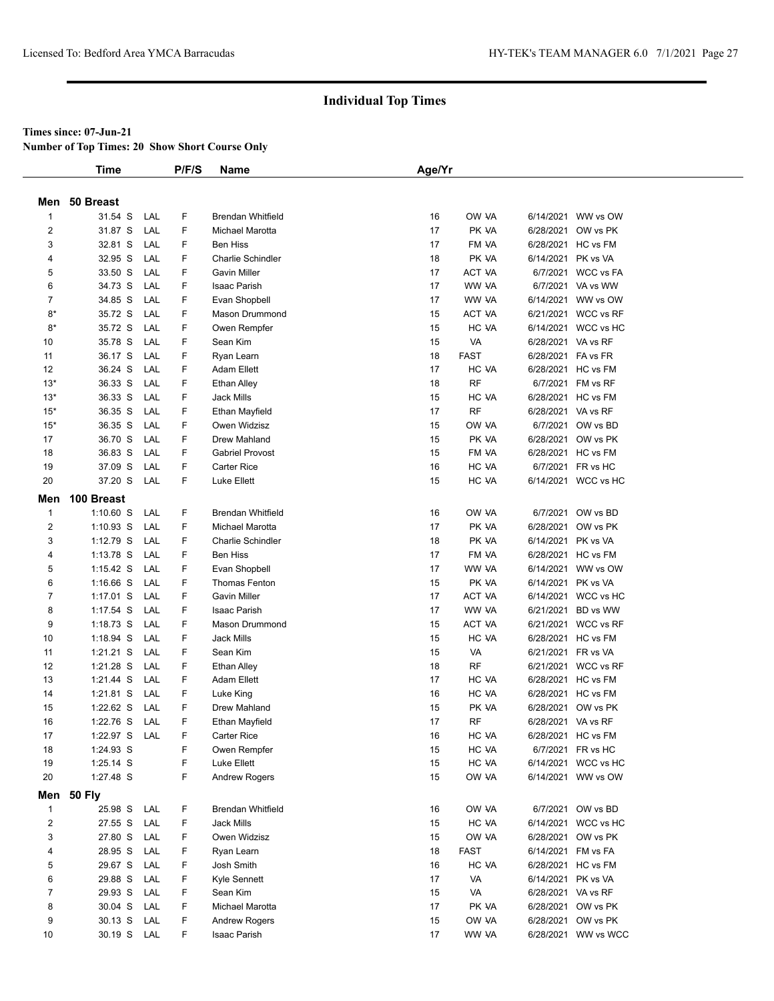#### **Times since: 07-Jun-21**

**Number of Top Times: 20 Show Short Course Only**

|                         | <b>Time</b>   |     | P/F/S | <b>Name</b>              | Age/Yr |               |                    |                     |  |
|-------------------------|---------------|-----|-------|--------------------------|--------|---------------|--------------------|---------------------|--|
|                         |               |     |       |                          |        |               |                    |                     |  |
| Men                     | 50 Breast     |     |       |                          |        |               |                    |                     |  |
| $\mathbf{1}$            | 31.54 S       | LAL | F     | <b>Brendan Whitfield</b> | 16     | OW VA         |                    | 6/14/2021 WW vs OW  |  |
| $\overline{\mathbf{c}}$ | 31.87 S       | LAL | F     | Michael Marotta          | 17     | PK VA         |                    | 6/28/2021 OW vs PK  |  |
| 3                       | 32.81 S       | LAL | F     | <b>Ben Hiss</b>          | 17     | FM VA         |                    | 6/28/2021 HC vs FM  |  |
| 4                       | 32.95 S       | LAL | F     | <b>Charlie Schindler</b> | 18     | PK VA         | 6/14/2021 PK vs VA |                     |  |
| 5                       | 33.50 S       | LAL | F     | <b>Gavin Miller</b>      | 17     | <b>ACT VA</b> |                    | 6/7/2021 WCC vs FA  |  |
| 6                       | 34.73 S       | LAL | F     | Isaac Parish             | 17     | WW VA         |                    | 6/7/2021 VA vs WW   |  |
| $\overline{7}$          | 34.85 S       | LAL | F     | Evan Shopbell            | 17     | WW VA         |                    | 6/14/2021 WW vs OW  |  |
| $8*$                    | 35.72 S       | LAL | F     | Mason Drummond           | 15     | ACT VA        |                    | 6/21/2021 WCC vs RF |  |
| $8*$                    | 35.72 S       | LAL | F     | Owen Rempfer             | 15     | HC VA         |                    | 6/14/2021 WCC vs HC |  |
| 10                      | 35.78 S       | LAL | F     | Sean Kim                 | 15     | VA            | 6/28/2021 VA vs RF |                     |  |
| 11                      | 36.17 S       | LAL | F     | Ryan Learn               | 18     | <b>FAST</b>   | 6/28/2021 FA vs FR |                     |  |
| 12                      | 36.24 S       | LAL | F     | Adam Ellett              | 17     | HC VA         |                    | 6/28/2021 HC vs FM  |  |
| $13*$                   | 36.33 S       | LAL | F     | <b>Ethan Alley</b>       | 18     | <b>RF</b>     |                    | 6/7/2021 FM vs RF   |  |
| $13*$                   | 36.33 S       | LAL | F     | <b>Jack Mills</b>        | 15     | HC VA         |                    | 6/28/2021 HC vs FM  |  |
| $15*$                   | 36.35 S       | LAL | F     | <b>Ethan Mayfield</b>    | 17     | <b>RF</b>     | 6/28/2021 VA vs RF |                     |  |
| $15*$                   | 36.35 S       | LAL | F     | Owen Widzisz             | 15     | OW VA         |                    | 6/7/2021 OW vs BD   |  |
| 17                      | 36.70 S       | LAL | F     | Drew Mahland             | 15     | PK VA         |                    | 6/28/2021 OW vs PK  |  |
| 18                      | 36.83 S       | LAL | F     | <b>Gabriel Provost</b>   | 15     | FM VA         |                    | 6/28/2021 HC vs FM  |  |
| 19                      | 37.09 S       | LAL | F     | <b>Carter Rice</b>       | 16     | HC VA         |                    | 6/7/2021 FR vs HC   |  |
| 20                      | 37.20 S       | LAL | F     | Luke Ellett              | 15     | HC VA         |                    | 6/14/2021 WCC vs HC |  |
| Men                     | 100 Breast    |     |       |                          |        |               |                    |                     |  |
| $\mathbf{1}$            | $1:10.60$ S   | LAL | F     | <b>Brendan Whitfield</b> | 16     | OW VA         |                    | 6/7/2021 OW vs BD   |  |
| $\overline{\mathbf{c}}$ | $1:10.93$ S   | LAL | F     | Michael Marotta          | 17     | PK VA         |                    | 6/28/2021 OW vs PK  |  |
| 3                       | 1:12.79 S     | LAL | F     | Charlie Schindler        | 18     | PK VA         | 6/14/2021 PK vs VA |                     |  |
| 4                       | $1:13.78$ S   | LAL | F     | <b>Ben Hiss</b>          | 17     | FM VA         |                    | 6/28/2021 HC vs FM  |  |
| 5                       | $1:15.42$ S   | LAL | F     | Evan Shopbell            | 17     | WW VA         |                    | 6/14/2021 WW vs OW  |  |
| 6                       | $1:16.66$ S   | LAL | F     | <b>Thomas Fenton</b>     | 15     | PK VA         | 6/14/2021 PK vs VA |                     |  |
| $\overline{7}$          | $1:17.01$ S   | LAL | F     | <b>Gavin Miller</b>      | 17     | ACT VA        |                    | 6/14/2021 WCC vs HC |  |
| 8                       | $1:17.54$ S   | LAL | F     | Isaac Parish             | 17     | WW VA         | 6/21/2021          | BD vs WW            |  |
| 9                       | $1:18.73$ S   | LAL | F     | <b>Mason Drummond</b>    | 15     | ACT VA        |                    | 6/21/2021 WCC vs RF |  |
| 10                      | $1:18.94$ S   | LAL | F     | <b>Jack Mills</b>        | 15     | HC VA         |                    | 6/28/2021 HC vs FM  |  |
| 11                      | 1:21.21 S     | LAL | F     | Sean Kim                 | 15     | VA            | 6/21/2021 FR vs VA |                     |  |
| 12                      | 1:21.28 S     | LAL | F     | <b>Ethan Alley</b>       | 18     | <b>RF</b>     |                    | 6/21/2021 WCC vs RF |  |
| 13                      | 1:21.44 S     | LAL | F     | <b>Adam Ellett</b>       | 17     | HC VA         |                    | 6/28/2021 HC vs FM  |  |
| 14                      | $1:21.81$ S   | LAL | F     | Luke King                | 16     | HC VA         |                    | 6/28/2021 HC vs FM  |  |
| 15                      | $1:22.62$ S   | LAL | F     | Drew Mahland             | 15     | PK VA         |                    | 6/28/2021 OW vs PK  |  |
| 16                      | $1:22.76$ S   | LAL | F     | Ethan Mayfield           | 17     | <b>RF</b>     | 6/28/2021 VA vs RF |                     |  |
| 17                      | 1:22.97 S LAL |     | F     | Carter Rice              | 16     | HC VA         |                    | 6/28/2021 HC vs FM  |  |
| 18                      | 1:24.93 S     |     | F     | Owen Rempfer             | 15     | HC VA         |                    | 6/7/2021 FR vs HC   |  |
| 19                      | 1:25.14 S     |     | F     | Luke Ellett              | 15     | HC VA         |                    | 6/14/2021 WCC vs HC |  |
| 20                      | 1:27.48 S     |     | F     | <b>Andrew Rogers</b>     | 15     | OW VA         |                    | 6/14/2021 WW vs OW  |  |
| Men                     | <b>50 Fly</b> |     |       |                          |        |               |                    |                     |  |
| $\mathbf{1}$            | 25.98 S       | LAL | F.    | Brendan Whitfield        | 16     | OW VA         |                    | 6/7/2021 OW vs BD   |  |
| $\overline{\mathbf{c}}$ | 27.55 S LAL   |     | F     | Jack Mills               | 15     | HC VA         |                    | 6/14/2021 WCC vs HC |  |
| 3                       | 27.80 S       | LAL | F     | Owen Widzisz             | 15     | OW VA         |                    | 6/28/2021 OW vs PK  |  |
| 4                       | 28.95 S       | LAL | F     | Ryan Learn               | 18     | <b>FAST</b>   |                    | 6/14/2021 FM vs FA  |  |
| 5                       | 29.67 S LAL   |     | F     | Josh Smith               | 16     | HC VA         |                    | 6/28/2021 HC vs FM  |  |
| 6                       | 29.88 S       | LAL | F     | Kyle Sennett             | 17     | VA            | 6/14/2021 PK vs VA |                     |  |
| 7                       | 29.93 S       | LAL | F     | Sean Kim                 | 15     | VA            | 6/28/2021 VA vs RF |                     |  |
| 8                       | 30.04 S       | LAL | F     | Michael Marotta          | 17     | PK VA         |                    | 6/28/2021 OW vs PK  |  |
| 9                       | 30.13 S       | LAL | F     | <b>Andrew Rogers</b>     | 15     | OW VA         |                    | 6/28/2021 OW vs PK  |  |
| 10                      | 30.19 S LAL   |     | F.    | Isaac Parish             | 17     | WW VA         |                    | 6/28/2021 WW vs WCC |  |
|                         |               |     |       |                          |        |               |                    |                     |  |